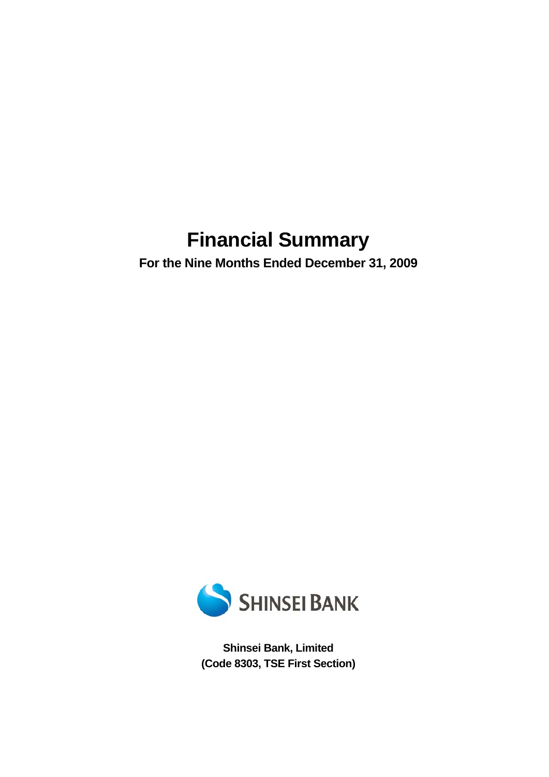# **Financial Summary**

**For the Nine Months Ended December 31, 2009** 



**Shinsei Bank, Limited (Code 8303, TSE First Section)**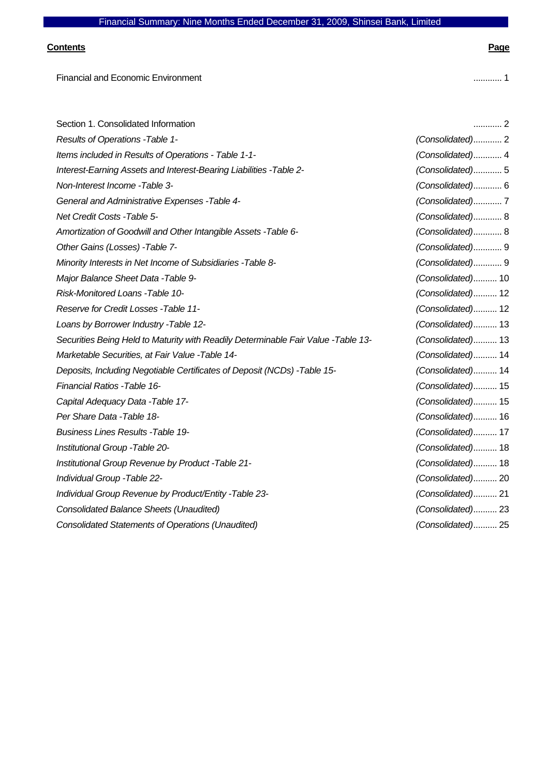### **Contents Page**

Financial and Economic Environment ............ 1

| Section 1. Consolidated Information                                               | . 2               |
|-----------------------------------------------------------------------------------|-------------------|
| Results of Operations - Table 1-                                                  | (Consolidated) 2  |
| Items included in Results of Operations - Table 1-1-                              | (Consolidated) 4  |
| Interest-Earning Assets and Interest-Bearing Liabilities - Table 2-               | (Consolidated)5   |
| Non-Interest Income - Table 3-                                                    | (Consolidated) 6  |
| General and Administrative Expenses - Table 4-                                    | (Consolidated)7   |
| Net Credit Costs - Table 5-                                                       | (Consolidated) 8  |
| Amortization of Goodwill and Other Intangible Assets - Table 6-                   | (Consolidated) 8  |
| Other Gains (Losses) - Table 7-                                                   | (Consolidated) 9  |
| Minority Interests in Net Income of Subsidiaries - Table 8-                       | (Consolidated) 9  |
| Major Balance Sheet Data - Table 9-                                               | (Consolidated) 10 |
| Risk-Monitored Loans - Table 10-                                                  | (Consolidated) 12 |
| Reserve for Credit Losses - Table 11-                                             | (Consolidated) 12 |
| Loans by Borrower Industry - Table 12-                                            | (Consolidated) 13 |
| Securities Being Held to Maturity with Readily Determinable Fair Value -Table 13- | (Consolidated) 13 |
| Marketable Securities, at Fair Value - Table 14-                                  | (Consolidated) 14 |
| Deposits, Including Negotiable Certificates of Deposit (NCDs) - Table 15-         | (Consolidated) 14 |
| Financial Ratios - Table 16-                                                      | (Consolidated) 15 |
| Capital Adequacy Data - Table 17-                                                 | (Consolidated) 15 |
| Per Share Data - Table 18-                                                        | (Consolidated) 16 |
| <b>Business Lines Results - Table 19-</b>                                         | (Consolidated) 17 |
| Institutional Group - Table 20-                                                   | (Consolidated) 18 |
| Institutional Group Revenue by Product - Table 21-                                | (Consolidated) 18 |
| Individual Group - Table 22-                                                      | (Consolidated) 20 |
| Individual Group Revenue by Product/Entity - Table 23-                            | (Consolidated) 21 |
| Consolidated Balance Sheets (Unaudited)                                           | (Consolidated) 23 |
| <b>Consolidated Statements of Operations (Unaudited)</b>                          | (Consolidated) 25 |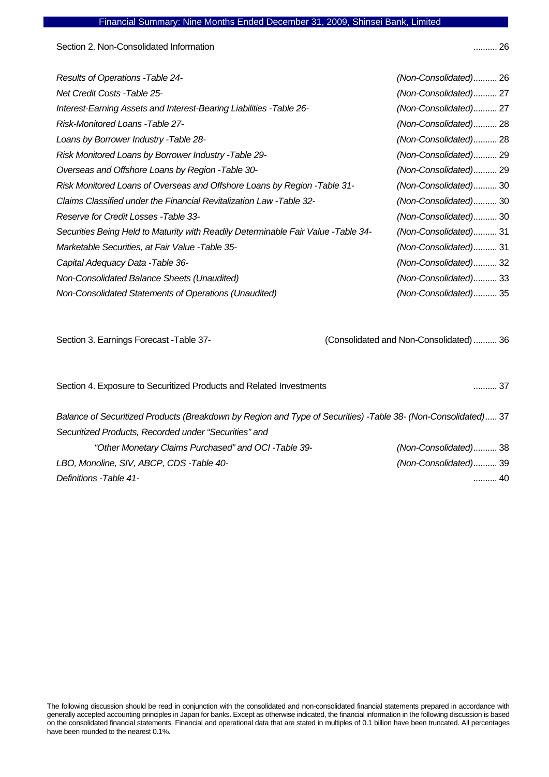Section 2. Non-Consolidated Information ........... 26

| <b>Results of Operations - Table 24-</b>                                          | (Non-Consolidated) 26 |
|-----------------------------------------------------------------------------------|-----------------------|
| <b>Net Credit Costs -Table 25-</b>                                                | (Non-Consolidated) 27 |
| Interest-Earning Assets and Interest-Bearing Liabilities -Table 26-               | (Non-Consolidated) 27 |
| Risk-Monitored Loans -Table 27-                                                   | (Non-Consolidated) 28 |
| Loans by Borrower Industry - Table 28-                                            | (Non-Consolidated) 28 |
| Risk Monitored Loans by Borrower Industry - Table 29-                             | (Non-Consolidated) 29 |
| Overseas and Offshore Loans by Region - Table 30-                                 | (Non-Consolidated) 29 |
| Risk Monitored Loans of Overseas and Offshore Loans by Region - Table 31-         | (Non-Consolidated) 30 |
| Claims Classified under the Financial Revitalization Law - Table 32-              | (Non-Consolidated) 30 |
| Reserve for Credit Losses - Table 33-                                             | (Non-Consolidated) 30 |
| Securities Being Held to Maturity with Readily Determinable Fair Value -Table 34- | (Non-Consolidated) 31 |
| Marketable Securities, at Fair Value - Table 35-                                  | (Non-Consolidated) 31 |
| Capital Adequacy Data - Table 36-                                                 | (Non-Consolidated) 32 |
| Non-Consolidated Balance Sheets (Unaudited)                                       | (Non-Consolidated) 33 |
| Non-Consolidated Statements of Operations (Unaudited)                             | (Non-Consolidated) 35 |

Section 3. Earnings Forecast -Table 37- (Consolidated and Non-Consolidated) .......... 36

| Section 4. Exposure to Securitized Products and Related Investments                                           | 37                    |
|---------------------------------------------------------------------------------------------------------------|-----------------------|
| Balance of Securitized Products (Breakdown by Region and Type of Securities) -Table 38- (Non-Consolidated) 37 |                       |
| Securitized Products, Recorded under "Securities" and                                                         |                       |
| "Other Monetary Claims Purchased" and OCI-Table 39-                                                           | (Non-Consolidated) 38 |
| LBO, Monoline, SIV, ABCP, CDS -Table 40-                                                                      | (Non-Consolidated) 39 |
| Definitions - Table 41-                                                                                       | 40                    |
|                                                                                                               |                       |

The following discussion should be read in conjunction with the consolidated and non-consolidated financial statements prepared in accordance with generally accepted accounting principles in Japan for banks. Except as otherwise indicated, the financial information in the following discussion is based on the consolidated financial statements. Financial and operational data that are stated in multiples of 0.1 billion have been truncated. All percentages have been rounded to the nearest 0.1%.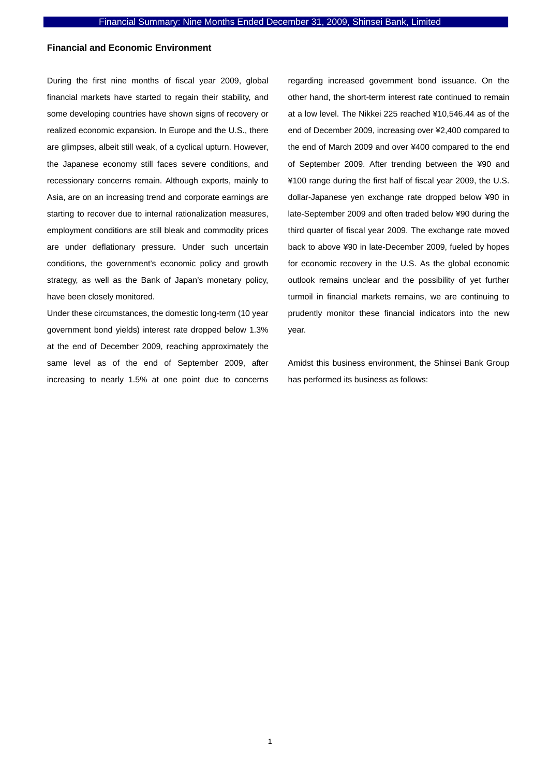### **Financial and Economic Environment**

During the first nine months of fiscal year 2009, global financial markets have started to regain their stability, and some developing countries have shown signs of recovery or realized economic expansion. In Europe and the U.S., there are glimpses, albeit still weak, of a cyclical upturn. However, the Japanese economy still faces severe conditions, and recessionary concerns remain. Although exports, mainly to Asia, are on an increasing trend and corporate earnings are starting to recover due to internal rationalization measures, employment conditions are still bleak and commodity prices are under deflationary pressure. Under such uncertain conditions, the government's economic policy and growth strategy, as well as the Bank of Japan's monetary policy, have been closely monitored.

Under these circumstances, the domestic long-term (10 year government bond yields) interest rate dropped below 1.3% at the end of December 2009, reaching approximately the same level as of the end of September 2009, after increasing to nearly 1.5% at one point due to concerns regarding increased government bond issuance. On the other hand, the short-term interest rate continued to remain at a low level. The Nikkei 225 reached ¥10,546.44 as of the end of December 2009, increasing over ¥2,400 compared to the end of March 2009 and over ¥400 compared to the end of September 2009. After trending between the ¥90 and ¥100 range during the first half of fiscal year 2009, the U.S. dollar-Japanese yen exchange rate dropped below ¥90 in late-September 2009 and often traded below ¥90 during the third quarter of fiscal year 2009. The exchange rate moved back to above ¥90 in late-December 2009, fueled by hopes for economic recovery in the U.S. As the global economic outlook remains unclear and the possibility of yet further turmoil in financial markets remains, we are continuing to prudently monitor these financial indicators into the new year.

Amidst this business environment, the Shinsei Bank Group has performed its business as follows: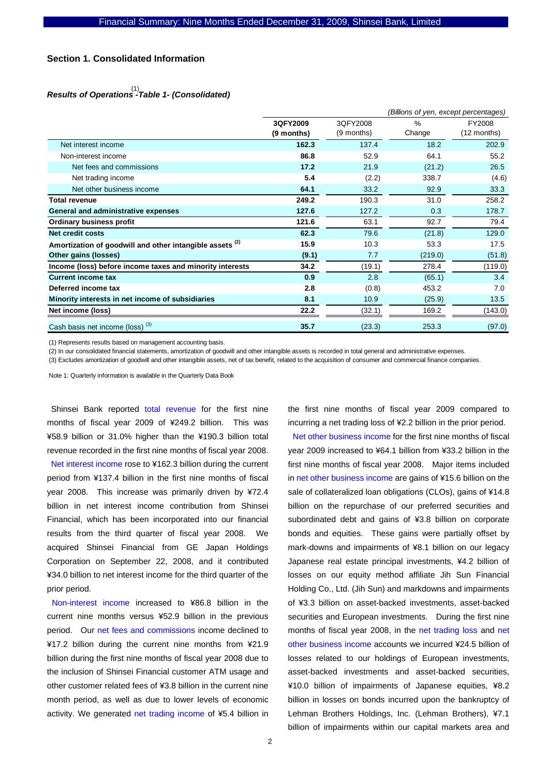### **Section 1. Consolidated Information**

# *Results of Operations -Table 1- (Consolidated)*  (1)

|                                                                     |              | (Billions of yen, except percentages) |         |             |  |
|---------------------------------------------------------------------|--------------|---------------------------------------|---------|-------------|--|
|                                                                     | 3QFY2009     | 3QFY2008                              | $\%$    | FY2008      |  |
|                                                                     | $(9$ months) | (9 months)                            | Change  | (12 months) |  |
| Net interest income                                                 | 162.3        | 137.4                                 | 18.2    | 202.9       |  |
| Non-interest income                                                 | 86.8         | 52.9                                  | 64.1    | 55.2        |  |
| Net fees and commissions                                            | 17.2         | 21.9                                  | (21.2)  | 26.5        |  |
| Net trading income                                                  | 5.4          | (2.2)                                 | 338.7   | (4.6)       |  |
| Net other business income                                           | 64.1         | 33.2                                  | 92.9    | 33.3        |  |
| <b>Total revenue</b>                                                | 249.2        | 190.3                                 | 31.0    | 258.2       |  |
| General and administrative expenses                                 | 127.6        | 127.2                                 | 0.3     | 178.7       |  |
| <b>Ordinary business profit</b>                                     | 121.6        | 63.1                                  | 92.7    | 79.4        |  |
| Net credit costs                                                    | 62.3         | 79.6                                  | (21.8)  | 129.0       |  |
| Amortization of goodwill and other intangible assets <sup>(2)</sup> | 15.9         | 10.3                                  | 53.3    | 17.5        |  |
| Other gains (losses)                                                | (9.1)        | 7.7                                   | (219.0) | (51.8)      |  |
| Income (loss) before income taxes and minority interests            | 34.2         | (19.1)                                | 278.4   | (119.0)     |  |
| <b>Current income tax</b>                                           | 0.9          | 2.8                                   | (65.1)  | 3.4         |  |
| Deferred income tax                                                 | 2.8          | (0.8)                                 | 453.2   | 7.0         |  |
| Minority interests in net income of subsidiaries                    | 8.1          | 10.9                                  | (25.9)  | 13.5        |  |
| Net income (loss)                                                   | 22.2         | (32.1)                                | 169.2   | (143.0)     |  |
| Cash basis net income (loss) <sup>(3)</sup>                         | 35.7         | (23.3)                                | 253.3   | (97.0)      |  |

(1) Represents results based on management accounting basis.

(2) In our consolidated financial statements, amortization of goodwill and other intangible assets is recorded in total general and administrative expenses.

(3) Excludes amortization of goodwill and other intangible assets, net of tax benefit, related to the acquisition of consumer and commercial finance companies.

Note 1: Quarterly information is available in the Quarterly Data Book

Shinsei Bank reported total revenue for the first nine months of fiscal year 2009 of ¥249.2 billion. This was ¥58.9 billion or 31.0% higher than the ¥190.3 billion total revenue recorded in the first nine months of fiscal year 2008. Net interest income rose to ¥162.3 billion during the current period from ¥137.4 billion in the first nine months of fiscal year 2008. This increase was primarily driven by ¥72.4 billion in net interest income contribution from Shinsei Financial, which has been incorporated into our financial results from the third quarter of fiscal year 2008. We acquired Shinsei Financial from GE Japan Holdings Corporation on September 22, 2008, and it contributed ¥34.0 billion to net interest income for the third quarter of the prior period.

Non-interest income increased to ¥86.8 billion in the current nine months versus ¥52.9 billion in the previous period. Our net fees and commissions income declined to ¥17.2 billion during the current nine months from ¥21.9 billion during the first nine months of fiscal year 2008 due to the inclusion of Shinsei Financial customer ATM usage and other customer related fees of ¥3.8 billion in the current nine month period, as well as due to lower levels of economic activity. We generated net trading income of ¥5.4 billion in the first nine months of fiscal year 2009 compared to incurring a net trading loss of ¥2.2 billion in the prior period.

Net other business income for the first nine months of fiscal year 2009 increased to ¥64.1 billion from ¥33.2 billion in the first nine months of fiscal year 2008. Major items included in net other business income are gains of ¥15.6 billion on the sale of collateralized loan obligations (CLOs), gains of ¥14.8 billion on the repurchase of our preferred securities and subordinated debt and gains of ¥3.8 billion on corporate bonds and equities. These gains were partially offset by mark-downs and impairments of ¥8.1 billion on our legacy Japanese real estate principal investments, ¥4.2 billion of losses on our equity method affiliate Jih Sun Financial Holding Co., Ltd. (Jih Sun) and markdowns and impairments of ¥3.3 billion on asset-backed investments, asset-backed securities and European investments. During the first nine months of fiscal year 2008, in the net trading loss and net other business income accounts we incurred ¥24.5 billion of losses related to our holdings of European investments, asset-backed investments and asset-backed securities, ¥10.0 billion of impairments of Japanese equities, ¥8.2 billion in losses on bonds incurred upon the bankruptcy of Lehman Brothers Holdings, Inc. (Lehman Brothers), ¥7.1 billion of impairments within our capital markets area and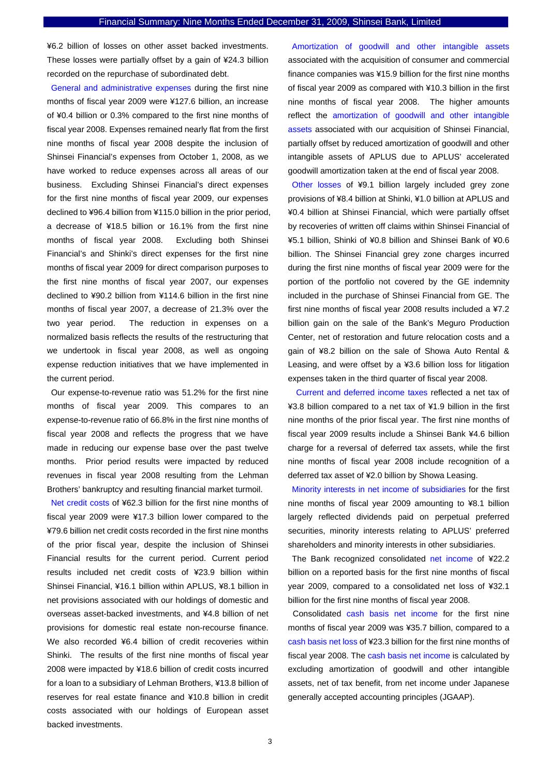¥6.2 billion of losses on other asset backed investments. These losses were partially offset by a gain of ¥24.3 billion recorded on the repurchase of subordinated debt.

General and administrative expenses during the first nine months of fiscal year 2009 were ¥127.6 billion, an increase of ¥0.4 billion or 0.3% compared to the first nine months of fiscal year 2008. Expenses remained nearly flat from the first nine months of fiscal year 2008 despite the inclusion of Shinsei Financial's expenses from October 1, 2008, as we have worked to reduce expenses across all areas of our business. Excluding Shinsei Financial's direct expenses for the first nine months of fiscal year 2009, our expenses declined to ¥96.4 billion from ¥115.0 billion in the prior period, a decrease of ¥18.5 billion or 16.1% from the first nine months of fiscal year 2008. Excluding both Shinsei Financial's and Shinki's direct expenses for the first nine months of fiscal year 2009 for direct comparison purposes to the first nine months of fiscal year 2007, our expenses declined to ¥90.2 billion from ¥114.6 billion in the first nine months of fiscal year 2007, a decrease of 21.3% over the two year period. The reduction in expenses on a normalized basis reflects the results of the restructuring that we undertook in fiscal year 2008, as well as ongoing expense reduction initiatives that we have implemented in the current period.

Our expense-to-revenue ratio was 51.2% for the first nine months of fiscal year 2009. This compares to an expense-to-revenue ratio of 66.8% in the first nine months of fiscal year 2008 and reflects the progress that we have made in reducing our expense base over the past twelve months. Prior period results were impacted by reduced revenues in fiscal year 2008 resulting from the Lehman Brothers' bankruptcy and resulting financial market turmoil.

Net credit costs of ¥62.3 billion for the first nine months of fiscal year 2009 were ¥17.3 billion lower compared to the ¥79.6 billion net credit costs recorded in the first nine months of the prior fiscal year, despite the inclusion of Shinsei Financial results for the current period. Current period results included net credit costs of ¥23.9 billion within Shinsei Financial, ¥16.1 billion within APLUS, ¥8.1 billion in net provisions associated with our holdings of domestic and overseas asset-backed investments, and ¥4.8 billion of net provisions for domestic real estate non-recourse finance. We also recorded ¥6.4 billion of credit recoveries within Shinki. The results of the first nine months of fiscal year 2008 were impacted by ¥18.6 billion of credit costs incurred for a loan to a subsidiary of Lehman Brothers, ¥13.8 billion of reserves for real estate finance and ¥10.8 billion in credit costs associated with our holdings of European asset backed investments.

Amortization of goodwill and other intangible assets associated with the acquisition of consumer and commercial finance companies was ¥15.9 billion for the first nine months of fiscal year 2009 as compared with ¥10.3 billion in the first nine months of fiscal year 2008. The higher amounts reflect the amortization of goodwill and other intangible assets associated with our acquisition of Shinsei Financial, partially offset by reduced amortization of goodwill and other intangible assets of APLUS due to APLUS' accelerated goodwill amortization taken at the end of fiscal year 2008.

Other losses of ¥9.1 billion largely included grey zone provisions of ¥8.4 billion at Shinki, ¥1.0 billion at APLUS and ¥0.4 billion at Shinsei Financial, which were partially offset by recoveries of written off claims within Shinsei Financial of ¥5.1 billion, Shinki of ¥0.8 billion and Shinsei Bank of ¥0.6 billion. The Shinsei Financial grey zone charges incurred during the first nine months of fiscal year 2009 were for the portion of the portfolio not covered by the GE indemnity included in the purchase of Shinsei Financial from GE. The first nine months of fiscal year 2008 results included a ¥7.2 billion gain on the sale of the Bank's Meguro Production Center, net of restoration and future relocation costs and a gain of ¥8.2 billion on the sale of Showa Auto Rental & Leasing, and were offset by a ¥3.6 billion loss for litigation expenses taken in the third quarter of fiscal year 2008.

 Current and deferred income taxes reflected a net tax of ¥3.8 billion compared to a net tax of ¥1.9 billion in the first nine months of the prior fiscal year. The first nine months of fiscal year 2009 results include a Shinsei Bank ¥4.6 billion charge for a reversal of deferred tax assets, while the first nine months of fiscal year 2008 include recognition of a deferred tax asset of ¥2.0 billion by Showa Leasing.

Minority interests in net income of subsidiaries for the first nine months of fiscal year 2009 amounting to ¥8.1 billion largely reflected dividends paid on perpetual preferred securities, minority interests relating to APLUS' preferred shareholders and minority interests in other subsidiaries.

The Bank recognized consolidated net income of ¥22.2 billion on a reported basis for the first nine months of fiscal year 2009, compared to a consolidated net loss of ¥32.1 billion for the first nine months of fiscal year 2008.

Consolidated cash basis net income for the first nine months of fiscal year 2009 was ¥35.7 billion, compared to a cash basis net loss of ¥23.3 billion for the first nine months of fiscal year 2008. The cash basis net income is calculated by excluding amortization of goodwill and other intangible assets, net of tax benefit, from net income under Japanese generally accepted accounting principles (JGAAP).

3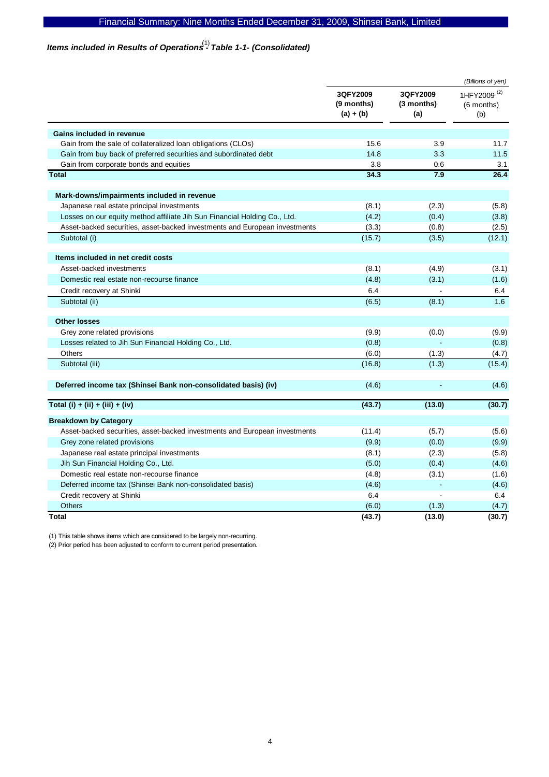# Items included in Results of Operations<sup>(1)</sup> Table 1-1- (Consolidated)

|                                                                            |                                       |                               | (Billions of yen)                            |
|----------------------------------------------------------------------------|---------------------------------------|-------------------------------|----------------------------------------------|
|                                                                            | 3QFY2009<br>(9 months)<br>$(a) + (b)$ | 3QFY2009<br>(3 months)<br>(a) | 1HFY2009 <sup>(2)</sup><br>(6 months)<br>(b) |
| Gains included in revenue                                                  |                                       |                               |                                              |
| Gain from the sale of collateralized loan obligations (CLOs)               | 15.6                                  | 3.9                           | 11.7                                         |
| Gain from buy back of preferred securities and subordinated debt           | 14.8                                  | 3.3                           | 11.5                                         |
| Gain from corporate bonds and equities                                     | 3.8                                   | 0.6                           | 3.1                                          |
| <b>Total</b>                                                               | 34.3                                  | 7.9                           | 26.4                                         |
| Mark-downs/impairments included in revenue                                 |                                       |                               |                                              |
| Japanese real estate principal investments                                 | (8.1)                                 | (2.3)                         | (5.8)                                        |
| Losses on our equity method affiliate Jih Sun Financial Holding Co., Ltd.  | (4.2)                                 | (0.4)                         | (3.8)                                        |
| Asset-backed securities, asset-backed investments and European investments | (3.3)                                 | (0.8)                         | (2.5)                                        |
| Subtotal (i)                                                               | (15.7)                                | (3.5)                         | (12.1)                                       |
| Items included in net credit costs                                         |                                       |                               |                                              |
| Asset-backed investments                                                   | (8.1)                                 | (4.9)                         | (3.1)                                        |
| Domestic real estate non-recourse finance                                  | (4.8)                                 | (3.1)                         | (1.6)                                        |
| Credit recovery at Shinki                                                  | 6.4                                   |                               | 6.4                                          |
| Subtotal (ii)                                                              | (6.5)                                 | (8.1)                         | 1.6                                          |
| <b>Other losses</b>                                                        |                                       |                               |                                              |
| Grey zone related provisions                                               | (9.9)                                 | (0.0)                         | (9.9)                                        |
| Losses related to Jih Sun Financial Holding Co., Ltd.                      | (0.8)                                 |                               | (0.8)                                        |
| <b>Others</b>                                                              | (6.0)                                 | (1.3)                         | (4.7)                                        |
| Subtotal (iii)                                                             | (16.8)                                | (1.3)                         | (15.4)                                       |
| Deferred income tax (Shinsei Bank non-consolidated basis) (iv)             | (4.6)                                 |                               | (4.6)                                        |
| Total (i) + (ii) + (iii) + (iv)                                            | (43.7)                                | (13.0)                        | (30.7)                                       |
| <b>Breakdown by Category</b>                                               |                                       |                               |                                              |
| Asset-backed securities, asset-backed investments and European investments | (11.4)                                | (5.7)                         | (5.6)                                        |
| Grey zone related provisions                                               | (9.9)                                 | (0.0)                         | (9.9)                                        |
| Japanese real estate principal investments                                 | (8.1)                                 | (2.3)                         | (5.8)                                        |
| Jih Sun Financial Holding Co., Ltd.                                        | (5.0)                                 | (0.4)                         | (4.6)                                        |
| Domestic real estate non-recourse finance                                  | (4.8)                                 | (3.1)                         | (1.6)                                        |
| Deferred income tax (Shinsei Bank non-consolidated basis)                  | (4.6)                                 |                               | (4.6)                                        |
| Credit recovery at Shinki                                                  | 6.4                                   |                               | 6.4                                          |
| Others                                                                     | (6.0)                                 | (1.3)                         | (4.7)                                        |
| Total                                                                      | (43.7)                                | (13.0)                        | (30.7)                                       |

(1) This table shows items which are considered to be largely non-recurring.

(2) Prior period has been adjusted to conform to current period presentation.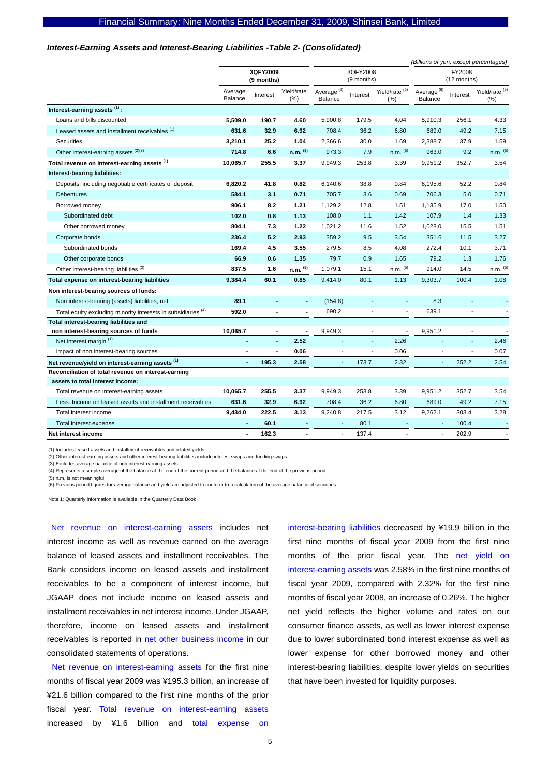#### *Interest-Earning Assets and Interest-Bearing Liabilities -Table 2- (Consolidated)*

|                                                                          |                        |                |                        |                                   |                          |                               | (Billions of yen, except percentages) |                |                             |
|--------------------------------------------------------------------------|------------------------|----------------|------------------------|-----------------------------------|--------------------------|-------------------------------|---------------------------------------|----------------|-----------------------------|
|                                                                          | 3QFY2009<br>(9 months) |                | 3QFY2008<br>(9 months) |                                   | FY2008<br>(12 months)    |                               |                                       |                |                             |
|                                                                          | Average<br>Balance     | Interest       | Yield/rate<br>$(\% )$  | Average <sup>(6)</sup><br>Balance | Interest                 | Yield/rate $^{(6)}$<br>$(\%)$ | Average <sup>(6)</sup><br>Balance     | Interest       | Yield/rate $^{(6)}$<br>(% ) |
| Interest-earning assets <sup>(1)</sup> :                                 |                        |                |                        |                                   |                          |                               |                                       |                |                             |
| Loans and bills discounted                                               | 5,509.0                | 190.7          | 4.60                   | 5,900.8                           | 179.5                    | 4.04                          | 5,910.3                               | 256.1          | 4.33                        |
| Leased assets and installment receivables <sup>(1)</sup>                 | 631.6                  | 32.9           | 6.92                   | 708.4                             | 36.2                     | 6.80                          | 689.0                                 | 49.2           | 7.15                        |
| <b>Securities</b>                                                        | 3,210.1                | 25.2           | 1.04                   | 2,366.6                           | 30.0                     | 1.69                          | 2,388.7                               | 37.9           | 1.59                        |
| Other interest-earning assets (2)(3)                                     | 714.8                  | 6.6            | $n.m.$ (5)             | 973.3                             | 7.9                      | $n.m.$ $(5)$                  | 963.0                                 | 9.2            | $n.m.$ (5)                  |
| Total revenue on interest-earning assets (1)                             | 10,065.7               | 255.5          | 3.37                   | 9,949.3                           | 253.8                    | 3.39                          | 9,951.2                               | 352.7          | 3.54                        |
| Interest-bearing liabilities:                                            |                        |                |                        |                                   |                          |                               |                                       |                |                             |
| Deposits, including negotiable certificates of deposit                   | 6,820.2                | 41.8           | 0.82                   | 6,140.6                           | 38.8                     | 0.84                          | 6,195.6                               | 52.2           | 0.84                        |
| <b>Debentures</b>                                                        | 584.1                  | 3.1            | 0.71                   | 705.7                             | 3.6                      | 0.69                          | 706.3                                 | 5.0            | 0.71                        |
| Borrowed money                                                           | 906.1                  | 8.2            | 1.21                   | 1,129.2                           | 12.8                     | 1.51                          | 1,135.9                               | 17.0           | 1.50                        |
| Subordinated debt                                                        | 102.0                  | 0.8            | 1.13                   | 108.0                             | 1.1                      | 1.42                          | 107.9                                 | 1.4            | 1.33                        |
| Other borrowed money                                                     | 804.1                  | 7.3            | 1.22                   | 1,021.2                           | 11.6                     | 1.52                          | 1,028.0                               | 15.5           | 1.51                        |
| Corporate bonds                                                          | 236.4                  | 5.2            | 2.93                   | 359.2                             | 9.5                      | 3.54                          | 351.6                                 | 11.5           | 3.27                        |
| Subordinated bonds                                                       | 169.4                  | 4.5            | 3.55                   | 279.5                             | 8.5                      | 4.08                          | 272.4                                 | 10.1           | 3.71                        |
| Other corporate bonds                                                    | 66.9                   | 0.6            | 1.35                   | 79.7                              | 0.9                      | 1.65                          | 79.2                                  | 1.3            | 1.76                        |
| Other interest-bearing liabilities <sup>(2)</sup>                        | 837.5                  | 1.6            | n.m. (5)               | 1,079.1                           | 15.1                     | $n.m.$ $(5)$                  | 914.0                                 | 14.5           | n.m. <sup>(5)</sup>         |
| Total expense on interest-bearing liabilities                            | 9,384.4                | 60.1           | 0.85                   | 9,414.0                           | 80.1                     | 1.13                          | 9,303.7                               | 100.4          | 1.08                        |
| Non interest-bearing sources of funds:                                   |                        |                |                        |                                   |                          |                               |                                       |                |                             |
| Non interest-bearing (assets) liabilities, net                           | 89.1                   |                |                        | (154.8)                           |                          | ٠                             | 8.3                                   |                |                             |
| Total equity excluding minority interests in subsidiaries <sup>(4)</sup> | 592.0                  |                |                        | 690.2                             |                          |                               | 639.1                                 |                |                             |
| Total interest-bearing liabilities and                                   |                        |                |                        |                                   |                          |                               |                                       |                |                             |
| non interest-bearing sources of funds                                    | 10,065.7               | $\blacksquare$ |                        | 9,949.3                           | $\overline{\phantom{a}}$ |                               | 9,951.2                               | $\blacksquare$ |                             |
| Net interest margin (1)                                                  |                        | $\blacksquare$ | 2.52                   |                                   | L,                       | 2.26                          |                                       |                | 2.46                        |
| Impact of non interest-bearing sources                                   |                        |                | 0.06                   |                                   | L,                       | 0.06                          |                                       | L,             | 0.07                        |
| Net revenue/yield on interest-earning assets (1)                         | ä,                     | 195.3          | 2.58                   |                                   | 173.7                    | 2.32                          |                                       | 252.2          | 2.54                        |
| Reconciliation of total revenue on interest-earning                      |                        |                |                        |                                   |                          |                               |                                       |                |                             |
| assets to total interest income:                                         |                        |                |                        |                                   |                          |                               |                                       |                |                             |
| Total revenue on interest-earning assets                                 | 10,065.7               | 255.5          | 3.37                   | 9,949.3                           | 253.8                    | 3.39                          | 9,951.2                               | 352.7          | 3.54                        |
| Less: Income on leased assets and installment receivables                | 631.6                  | 32.9           | 6.92                   | 708.4                             | 36.2                     | 6.80                          | 689.0                                 | 49.2           | 7.15                        |
| Total interest income                                                    | 9,434.0                | 222.5          | 3.13                   | 9,240.8                           | 217.5                    | 3.12                          | 9,262.1                               | 303.4          | 3.28                        |
| Total interest expense                                                   |                        | 60.1           |                        |                                   | 80.1                     |                               |                                       | 100.4          |                             |
| Net interest income                                                      |                        | 162.3          |                        | $\overline{\phantom{a}}$          | 137.4                    | $\overline{a}$                | $\overline{\phantom{a}}$              | 202.9          |                             |

(1) Includes leased assets and installment receivables and related yields.

(2) Other interest-earning assets and other interest-bearing liabilities include interest swaps and funding swaps.

(3) Excludes average balance of non interest-earning assets.

(4) Represents a simple average of the balance at the end of the current period and the balance at the end of the previous period.

(5) n.m. is not meaningful.

(6) Previous period figures for average balance and yield are adjusted to conform to recalculation of the average balance of securities.

Note 1: Quarterly information is available in the Quarterly Data Book

Net revenue on interest-earning assets includes net interest income as well as revenue earned on the average balance of leased assets and installment receivables. The Bank considers income on leased assets and installment receivables to be a component of interest income, but JGAAP does not include income on leased assets and installment receivables in net interest income. Under JGAAP, therefore, income on leased assets and installment receivables is reported in net other business income in our consolidated statements of operations.

Net revenue on interest-earning assets for the first nine months of fiscal year 2009 was ¥195.3 billion, an increase of ¥21.6 billion compared to the first nine months of the prior fiscal year. Total revenue on interest-earning assets increased by ¥1.6 billion and total expense on

interest-bearing liabilities decreased by ¥19.9 billion in the first nine months of fiscal year 2009 from the first nine months of the prior fiscal year. The net yield on interest-earning assets was 2.58% in the first nine months of fiscal year 2009, compared with 2.32% for the first nine months of fiscal year 2008, an increase of 0.26%. The higher net yield reflects the higher volume and rates on our consumer finance assets, as well as lower interest expense due to lower subordinated bond interest expense as well as lower expense for other borrowed money and other interest-bearing liabilities, despite lower yields on securities that have been invested for liquidity purposes.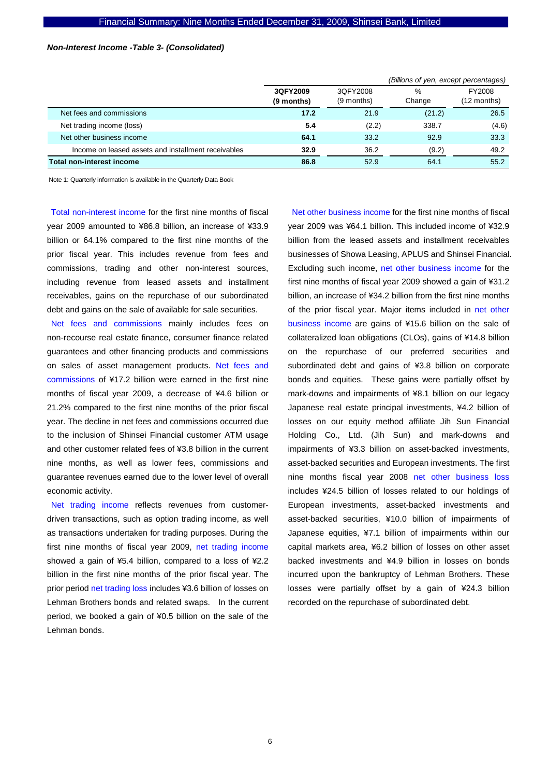### *Non-Interest Income -Table 3- (Consolidated)*

|                                                     |            |            | (Billions of yen, except percentages) |             |
|-----------------------------------------------------|------------|------------|---------------------------------------|-------------|
|                                                     | 3QFY2009   | 3QFY2008   | %                                     | FY2008      |
|                                                     | (9 months) | (9 months) | Change                                | (12 months) |
| Net fees and commissions                            | 17.2       | 21.9       | (21.2)                                | 26.5        |
| Net trading income (loss)                           | 5.4        | (2.2)      | 338.7                                 | (4.6)       |
| Net other business income                           | 64.1       | 33.2       | 92.9                                  | 33.3        |
| Income on leased assets and installment receivables | 32.9       | 36.2       | (9.2)                                 | 49.2        |
| <b>Total non-interest income</b>                    | 86.8       | 52.9       | 64.1                                  | 55.2        |

Note 1: Quarterly information is available in the Quarterly Data Book

Total non-interest income for the first nine months of fiscal year 2009 amounted to ¥86.8 billion, an increase of ¥33.9 billion or 64.1% compared to the first nine months of the prior fiscal year. This includes revenue from fees and commissions, trading and other non-interest sources, including revenue from leased assets and installment receivables, gains on the repurchase of our subordinated debt and gains on the sale of available for sale securities.

Net fees and commissions mainly includes fees on non-recourse real estate finance, consumer finance related guarantees and other financing products and commissions on sales of asset management products. Net fees and commissions of ¥17.2 billion were earned in the first nine months of fiscal year 2009, a decrease of ¥4.6 billion or 21.2% compared to the first nine months of the prior fiscal year. The decline in net fees and commissions occurred due to the inclusion of Shinsei Financial customer ATM usage and other customer related fees of ¥3.8 billion in the current nine months, as well as lower fees, commissions and guarantee revenues earned due to the lower level of overall economic activity.

Net trading income reflects revenues from customerdriven transactions, such as option trading income, as well as transactions undertaken for trading purposes. During the first nine months of fiscal year 2009, net trading income showed a gain of ¥5.4 billion, compared to a loss of ¥2.2 billion in the first nine months of the prior fiscal year. The prior period net trading loss includes ¥3.6 billion of losses on Lehman Brothers bonds and related swaps. In the current period, we booked a gain of ¥0.5 billion on the sale of the Lehman bonds.

Net other business income for the first nine months of fiscal year 2009 was ¥64.1 billion. This included income of ¥32.9 billion from the leased assets and installment receivables businesses of Showa Leasing, APLUS and Shinsei Financial. Excluding such income, net other business income for the first nine months of fiscal year 2009 showed a gain of ¥31.2 billion, an increase of ¥34.2 billion from the first nine months of the prior fiscal year. Major items included in net other business income are gains of ¥15.6 billion on the sale of collateralized loan obligations (CLOs), gains of ¥14.8 billion on the repurchase of our preferred securities and subordinated debt and gains of ¥3.8 billion on corporate bonds and equities. These gains were partially offset by mark-downs and impairments of ¥8.1 billion on our legacy Japanese real estate principal investments, ¥4.2 billion of losses on our equity method affiliate Jih Sun Financial Holding Co., Ltd. (Jih Sun) and mark-downs and impairments of ¥3.3 billion on asset-backed investments, asset-backed securities and European investments. The first nine months fiscal year 2008 net other business loss includes ¥24.5 billion of losses related to our holdings of European investments, asset-backed investments and asset-backed securities, ¥10.0 billion of impairments of Japanese equities, ¥7.1 billion of impairments within our capital markets area, ¥6.2 billion of losses on other asset backed investments and ¥4.9 billion in losses on bonds incurred upon the bankruptcy of Lehman Brothers. These losses were partially offset by a gain of ¥24.3 billion recorded on the repurchase of subordinated debt.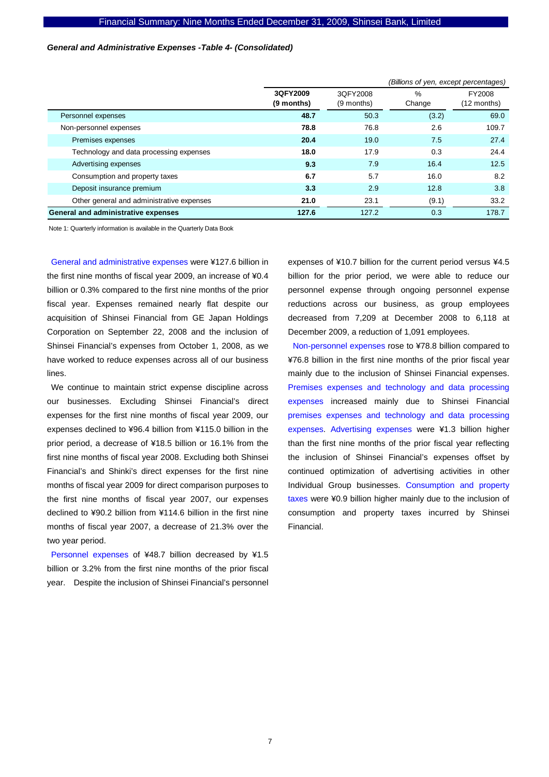### *General and Administrative Expenses -Table 4- (Consolidated)*

|                                           |                        | (Billions of yen, except percentages) |                |                       |  |
|-------------------------------------------|------------------------|---------------------------------------|----------------|-----------------------|--|
|                                           | 3QFY2009<br>(9 months) | 3QFY2008<br>(9 months)                | $\%$<br>Change | FY2008<br>(12 months) |  |
| Personnel expenses                        | 48.7                   | 50.3                                  | (3.2)          | 69.0                  |  |
| Non-personnel expenses                    | 78.8                   | 76.8                                  | 2.6            | 109.7                 |  |
| Premises expenses                         | 20.4                   | 19.0                                  | 7.5            | 27.4                  |  |
| Technology and data processing expenses   | 18.0                   | 17.9                                  | 0.3            | 24.4                  |  |
| Advertising expenses                      | 9.3                    | 7.9                                   | 16.4           | 12.5                  |  |
| Consumption and property taxes            | 6.7                    | 5.7                                   | 16.0           | 8.2                   |  |
| Deposit insurance premium                 | 3.3                    | 2.9                                   | 12.8           | 3.8                   |  |
| Other general and administrative expenses | 21.0                   | 23.1                                  | (9.1)          | 33.2                  |  |
| General and administrative expenses       | 127.6                  | 127.2                                 | 0.3            | 178.7                 |  |

Note 1: Quarterly information is available in the Quarterly Data Book

General and administrative expenses were ¥127.6 billion in the first nine months of fiscal year 2009, an increase of ¥0.4 billion or 0.3% compared to the first nine months of the prior fiscal year. Expenses remained nearly flat despite our acquisition of Shinsei Financial from GE Japan Holdings Corporation on September 22, 2008 and the inclusion of Shinsei Financial's expenses from October 1, 2008, as we have worked to reduce expenses across all of our business lines.

We continue to maintain strict expense discipline across our businesses. Excluding Shinsei Financial's direct expenses for the first nine months of fiscal year 2009, our expenses declined to ¥96.4 billion from ¥115.0 billion in the prior period, a decrease of ¥18.5 billion or 16.1% from the first nine months of fiscal year 2008. Excluding both Shinsei Financial's and Shinki's direct expenses for the first nine months of fiscal year 2009 for direct comparison purposes to the first nine months of fiscal year 2007, our expenses declined to ¥90.2 billion from ¥114.6 billion in the first nine months of fiscal year 2007, a decrease of 21.3% over the two year period.

Personnel expenses of ¥48.7 billion decreased by ¥1.5 billion or 3.2% from the first nine months of the prior fiscal year. Despite the inclusion of Shinsei Financial's personnel expenses of ¥10.7 billion for the current period versus ¥4.5 billion for the prior period, we were able to reduce our personnel expense through ongoing personnel expense reductions across our business, as group employees decreased from 7,209 at December 2008 to 6,118 at December 2009, a reduction of 1,091 employees.

Non-personnel expenses rose to ¥78.8 billion compared to ¥76.8 billion in the first nine months of the prior fiscal year mainly due to the inclusion of Shinsei Financial expenses. Premises expenses and technology and data processing expenses increased mainly due to Shinsei Financial premises expenses and technology and data processing expenses. Advertising expenses were ¥1.3 billion higher than the first nine months of the prior fiscal year reflecting the inclusion of Shinsei Financial's expenses offset by continued optimization of advertising activities in other Individual Group businesses. Consumption and property taxes were ¥0.9 billion higher mainly due to the inclusion of consumption and property taxes incurred by Shinsei Financial.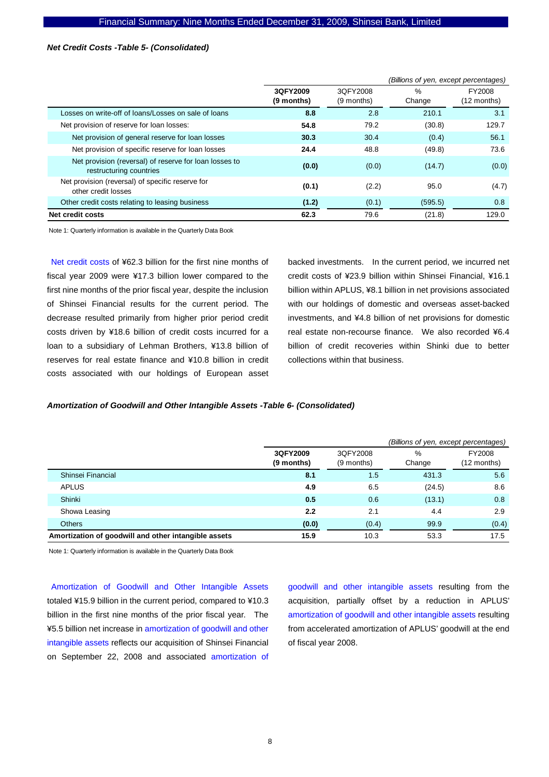### *Net Credit Costs -Table 5- (Consolidated)*

|                                                                                   |                        |                        | (Billions of yen, except percentages) |                       |
|-----------------------------------------------------------------------------------|------------------------|------------------------|---------------------------------------|-----------------------|
|                                                                                   | 3QFY2009<br>(9 months) | 3QFY2008<br>(9 months) | %<br>Change                           | FY2008<br>(12 months) |
| Losses on write-off of loans/Losses on sale of loans                              | 8.8                    | 2.8                    | 210.1                                 | 3.1                   |
| Net provision of reserve for loan losses:                                         | 54.8                   | 79.2                   | (30.8)                                | 129.7                 |
| Net provision of general reserve for loan losses                                  | 30.3                   | 30.4                   | (0.4)                                 | 56.1                  |
| Net provision of specific reserve for loan losses                                 | 24.4                   | 48.8                   | (49.8)                                | 73.6                  |
| Net provision (reversal) of reserve for loan losses to<br>restructuring countries | (0.0)                  | (0.0)                  | (14.7)                                | (0.0)                 |
| Net provision (reversal) of specific reserve for<br>other credit losses           | (0.1)                  | (2.2)                  | 95.0                                  | (4.7)                 |
| Other credit costs relating to leasing business                                   | (1.2)                  | (0.1)                  | (595.5)                               | 0.8                   |
| Net credit costs                                                                  | 62.3                   | 79.6                   | (21.8)                                | 129.0                 |

Note 1: Quarterly information is available in the Quarterly Data Book

Net credit costs of ¥62.3 billion for the first nine months of fiscal year 2009 were ¥17.3 billion lower compared to the first nine months of the prior fiscal year, despite the inclusion of Shinsei Financial results for the current period. The decrease resulted primarily from higher prior period credit costs driven by ¥18.6 billion of credit costs incurred for a loan to a subsidiary of Lehman Brothers, ¥13.8 billion of reserves for real estate finance and ¥10.8 billion in credit costs associated with our holdings of European asset

backed investments. In the current period, we incurred net credit costs of ¥23.9 billion within Shinsei Financial, ¥16.1 billion within APLUS, ¥8.1 billion in net provisions associated with our holdings of domestic and overseas asset-backed investments, and ¥4.8 billion of net provisions for domestic real estate non-recourse finance. We also recorded ¥6.4 billion of credit recoveries within Shinki due to better collections within that business.

#### *Amortization of Goodwill and Other Intangible Assets -Table 6- (Consolidated)*

|                                                      |                        |                        | (Billions of yen, except percentages) |                       |
|------------------------------------------------------|------------------------|------------------------|---------------------------------------|-----------------------|
|                                                      | 3QFY2009<br>(9 months) | 3QFY2008<br>(9 months) | %<br>Change                           | FY2008<br>(12 months) |
| Shinsei Financial                                    | 8.1                    | 1.5                    | 431.3                                 | 5.6                   |
| <b>APLUS</b>                                         | 4.9                    | 6.5                    | (24.5)                                | 8.6                   |
| Shinki                                               | 0.5                    | 0.6                    | (13.1)                                | 0.8                   |
| Showa Leasing                                        | 2.2                    | 2.1                    | 4.4                                   | 2.9                   |
| <b>Others</b>                                        | (0.0)                  | (0.4)                  | 99.9                                  | (0.4)                 |
| Amortization of goodwill and other intangible assets | 15.9                   | 10.3                   | 53.3                                  | 17.5                  |

Note 1: Quarterly information is available in the Quarterly Data Book

Amortization of Goodwill and Other Intangible Assets totaled ¥15.9 billion in the current period, compared to ¥10.3 billion in the first nine months of the prior fiscal year. The ¥5.5 billion net increase in amortization of goodwill and other intangible assets reflects our acquisition of Shinsei Financial on September 22, 2008 and associated amortization of

goodwill and other intangible assets resulting from the acquisition, partially offset by a reduction in APLUS' amortization of goodwill and other intangible assets resulting from accelerated amortization of APLUS' goodwill at the end of fiscal year 2008.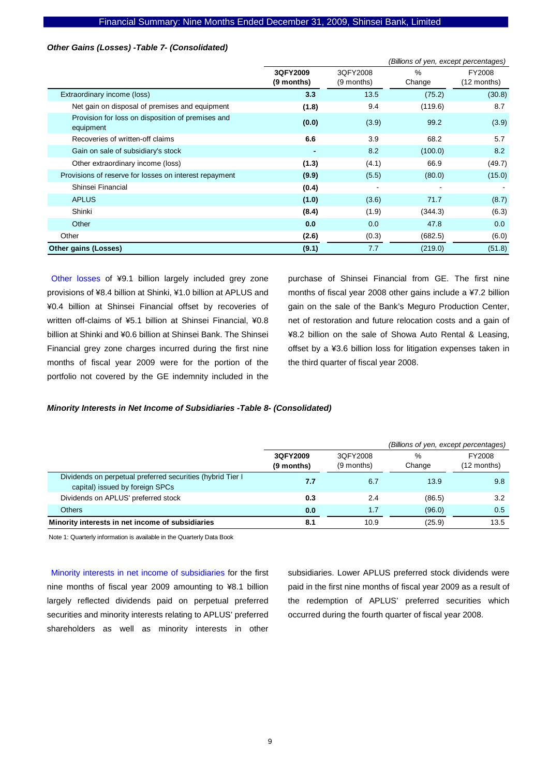#### Financial Summary: Nine Months Ended December 31, 2009, Shinsei Bank, Limited

### *Other Gains (Losses) -Table 7- (Consolidated)*

|                                                                |                        | (Billions of yen, except percentages) |             |                       |
|----------------------------------------------------------------|------------------------|---------------------------------------|-------------|-----------------------|
|                                                                | 3QFY2009<br>(9 months) | 3QFY2008<br>(9 months)                | %<br>Change | FY2008<br>(12 months) |
| Extraordinary income (loss)                                    | 3.3                    | 13.5                                  | (75.2)      | (30.8)                |
| Net gain on disposal of premises and equipment                 | (1.8)                  | 9.4                                   | (119.6)     | 8.7                   |
| Provision for loss on disposition of premises and<br>equipment | (0.0)                  | (3.9)                                 | 99.2        | (3.9)                 |
| Recoveries of written-off claims                               | 6.6                    | 3.9                                   | 68.2        | 5.7                   |
| Gain on sale of subsidiary's stock                             |                        | 8.2                                   | (100.0)     | 8.2                   |
| Other extraordinary income (loss)                              | (1.3)                  | (4.1)                                 | 66.9        | (49.7)                |
| Provisions of reserve for losses on interest repayment         | (9.9)                  | (5.5)                                 | (80.0)      | (15.0)                |
| Shinsei Financial                                              | (0.4)                  |                                       |             |                       |
| <b>APLUS</b>                                                   | (1.0)                  | (3.6)                                 | 71.7        | (8.7)                 |
| Shinki                                                         | (8.4)                  | (1.9)                                 | (344.3)     | (6.3)                 |
| Other                                                          | 0.0                    | 0.0                                   | 47.8        | 0.0                   |
| Other                                                          | (2.6)                  | (0.3)                                 | (682.5)     | (6.0)                 |
| <b>Other gains (Losses)</b>                                    | (9.1)                  | 7.7                                   | (219.0)     | (51.8)                |

Other losses of ¥9.1 billion largely included grey zone provisions of ¥8.4 billion at Shinki, ¥1.0 billion at APLUS and ¥0.4 billion at Shinsei Financial offset by recoveries of written off-claims of ¥5.1 billion at Shinsei Financial, ¥0.8 billion at Shinki and ¥0.6 billion at Shinsei Bank. The Shinsei Financial grey zone charges incurred during the first nine months of fiscal year 2009 were for the portion of the portfolio not covered by the GE indemnity included in the

purchase of Shinsei Financial from GE. The first nine months of fiscal year 2008 other gains include a ¥7.2 billion gain on the sale of the Bank's Meguro Production Center, net of restoration and future relocation costs and a gain of ¥8.2 billion on the sale of Showa Auto Rental & Leasing, offset by a ¥3.6 billion loss for litigation expenses taken in the third quarter of fiscal year 2008.

#### *Minority Interests in Net Income of Subsidiaries -Table 8- (Consolidated)*

|                                                                                               |                        |                        | (Billions of yen, except percentages) |                         |  |  |  |
|-----------------------------------------------------------------------------------------------|------------------------|------------------------|---------------------------------------|-------------------------|--|--|--|
|                                                                                               | 3QFY2009<br>(9 months) | 3QFY2008<br>(9 months) | %<br>Change                           | FY2008<br>$(12$ months) |  |  |  |
| Dividends on perpetual preferred securities (hybrid Tier I<br>capital) issued by foreign SPCs | 7.7                    | 6.7                    | 13.9                                  | 9.8                     |  |  |  |
| Dividends on APLUS' preferred stock                                                           | 0.3                    | 2.4                    | (86.5)                                | 3.2                     |  |  |  |
| <b>Others</b>                                                                                 | 0.0                    | 1.7                    | (96.0)                                | 0.5                     |  |  |  |
| Minority interests in net income of subsidiaries                                              | 8.1                    | 10.9                   | (25.9)                                | 13.5                    |  |  |  |

Note 1: Quarterly information is available in the Quarterly Data Book

Minority interests in net income of subsidiaries for the first nine months of fiscal year 2009 amounting to ¥8.1 billion largely reflected dividends paid on perpetual preferred securities and minority interests relating to APLUS' preferred shareholders as well as minority interests in other

subsidiaries. Lower APLUS preferred stock dividends were paid in the first nine months of fiscal year 2009 as a result of the redemption of APLUS' preferred securities which occurred during the fourth quarter of fiscal year 2008.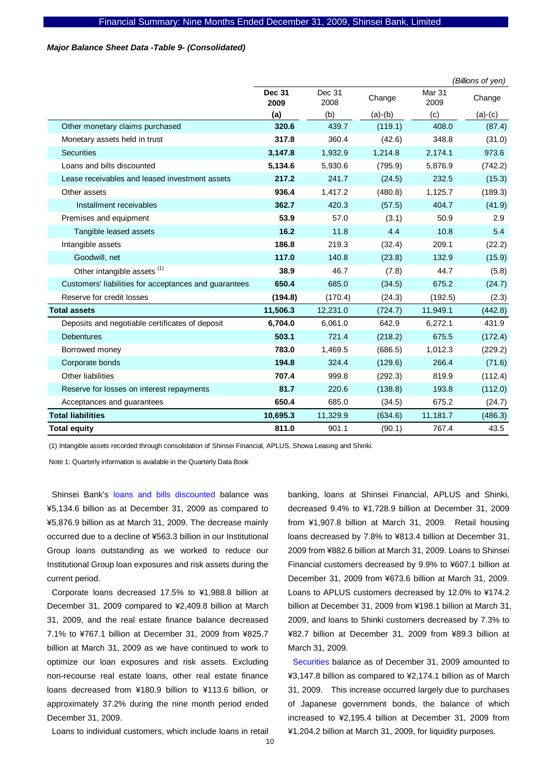### *Major Balance Sheet Data -Table 9- (Consolidated)*

|                                                       |                       |                |           |                | (Billions of yen) |
|-------------------------------------------------------|-----------------------|----------------|-----------|----------------|-------------------|
|                                                       | <b>Dec 31</b><br>2009 | Dec 31<br>2008 | Change    | Mar 31<br>2009 | Change            |
|                                                       | (a)                   | (b)            | $(a)-(b)$ | (c)            | $(a)-(c)$         |
| Other monetary claims purchased                       | 320.6                 | 439.7          | (119.1)   | 408.0          | (87.4)            |
| Monetary assets held in trust                         | 317.8                 | 360.4          | (42.6)    | 348.8          | (31.0)            |
| <b>Securities</b>                                     | 3,147.8               | 1,932.9        | 1,214.8   | 2,174.1        | 973.6             |
| Loans and bills discounted                            | 5,134.6               | 5,930.6        | (795.9)   | 5,876.9        | (742.2)           |
| Lease receivables and leased investment assets        | 217.2                 | 241.7          | (24.5)    | 232.5          | (15.3)            |
| Other assets                                          | 936.4                 | 1.417.2        | (480.8)   | 1,125.7        | (189.3)           |
| Installment receivables                               | 362.7                 | 420.3          | (57.5)    | 404.7          | (41.9)            |
| Premises and equipment                                | 53.9                  | 57.0           | (3.1)     | 50.9           | 2.9               |
| Tangible leased assets                                | 16.2                  | 11.8           | 4.4       | 10.8           | 5.4               |
| Intangible assets                                     | 186.8                 | 219.3          | (32.4)    | 209.1          | (22.2)            |
| Goodwill, net                                         | 117.0                 | 140.8          | (23.8)    | 132.9          | (15.9)            |
| Other intangible assets <sup>(1)</sup>                | 38.9                  | 46.7           | (7.8)     | 44.7           | (5.8)             |
| Customers' liabilities for acceptances and guarantees | 650.4                 | 685.0          | (34.5)    | 675.2          | (24.7)            |
| Reserve for credit losses                             | (194.8)               | (170.4)        | (24.3)    | (192.5)        | (2.3)             |
| <b>Total assets</b>                                   | 11,506.3              | 12,231.0       | (724.7)   | 11,949.1       | (442.8)           |
| Deposits and negotiable certificates of deposit       | 6,704.0               | 6.061.0        | 642.9     | 6,272.1        | 431.9             |
| <b>Debentures</b>                                     | 503.1                 | 721.4          | (218.2)   | 675.5          | (172.4)           |
| Borrowed money                                        | 783.0                 | 1,469.5        | (686.5)   | 1,012.3        | (229.2)           |
| Corporate bonds                                       | 194.8                 | 324.4          | (129.6)   | 266.4          | (71.6)            |
| <b>Other liabilities</b>                              | 707.4                 | 999.8          | (292.3)   | 819.9          | (112.4)           |
| Reserve for losses on interest repayments             | 81.7                  | 220.6          | (138.8)   | 193.8          | (112.0)           |
| Acceptances and guarantees                            | 650.4                 | 685.0          | (34.5)    | 675.2          | (24.7)            |
| <b>Total liabilities</b>                              | 10,695.3              | 11,329.9       | (634.6)   | 11,181.7       | (486.3)           |
| <b>Total equity</b>                                   | 811.0                 | 901.1          | (90.1)    | 767.4          | 43.5              |

(1) Intangible assets recorded through consolidation of Shinsei Financial, APLUS, Showa Leasing and Shinki.

Note 1: Quarterly information is available in the Quarterly Data Book

Shinsei Bank's loans and bills discounted balance was ¥5,134.6 billion as at December 31, 2009 as compared to ¥5,876.9 billion as at March 31, 2009. The decrease mainly occurred due to a decline of ¥563.3 billion in our Institutional Group loans outstanding as we worked to reduce our Institutional Group loan exposures and risk assets during the current period.

Corporate loans decreased 17.5% to ¥1,988.8 billion at December 31, 2009 compared to ¥2,409.8 billion at March 31, 2009, and the real estate finance balance decreased 7.1% to ¥767.1 billion at December 31, 2009 from ¥825.7 billion at March 31, 2009 as we have continued to work to optimize our loan exposures and risk assets. Excluding non-recourse real estate loans, other real estate finance loans decreased from ¥180.9 billion to ¥113.6 billion, or approximately 37.2% during the nine month period ended December 31, 2009.

Loans to individual customers, which include loans in retail

banking, loans at Shinsei Financial, APLUS and Shinki, decreased 9.4% to ¥1,728.9 billion at December 31, 2009 from ¥1,907.8 billion at March 31, 2009. Retail housing loans decreased by 7.8% to ¥813.4 billion at December 31, 2009 from ¥882.6 billion at March 31, 2009. Loans to Shinsei Financial customers decreased by 9.9% to ¥607.1 billion at December 31, 2009 from ¥673.6 billion at March 31, 2009. Loans to APLUS customers decreased by 12.0% to ¥174.2 billion at December 31, 2009 from ¥198.1 billion at March 31, 2009, and loans to Shinki customers decreased by 7.3% to ¥82.7 billion at December 31, 2009 from ¥89.3 billion at March 31, 2009.

Securities balance as of December 31, 2009 amounted to ¥3,147.8 billion as compared to ¥2,174.1 billion as of March 31, 2009. This increase occurred largely due to purchases of Japanese government bonds, the balance of which increased to ¥2,195.4 billion at December 31, 2009 from ¥1,204.2 billion at March 31, 2009, for liquidity purposes.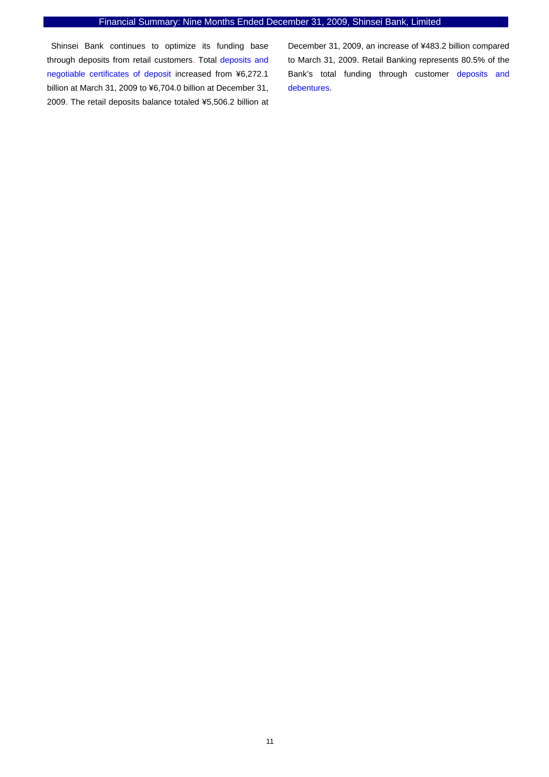### Financial Summary: Nine Months Ended December 31, 2009, Shinsei Bank, Limited

Shinsei Bank continues to optimize its funding base through deposits from retail customers. Total deposits and negotiable certificates of deposit increased from ¥6,272.1 billion at March 31, 2009 to ¥6,704.0 billion at December 31, 2009. The retail deposits balance totaled ¥5,506.2 billion at December 31, 2009, an increase of ¥483.2 billion compared to March 31, 2009. Retail Banking represents 80.5% of the Bank's total funding through customer deposits and debentures.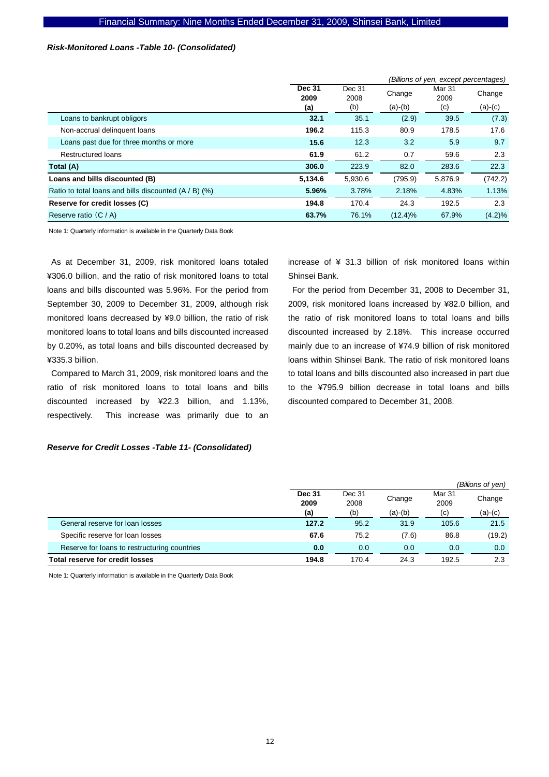### *Risk-Monitored Loans -Table 10- (Consolidated)*

|                                                         |                       |                | (Billions of yen, except percentages) |                |           |  |  |  |
|---------------------------------------------------------|-----------------------|----------------|---------------------------------------|----------------|-----------|--|--|--|
|                                                         | <b>Dec 31</b><br>2009 | Dec 31<br>2008 | Change                                | Mar 31<br>2009 | Change    |  |  |  |
|                                                         | (a)                   | (b)            | $(a)-(b)$                             | (c)            | $(a)-(c)$ |  |  |  |
| Loans to bankrupt obligors                              | 32.1                  | 35.1           | (2.9)                                 | 39.5           | (7.3)     |  |  |  |
| Non-accrual delinguent loans                            | 196.2                 | 115.3          | 80.9                                  | 178.5          | 17.6      |  |  |  |
| Loans past due for three months or more                 | 15.6                  | 12.3           | 3.2                                   | 5.9            | 9.7       |  |  |  |
| <b>Restructured loans</b>                               | 61.9                  | 61.2           | 0.7                                   | 59.6           | 2.3       |  |  |  |
| Total (A)                                               | 306.0                 | 223.9          | 82.0                                  | 283.6          | 22.3      |  |  |  |
| Loans and bills discounted (B)                          | 5,134.6               | 5,930.6        | (795.9)                               | 5,876.9        | (742.2)   |  |  |  |
| Ratio to total loans and bills discounted $(A / B)$ (%) | 5.96%                 | 3.78%          | 2.18%                                 | 4.83%          | 1.13%     |  |  |  |
| Reserve for credit losses (C)                           | 194.8                 | 170.4          | 24.3                                  | 192.5          | 2.3       |  |  |  |
| Reserve ratio $(C / A)$                                 | 63.7%                 | 76.1%          | $(12.4)\%$                            | 67.9%          | $(4.2)\%$ |  |  |  |

Note 1: Quarterly information is available in the Quarterly Data Book

As at December 31, 2009, risk monitored loans totaled ¥306.0 billion, and the ratio of risk monitored loans to total loans and bills discounted was 5.96%. For the period from September 30, 2009 to December 31, 2009, although risk monitored loans decreased by ¥9.0 billion, the ratio of risk monitored loans to total loans and bills discounted increased by 0.20%, as total loans and bills discounted decreased by ¥335.3 billion.

Compared to March 31, 2009, risk monitored loans and the ratio of risk monitored loans to total loans and bills discounted increased by ¥22.3 billion, and 1.13%, respectively. This increase was primarily due to an

#### *Reserve for Credit Losses -Table 11- (Consolidated)*

increase of ¥ 31.3 billion of risk monitored loans within Shinsei Bank.

For the period from December 31, 2008 to December 31, 2009, risk monitored loans increased by ¥82.0 billion, and the ratio of risk monitored loans to total loans and bills discounted increased by 2.18%. This increase occurred mainly due to an increase of ¥74.9 billion of risk monitored loans within Shinsei Bank. The ratio of risk monitored loans to total loans and bills discounted also increased in part due to the ¥795.9 billion decrease in total loans and bills discounted compared to December 31, 2008.

|                                              |                       |                |           |                | (Billions of yen) |
|----------------------------------------------|-----------------------|----------------|-----------|----------------|-------------------|
|                                              | <b>Dec 31</b><br>2009 | Dec 31<br>2008 | Change    | Mar 31<br>2009 | Change            |
|                                              | (a)                   | (b)            | $(a)-(b)$ | (c)            | $(a)-(c)$         |
| General reserve for loan losses              | 127.2                 | 95.2           | 31.9      | 105.6          | 21.5              |
| Specific reserve for loan losses             | 67.6                  | 75.2           | (7.6)     | 86.8           | (19.2)            |
| Reserve for loans to restructuring countries | 0.0                   | 0.0            | 0.0       | 0.0            | 0.0               |
| Total reserve for credit losses              | 194.8                 | 170.4          | 24.3      | 192.5          | 2.3               |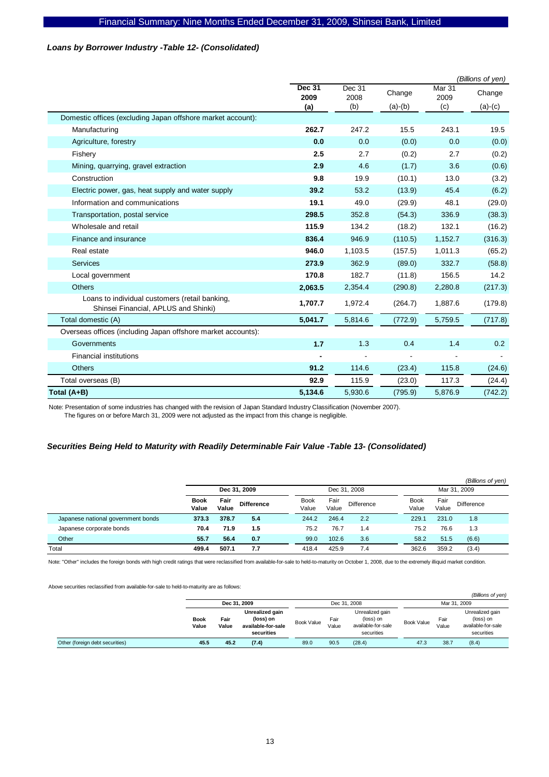### *Loans by Borrower Industry -Table 12- (Consolidated)*

|                                                                                        |                       |                |           |                | (Billions of yen) |
|----------------------------------------------------------------------------------------|-----------------------|----------------|-----------|----------------|-------------------|
|                                                                                        | <b>Dec 31</b><br>2009 | Dec 31<br>2008 | Change    | Mar 31<br>2009 | Change            |
|                                                                                        | (a)                   | (b)            | $(a)-(b)$ | (c)            | $(a)-(c)$         |
| Domestic offices (excluding Japan offshore market account):                            |                       |                |           |                |                   |
| Manufacturing                                                                          | 262.7                 | 247.2          | 15.5      | 243.1          | 19.5              |
| Agriculture, forestry                                                                  | 0.0                   | 0.0            | (0.0)     | 0.0            | (0.0)             |
| Fishery                                                                                | 2.5                   | 2.7            | (0.2)     | 2.7            | (0.2)             |
| Mining, quarrying, gravel extraction                                                   | 2.9                   | 4.6            | (1.7)     | 3.6            | (0.6)             |
| Construction                                                                           | 9.8                   | 19.9           | (10.1)    | 13.0           | (3.2)             |
| Electric power, gas, heat supply and water supply                                      | 39.2                  | 53.2           | (13.9)    | 45.4           | (6.2)             |
| Information and communications                                                         | 19.1                  | 49.0           | (29.9)    | 48.1           | (29.0)            |
| Transportation, postal service                                                         | 298.5                 | 352.8          | (54.3)    | 336.9          | (38.3)            |
| Wholesale and retail                                                                   | 115.9                 | 134.2          | (18.2)    | 132.1          | (16.2)            |
| Finance and insurance                                                                  | 836.4                 | 946.9          | (110.5)   | 1,152.7        | (316.3)           |
| Real estate                                                                            | 946.0                 | 1,103.5        | (157.5)   | 1,011.3        | (65.2)            |
| <b>Services</b>                                                                        | 273.9                 | 362.9          | (89.0)    | 332.7          | (58.8)            |
| Local government                                                                       | 170.8                 | 182.7          | (11.8)    | 156.5          | 14.2              |
| <b>Others</b>                                                                          | 2,063.5               | 2,354.4        | (290.8)   | 2,280.8        | (217.3)           |
| Loans to individual customers (retail banking,<br>Shinsei Financial, APLUS and Shinki) | 1,707.7               | 1,972.4        | (264.7)   | 1,887.6        | (179.8)           |
| Total domestic (A)                                                                     | 5,041.7               | 5,814.6        | (772.9)   | 5,759.5        | (717.8)           |
| Overseas offices (including Japan offshore market accounts):                           |                       |                |           |                |                   |
| Governments                                                                            | 1.7                   | 1.3            | 0.4       | 1.4            | 0.2               |
| <b>Financial institutions</b>                                                          |                       |                |           |                |                   |
| <b>Others</b>                                                                          | 91.2                  | 114.6          | (23.4)    | 115.8          | (24.6)            |
| Total overseas (B)                                                                     | 92.9                  | 115.9          | (23.0)    | 117.3          | (24.4)            |
| Total (A+B)                                                                            | 5,134.6               | 5,930.6        | (795.9)   | 5,876.9        | (742.2)           |

Note: Presentation of some industries has changed with the revision of Japan Standard Industry Classification (November 2007).

### The figures on or before March 31, 2009 were not adjusted as the impact from this change is negligible.

### *Securities Being Held to Maturity with Readily Determinable Fair Value -Table 13- (Consolidated)*

|                                    |                      |               |                   |                      |               |                   |                      |               | (Billions of yen) |  |
|------------------------------------|----------------------|---------------|-------------------|----------------------|---------------|-------------------|----------------------|---------------|-------------------|--|
|                                    | Dec 31, 2009         |               |                   | Dec 31, 2008         |               |                   | Mar 31, 2009         |               |                   |  |
|                                    | <b>Book</b><br>Value | Fair<br>Value | <b>Difference</b> | <b>Book</b><br>Value | Fair<br>Value | <b>Difference</b> | <b>Book</b><br>Value | Fair<br>Value | Difference        |  |
| Japanese national government bonds | 373.3                | 378.7         | 5.4               | 244.2                | 246.4         | 2.2               | 229.1                | 231.0         | 1.8               |  |
| Japanese corporate bonds           | 70.4                 | 71.9          | 1.5               | 75.2                 | 76.7          | 1.4               | 75.2                 | 76.6          | 1.3               |  |
| Other                              | 55.7                 | 56.4          | 0.7               | 99.0                 | 102.6         | 3.6               | 58.2                 | 51.5          | (6.6)             |  |
| Total                              | 499.4                | 507.1         | 7.7               | 418.4                | 425.9         | 7.4               | 362.6                | 359.2         | (3.4)             |  |

Note: "Other" includes the foreign bonds with high credit ratings that were reclassified from available-for-sale to held-to-maturity on October 1, 2008, due to the extremely illiquid market condition.

Above securities reclassified from available-for-sale to held-to-maturity are as follows:

|                                 |                      |               |                                                                  |            |               |                                                                  |                             |                                                                  | (Billions of yen) |
|---------------------------------|----------------------|---------------|------------------------------------------------------------------|------------|---------------|------------------------------------------------------------------|-----------------------------|------------------------------------------------------------------|-------------------|
|                                 | Dec 31, 2009         |               | Dec 31, 2008                                                     |            |               | Mar 31, 2009                                                     |                             |                                                                  |                   |
|                                 | <b>Book</b><br>Value | Fair<br>Value | Unrealized gain<br>(loss) on<br>available-for-sale<br>securities | Book Value | Fair<br>Value | Unrealized gain<br>(loss) on<br>available-for-sale<br>securities | Fair<br>Book Value<br>Value | Unrealized gain<br>(loss) on<br>available-for-sale<br>securities |                   |
| Other (foreign debt securities) | 45.5                 | 45.2          | (7.4)                                                            | 89.0       | 90.5          | (28.4)                                                           | 47.3                        | 38.7                                                             | (8.4)             |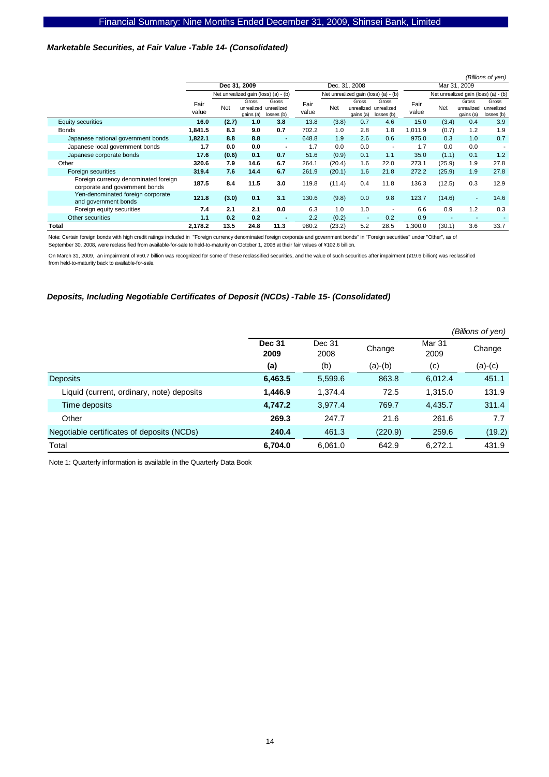### *Marketable Securities, at Fair Value -Table 14- (Consolidated)*

|                                                                        |               |              |                                  |                                      |               |        |                          |                                              |               |        |                                  | (Billions of yen)                    |
|------------------------------------------------------------------------|---------------|--------------|----------------------------------|--------------------------------------|---------------|--------|--------------------------|----------------------------------------------|---------------|--------|----------------------------------|--------------------------------------|
|                                                                        |               | Dec 31, 2009 |                                  |                                      |               |        | Dec. 31, 2008            |                                              |               |        | Mar 31, 2009                     |                                      |
|                                                                        |               |              |                                  | Net unrealized gain (loss) (a) - (b) |               |        |                          | Net unrealized gain (loss) (a) - (b)         |               |        |                                  | Net unrealized gain (loss) (a) - (b) |
|                                                                        | Fair<br>value | Net          | Gross<br>unrealized<br>gains (a) | Gross<br>unrealized<br>losses (b)    | Fair<br>value | Net    | Gross<br>gains (a)       | Gross<br>unrealized unrealized<br>losses (b) | Fair<br>value | Net    | Gross<br>unrealized<br>gains (a) | Gross<br>unrealized<br>losses (b)    |
| <b>Equity securities</b>                                               | 16.0          | (2.7)        | 1.0                              | 3.8                                  | 13.8          | (3.8)  | 0.7                      | 4.6                                          | 15.0          | (3.4)  | 0.4                              | 3.9                                  |
| <b>Bonds</b>                                                           | 1,841.5       | 8.3          | 9.0                              | 0.7                                  | 702.2         | 1.0    | 2.8                      | 1.8                                          | 1,011.9       | (0.7)  | 1.2                              | 1.9                                  |
| Japanese national government bonds                                     | 1,822.1       | 8.8          | 8.8                              | $\blacksquare$                       | 648.8         | 1.9    | 2.6                      | 0.6                                          | 975.0         | 0.3    | 1.0                              | 0.7                                  |
| Japanese local government bonds                                        | 1.7           | 0.0          | 0.0                              | $\blacksquare$                       | 1.7           | 0.0    | 0.0                      | ٠                                            | 1.7           | 0.0    | 0.0                              |                                      |
| Japanese corporate bonds                                               | 17.6          | (0.6)        | 0.1                              | 0.7                                  | 51.6          | (0.9)  | 0.1                      | 1.1                                          | 35.0          | (1.1)  | 0.1                              | 1.2                                  |
| Other                                                                  | 320.6         | 7.9          | 14.6                             | 6.7                                  | 264.1         | (20.4) | 1.6                      | 22.0                                         | 273.1         | (25.9) | 1.9                              | 27.8                                 |
| Foreign securities                                                     | 319.4         | 7.6          | 14.4                             | 6.7                                  | 261.9         | (20.1) | 1.6                      | 21.8                                         | 272.2         | (25.9) | 1.9                              | 27.8                                 |
| Foreign currency denominated foreign<br>corporate and government bonds | 187.5         | 8.4          | 11.5                             | 3.0                                  | 119.8         | (11.4) | 0.4                      | 11.8                                         | 136.3         | (12.5) | 0.3                              | 12.9                                 |
| Yen-denominated foreign corporate<br>and government bonds              | 121.8         | (3.0)        | 0.1                              | 3.1                                  | 130.6         | (9.8)  | 0.0                      | 9.8                                          | 123.7         | (14.6) | $\blacksquare$                   | 14.6                                 |
| Foreign equity securities                                              | 7.4           | 2.1          | 2.1                              | 0.0                                  | 6.3           | 1.0    | 1.0                      | ٠                                            | 6.6           | 0.9    | 1.2                              | 0.3                                  |
| Other securities                                                       | 1.1           | 0.2          | 0.2                              |                                      | 2.2           | (0.2)  | $\overline{\phantom{a}}$ | 0.2                                          | 0.9           |        |                                  |                                      |
| Total                                                                  | 2.178.2       | 13.5         | 24.8                             | 11.3                                 | 980.2         | (23.2) | 5.2                      | 28.5                                         | .300.0        | (30.1) | 3.6                              | 33.7                                 |

Note: Certain foreign bonds with high credit ratings included in "Foreign currency denominated foreign corporate and government bonds" in "Foreign securities" under "Other", as of

September 30, 2008, were reclassified from available-for-sale to held-to-maturity on October 1, 2008 at their fair values of ¥102.6 billion.

On March 31, 2009, an impairment of ¥50.7 billion was recognized for some of these reclassified securities, and the value of such securities after impairment (¥19.6 billion) was reclassified from held-to-maturity back to available-for-sale.

### *Deposits, Including Negotiable Certificates of Deposit (NCDs) -Table 15- (Consolidated)*

|                                            |                       |                |           |                | (Billions of yen) |
|--------------------------------------------|-----------------------|----------------|-----------|----------------|-------------------|
|                                            | <b>Dec 31</b><br>2009 | Dec 31<br>2008 | Change    | Mar 31<br>2009 | Change            |
|                                            | (a)                   | (b)            | $(a)-(b)$ | (c)            | $(a)-(c)$         |
| <b>Deposits</b>                            | 6,463.5               | 5,599.6        | 863.8     | 6,012.4        | 451.1             |
| Liquid (current, ordinary, note) deposits  | 1,446.9               | 1,374.4        | 72.5      | 1,315.0        | 131.9             |
| Time deposits                              | 4,747.2               | 3.977.4        | 769.7     | 4,435.7        | 311.4             |
| Other                                      | 269.3                 | 247.7          | 21.6      | 261.6          | 7.7               |
| Negotiable certificates of deposits (NCDs) | 240.4                 | 461.3          | (220.9)   | 259.6          | (19.2)            |
| Total                                      | 6,704.0               | 6,061.0        | 642.9     | 6,272.1        | 431.9             |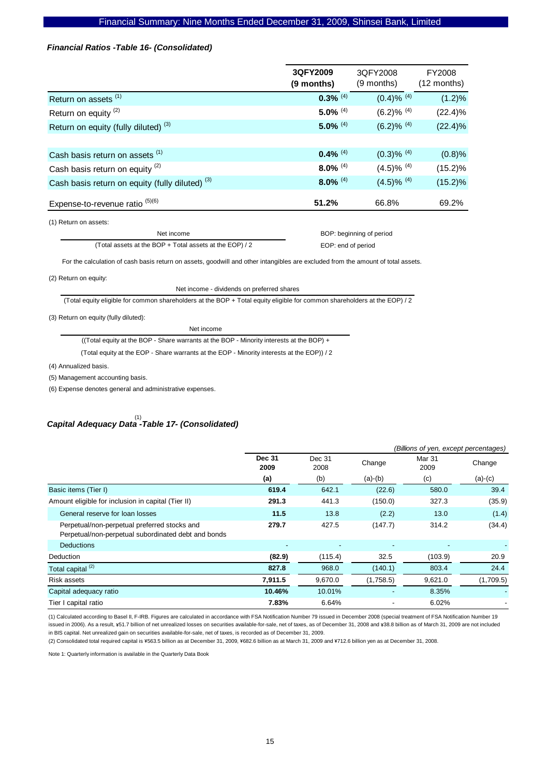### *Financial Ratios -Table 16- (Consolidated)*

|                                                            | 3QFY2009<br>(9 months) | 3QFY2008<br>(9 months)    | FY2008<br>$(12$ months) |
|------------------------------------------------------------|------------------------|---------------------------|-------------------------|
| Return on assets <sup>(1)</sup>                            | $0.3\%$ <sup>(4)</sup> | $(0.4) \%$ <sup>(4)</sup> | (1.2)%                  |
| Return on equity <sup>(2)</sup>                            | $5.0\%$ <sup>(4)</sup> | $(6.2)$ % $(4)$           | $(22.4)\%$              |
| Return on equity (fully diluted) <sup>(3)</sup>            | $5.0\%$ <sup>(4)</sup> | $(6.2)$ % $(4)$           | $(22.4)\%$              |
|                                                            |                        |                           |                         |
| Cash basis return on assets (1)                            | $0.4\%$ <sup>(4)</sup> | $(0.3)$ % $(4)$           | (0.8)%                  |
| Cash basis return on equity <sup>(2)</sup>                 | $8.0\%$ <sup>(4)</sup> | $(4.5)\%$ <sup>(4)</sup>  | $(15.2)\%$              |
| Cash basis return on equity (fully diluted) <sup>(3)</sup> | $8.0\%$ <sup>(4)</sup> | $(4.5)$ % (4)             | $(15.2)\%$              |
| Expense-to-revenue ratio <sup>(5)(6)</sup>                 | 51.2%                  | 66.8%                     | 69.2%                   |
| $(4)$ Dotum on googton                                     |                        |                           |                         |

(1) Return on assets:

Net income (Total assets at the BOP + Total assets at the EOP) / 2  BOP: beginning of period EOP: end of period

For the calculation of cash basis return on assets, goodwill and other intangibles are excluded from the amount of total assets.

(2) Return on equity:

Net income - dividends on preferred shares

(Total equity eligible for common shareholders at the BOP + Total equity eligible for common shareholders at the EOP) / 2

(3) Return on equity (fully diluted):

Net income

((Total equity at the BOP - Share warrants at the BOP - Minority interests at the BOP) +

(Total equity at the EOP - Share warrants at the EOP - Minority interests at the EOP)) / 2

(4) Annualized basis.

(5) Management accounting basis.

(6) Expense denotes general and administrative expenses.

# *Capital Adequacy Data -Table 17- (Consolidated)*  (1)

|                                                                                                     |                                         | (Billions of yen, except percentages) |           |                       |           |  |  |  |
|-----------------------------------------------------------------------------------------------------|-----------------------------------------|---------------------------------------|-----------|-----------------------|-----------|--|--|--|
|                                                                                                     | <b>Dec 31</b><br>Dec 31<br>2008<br>2009 |                                       | Change    | <b>Mar 31</b><br>2009 | Change    |  |  |  |
|                                                                                                     | (a)                                     | (b)                                   | $(a)-(b)$ | (c)                   | $(a)-(c)$ |  |  |  |
| Basic items (Tier I)                                                                                | 619.4                                   | 642.1                                 | (22.6)    | 580.0                 | 39.4      |  |  |  |
| Amount eligible for inclusion in capital (Tier II)                                                  | 291.3                                   | 441.3                                 | (150.0)   | 327.3                 | (35.9)    |  |  |  |
| General reserve for loan losses                                                                     | 11.5                                    | 13.8                                  | (2.2)     | 13.0                  | (1.4)     |  |  |  |
| Perpetual/non-perpetual preferred stocks and<br>Perpetual/non-perpetual subordinated debt and bonds | 279.7                                   | 427.5                                 | (147.7)   | 314.2                 | (34.4)    |  |  |  |
| <b>Deductions</b>                                                                                   | $\overline{a}$                          | ٠                                     |           | ٠                     |           |  |  |  |
| <b>Deduction</b>                                                                                    | (82.9)                                  | (115.4)                               | 32.5      | (103.9)               | 20.9      |  |  |  |
| Total capital <sup>(2)</sup>                                                                        | 827.8                                   | 968.0                                 | (140.1)   | 803.4                 | 24.4      |  |  |  |
| Risk assets                                                                                         | 7,911.5                                 | 9,670.0                               | (1,758.5) | 9,621.0               | (1,709.5) |  |  |  |
| Capital adequacy ratio                                                                              | 10.46%                                  | 10.01%                                |           | 8.35%                 |           |  |  |  |
| Tier I capital ratio                                                                                | 7.83%                                   | 6.64%                                 | ٠         | 6.02%                 |           |  |  |  |

(1) Calculated according to Basel II, F-IRB. Figures are calculated in accordance with FSA Notification Number 79 issued in December 2008 (special treatment of FSA Notification Number 19 issued in 2006). As a result, ¥51.7 billion of net unrealized losses on securities available-for-sale, net of taxes, as of December 31, 2008 and ¥38.8 billion as of March 31, 2009 are not included in BIS capital. Net unrealized gain on securities available-for-sale, net of taxes, is recorded as of December 31, 2009.

(2) Consolidated total required capital is ¥563.5 billion as at December 31, 2009, ¥682.6 billion as at March 31, 2009 and ¥712.6 billion yen as at December 31, 2008.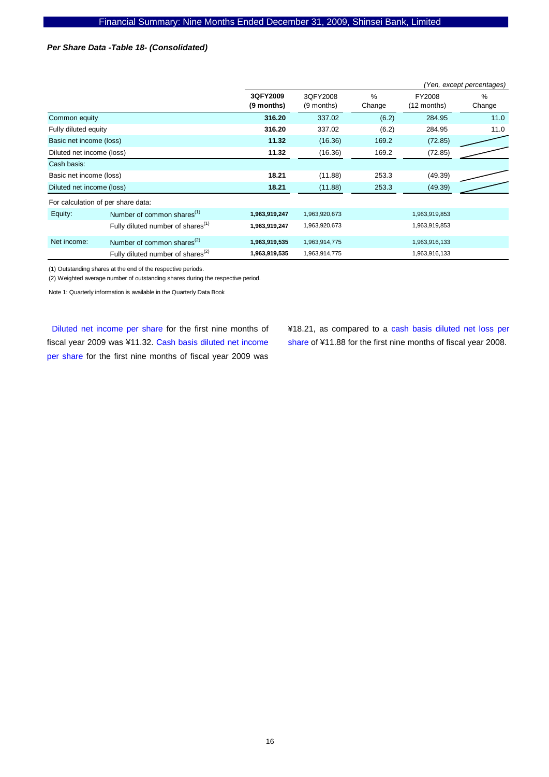### *Per Share Data -Table 18- (Consolidated)*

|                           |                                                     |                        | (Yen, except percentages) |             |                       |                |  |  |
|---------------------------|-----------------------------------------------------|------------------------|---------------------------|-------------|-----------------------|----------------|--|--|
|                           |                                                     | 3QFY2009<br>(9 months) | 3QFY2008<br>(9 months)    | %<br>Change | FY2008<br>(12 months) | $\%$<br>Change |  |  |
| Common equity             |                                                     | 316.20                 | 337.02                    | (6.2)       | 284.95                | 11.0           |  |  |
| Fully diluted equity      |                                                     | 316.20                 | 337.02                    | (6.2)       | 284.95                | 11.0           |  |  |
| Basic net income (loss)   |                                                     | 11.32                  | (16.36)                   | 169.2       | (72.85)               |                |  |  |
| Diluted net income (loss) |                                                     | 11.32                  | (16.36)                   | 169.2       | (72.85)               |                |  |  |
| Cash basis:               |                                                     |                        |                           |             |                       |                |  |  |
| Basic net income (loss)   |                                                     | 18.21                  | (11.88)                   | 253.3       | (49.39)               |                |  |  |
| Diluted net income (loss) |                                                     | 18.21                  | (11.88)                   | 253.3       | (49.39)               |                |  |  |
|                           | For calculation of per share data:                  |                        |                           |             |                       |                |  |  |
| Equity:                   | Number of common shares $(1)$                       | 1,963,919,247          | 1,963,920,673             |             | 1,963,919,853         |                |  |  |
|                           | Fully diluted number of shares <sup>(1)</sup>       | 1,963,919,247          | 1,963,920,673             |             | 1,963,919,853         |                |  |  |
| Net income:               | Number of common shares <sup><math>(2)</math></sup> | 1,963,919,535          | 1,963,914,775             |             | 1,963,916,133         |                |  |  |
|                           | Fully diluted number of shares <sup>(2)</sup>       | 1,963,919,535          | 1,963,914,775             |             | 1,963,916,133         |                |  |  |

(1) Outstanding shares at the end of the respective periods.

(2) Weighted average number of outstanding shares during the respective period.

Note 1: Quarterly information is available in the Quarterly Data Book

Diluted net income per share for the first nine months of fiscal year 2009 was ¥11.32. Cash basis diluted net income per share for the first nine months of fiscal year 2009 was

¥18.21, as compared to a cash basis diluted net loss per share of ¥11.88 for the first nine months of fiscal year 2008.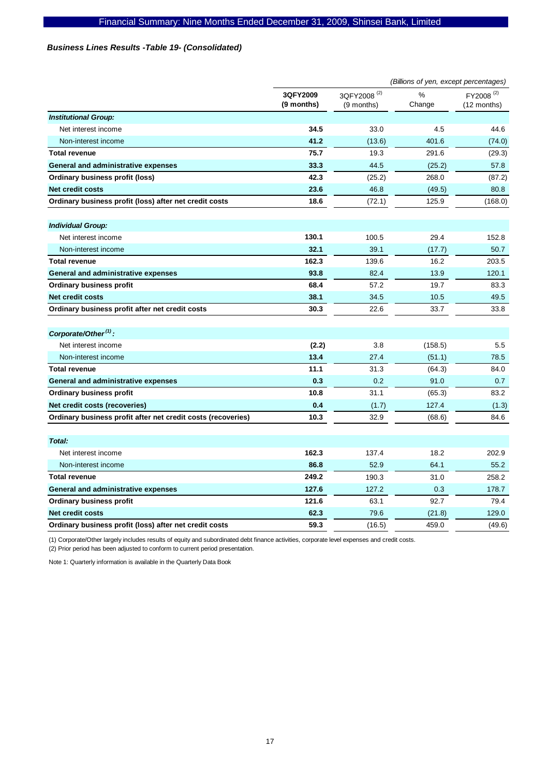### *Business Lines Results -Table 19- (Consolidated)*

|                                                              |                        | (Billions of yen, except percentages) |             |                                      |  |  |
|--------------------------------------------------------------|------------------------|---------------------------------------|-------------|--------------------------------------|--|--|
|                                                              | 3QFY2009<br>(9 months) | 3QFY2008 <sup>(2)</sup><br>(9 months) | %<br>Change | FY2008 <sup>(2)</sup><br>(12 months) |  |  |
| <b>Institutional Group:</b>                                  |                        |                                       |             |                                      |  |  |
| Net interest income                                          | 34.5                   | 33.0                                  | 4.5         | 44.6                                 |  |  |
| Non-interest income                                          | 41.2                   | (13.6)                                | 401.6       | (74.0)                               |  |  |
| <b>Total revenue</b>                                         | 75.7                   | 19.3                                  | 291.6       | (29.3)                               |  |  |
| General and administrative expenses                          | 33.3                   | 44.5                                  | (25.2)      | 57.8                                 |  |  |
| Ordinary business profit (loss)                              | 42.3                   | (25.2)                                | 268.0       | (87.2)                               |  |  |
| Net credit costs                                             | 23.6                   | 46.8                                  | (49.5)      | 80.8                                 |  |  |
| Ordinary business profit (loss) after net credit costs       | 18.6                   | (72.1)                                | 125.9       | (168.0)                              |  |  |
| <b>Individual Group:</b>                                     |                        |                                       |             |                                      |  |  |
| Net interest income                                          | 130.1                  | 100.5                                 | 29.4        | 152.8                                |  |  |
| Non-interest income                                          | 32.1                   | 39.1                                  | (17.7)      | 50.7                                 |  |  |
| <b>Total revenue</b>                                         | 162.3                  | 139.6                                 | 16.2        | 203.5                                |  |  |
| General and administrative expenses                          | 93.8                   | 82.4                                  | 13.9        | 120.1                                |  |  |
| <b>Ordinary business profit</b>                              | 68.4                   | 57.2                                  | 19.7        | 83.3                                 |  |  |
| <b>Net credit costs</b>                                      | 38.1                   | 34.5                                  | 10.5        | 49.5                                 |  |  |
| Ordinary business profit after net credit costs              | 30.3                   | 22.6                                  | 33.7        | 33.8                                 |  |  |
| Corporate/Other <sup>(1)</sup> :                             |                        |                                       |             |                                      |  |  |
| Net interest income                                          | (2.2)                  | 3.8                                   | (158.5)     | 5.5                                  |  |  |
| Non-interest income                                          | 13.4                   | 27.4                                  | (51.1)      | 78.5                                 |  |  |
| <b>Total revenue</b>                                         | 11.1                   | 31.3                                  | (64.3)      | 84.0                                 |  |  |
| General and administrative expenses                          | 0.3                    | 0.2                                   | 91.0        | 0.7                                  |  |  |
| <b>Ordinary business profit</b>                              | 10.8                   | 31.1                                  | (65.3)      | 83.2                                 |  |  |
| Net credit costs (recoveries)                                | 0.4                    | (1.7)                                 | 127.4       | (1.3)                                |  |  |
| Ordinary business profit after net credit costs (recoveries) | 10.3                   | 32.9                                  | (68.6)      | 84.6                                 |  |  |
| Total:                                                       |                        |                                       |             |                                      |  |  |
| Net interest income                                          | 162.3                  | 137.4                                 | 18.2        | 202.9                                |  |  |
| Non-interest income                                          | 86.8                   | 52.9                                  | 64.1        | 55.2                                 |  |  |
| <b>Total revenue</b>                                         | 249.2                  | 190.3                                 | 31.0        | 258.2                                |  |  |
| General and administrative expenses                          | 127.6                  | 127.2                                 | 0.3         | 178.7                                |  |  |
| <b>Ordinary business profit</b>                              | 121.6                  | 63.1                                  | 92.7        | 79.4                                 |  |  |
| <b>Net credit costs</b>                                      | 62.3                   | 79.6                                  | (21.8)      | 129.0                                |  |  |
| Ordinary business profit (loss) after net credit costs       | 59.3                   | (16.5)                                | 459.0       | (49.6)                               |  |  |

(1) Corporate/Other largely includes results of equity and subordinated debt finance activities, corporate level expenses and credit costs.

(2) Prior period has been adjusted to conform to current period presentation.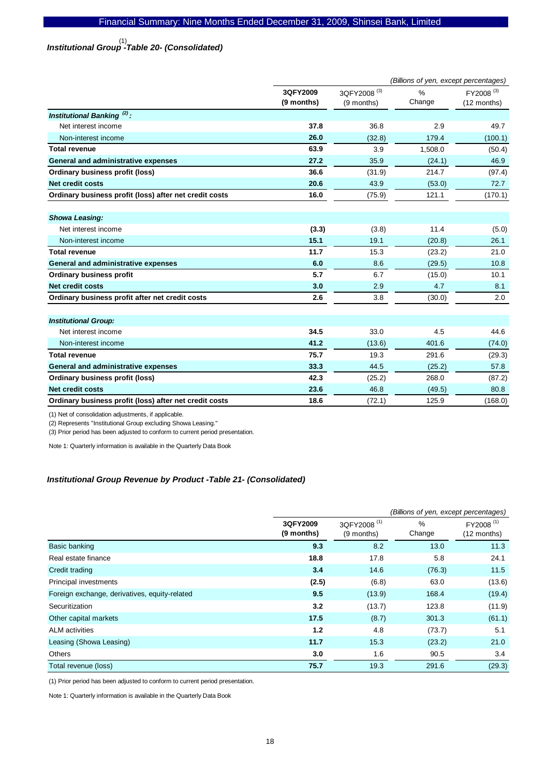# *Institutional Group -Table 20- (Consolidated)*  (1)

|                                                        |            |                         | (Billions of yen, except percentages) |                       |
|--------------------------------------------------------|------------|-------------------------|---------------------------------------|-----------------------|
|                                                        | 3QFY2009   | 3QFY2008 <sup>(3)</sup> | $\frac{1}{2}$                         | FY2008 <sup>(3)</sup> |
|                                                        | (9 months) | (9 months)              | Change                                | (12 months)           |
| Institutional Banking <sup>(2)</sup> :                 |            |                         |                                       |                       |
| Net interest income                                    | 37.8       | 36.8                    | 2.9                                   | 49.7                  |
| Non-interest income                                    | 26.0       | (32.8)                  | 179.4                                 | (100.1)               |
| <b>Total revenue</b>                                   | 63.9       | 3.9                     | 1,508.0                               | (50.4)                |
| General and administrative expenses                    | 27.2       | 35.9                    | (24.1)                                | 46.9                  |
| <b>Ordinary business profit (loss)</b>                 | 36.6       | (31.9)                  | 214.7                                 | (97.4)                |
| Net credit costs                                       | 20.6       | 43.9                    | (53.0)                                | 72.7                  |
| Ordinary business profit (loss) after net credit costs | 16.0       | (75.9)                  | 121.1                                 | (170.1)               |
|                                                        |            |                         |                                       |                       |
| <b>Showa Leasing:</b>                                  |            |                         |                                       |                       |
| Net interest income                                    | (3.3)      | (3.8)                   | 11.4                                  | (5.0)                 |
| Non-interest income                                    | 15.1       | 19.1                    | (20.8)                                | 26.1                  |
| <b>Total revenue</b>                                   | 11.7       | 15.3                    | (23.2)                                | 21.0                  |
| General and administrative expenses                    | 6.0        | 8.6                     | (29.5)                                | 10.8                  |
| <b>Ordinary business profit</b>                        | 5.7        | 6.7                     | (15.0)                                | 10.1                  |
| <b>Net credit costs</b>                                | 3.0        | 2.9                     | 4.7                                   | 8.1                   |
| Ordinary business profit after net credit costs        | 2.6        | 3.8                     | (30.0)                                | 2.0                   |
|                                                        |            |                         |                                       |                       |
| <b>Institutional Group:</b>                            |            |                         |                                       |                       |
| Net interest income                                    | 34.5       | 33.0                    | 4.5                                   | 44.6                  |
| Non-interest income                                    | 41.2       | (13.6)                  | 401.6                                 | (74.0)                |
| <b>Total revenue</b>                                   | 75.7       | 19.3                    | 291.6                                 | (29.3)                |
| General and administrative expenses                    | 33.3       | 44.5                    | (25.2)                                | 57.8                  |
| <b>Ordinary business profit (loss)</b>                 | 42.3       | (25.2)                  | 268.0                                 | (87.2)                |
| Net credit costs                                       | 23.6       | 46.8                    | (49.5)                                | 80.8                  |
| Ordinary business profit (loss) after net credit costs | 18.6       | (72.1)                  | 125.9                                 | (168.0)               |

(1) Net of consolidation adjustments, if applicable.

(2) Represents "Institutional Group excluding Showa Leasing."

(3) Prior period has been adjusted to conform to current period presentation.

Note 1: Quarterly information is available in the Quarterly Data Book

### *Institutional Group Revenue by Product -Table 21- (Consolidated)*

|                                               |                        | (Billions of yen, except percentages) |                         |                                      |  |  |
|-----------------------------------------------|------------------------|---------------------------------------|-------------------------|--------------------------------------|--|--|
|                                               | 3QFY2009<br>(9 months) | 3QFY2008 <sup>(1)</sup><br>(9 months) | $\frac{9}{6}$<br>Change | FY2008 <sup>(1)</sup><br>(12 months) |  |  |
| Basic banking                                 | 9.3                    | 8.2                                   | 13.0                    | 11.3                                 |  |  |
| Real estate finance                           | 18.8                   | 17.8                                  | 5.8                     | 24.1                                 |  |  |
| Credit trading                                | 3.4                    | 14.6                                  | (76.3)                  | 11.5                                 |  |  |
| Principal investments                         | (2.5)                  | (6.8)                                 | 63.0                    | (13.6)                               |  |  |
| Foreign exchange, derivatives, equity-related | 9.5                    | (13.9)                                | 168.4                   | (19.4)                               |  |  |
| Securitization                                | 3.2                    | (13.7)                                | 123.8                   | (11.9)                               |  |  |
| Other capital markets                         | 17.5                   | (8.7)                                 | 301.3                   | (61.1)                               |  |  |
| <b>ALM</b> activities                         | 1.2                    | 4.8                                   | (73.7)                  | 5.1                                  |  |  |
| Leasing (Showa Leasing)                       | 11.7                   | 15.3                                  | (23.2)                  | 21.0                                 |  |  |
| Others                                        | 3.0                    | 1.6                                   | 90.5                    | 3.4                                  |  |  |
| Total revenue (loss)                          | 75.7                   | 19.3                                  | 291.6                   | (29.3)                               |  |  |

(1) Prior period has been adjusted to conform to current period presentation.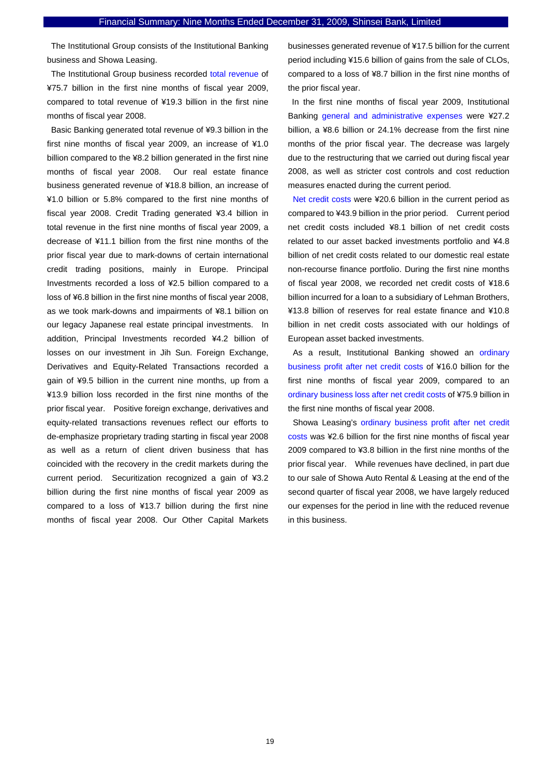The Institutional Group consists of the Institutional Banking business and Showa Leasing.

The Institutional Group business recorded total revenue of ¥75.7 billion in the first nine months of fiscal year 2009, compared to total revenue of ¥19.3 billion in the first nine months of fiscal year 2008.

Basic Banking generated total revenue of ¥9.3 billion in the first nine months of fiscal year 2009, an increase of ¥1.0 billion compared to the ¥8.2 billion generated in the first nine months of fiscal year 2008. Our real estate finance business generated revenue of ¥18.8 billion, an increase of ¥1.0 billion or 5.8% compared to the first nine months of fiscal year 2008. Credit Trading generated ¥3.4 billion in total revenue in the first nine months of fiscal year 2009, a decrease of ¥11.1 billion from the first nine months of the prior fiscal year due to mark-downs of certain international credit trading positions, mainly in Europe. Principal Investments recorded a loss of ¥2.5 billion compared to a loss of ¥6.8 billion in the first nine months of fiscal year 2008, as we took mark-downs and impairments of ¥8.1 billion on our legacy Japanese real estate principal investments. In addition, Principal Investments recorded ¥4.2 billion of losses on our investment in Jih Sun. Foreign Exchange, Derivatives and Equity-Related Transactions recorded a gain of ¥9.5 billion in the current nine months, up from a ¥13.9 billion loss recorded in the first nine months of the prior fiscal year. Positive foreign exchange, derivatives and equity-related transactions revenues reflect our efforts to de-emphasize proprietary trading starting in fiscal year 2008 as well as a return of client driven business that has coincided with the recovery in the credit markets during the current period. Securitization recognized a gain of ¥3.2 billion during the first nine months of fiscal year 2009 as compared to a loss of ¥13.7 billion during the first nine months of fiscal year 2008. Our Other Capital Markets

businesses generated revenue of ¥17.5 billion for the current period including ¥15.6 billion of gains from the sale of CLOs, compared to a loss of ¥8.7 billion in the first nine months of the prior fiscal year.

In the first nine months of fiscal year 2009, Institutional Banking general and administrative expenses were ¥27.2 billion, a ¥8.6 billion or 24.1% decrease from the first nine months of the prior fiscal year. The decrease was largely due to the restructuring that we carried out during fiscal year 2008, as well as stricter cost controls and cost reduction measures enacted during the current period.

Net credit costs were ¥20.6 billion in the current period as compared to ¥43.9 billion in the prior period. Current period net credit costs included ¥8.1 billion of net credit costs related to our asset backed investments portfolio and ¥4.8 billion of net credit costs related to our domestic real estate non-recourse finance portfolio. During the first nine months of fiscal year 2008, we recorded net credit costs of ¥18.6 billion incurred for a loan to a subsidiary of Lehman Brothers, ¥13.8 billion of reserves for real estate finance and ¥10.8 billion in net credit costs associated with our holdings of European asset backed investments.

As a result, Institutional Banking showed an ordinary business profit after net credit costs of ¥16.0 billion for the first nine months of fiscal year 2009, compared to an ordinary business loss after net credit costs of ¥75.9 billion in the first nine months of fiscal year 2008.

Showa Leasing's ordinary business profit after net credit costs was ¥2.6 billion for the first nine months of fiscal year 2009 compared to ¥3.8 billion in the first nine months of the prior fiscal year. While revenues have declined, in part due to our sale of Showa Auto Rental & Leasing at the end of the second quarter of fiscal year 2008, we have largely reduced our expenses for the period in line with the reduced revenue in this business.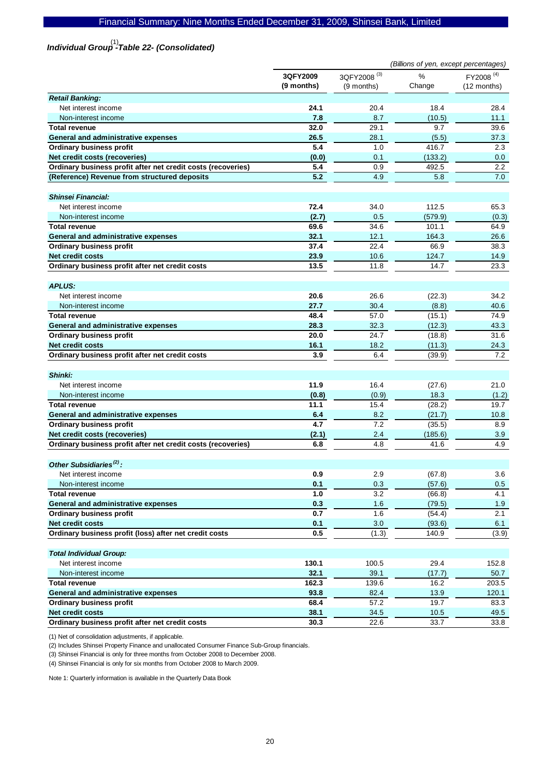# Financial Summary: Nine Months Ended December 31, 2009, Shinsei Bank, Limited

# *Individual Group -Table 22- (Consolidated)*  (1)

|                                                              |                        | (Billions of yen, except percentages) |             |                                      |  |
|--------------------------------------------------------------|------------------------|---------------------------------------|-------------|--------------------------------------|--|
|                                                              | 3QFY2009<br>(9 months) | 3QFY2008 <sup>(3)</sup><br>(9 months) | %<br>Change | FY2008 <sup>(4)</sup><br>(12 months) |  |
| <b>Retail Banking:</b>                                       |                        |                                       |             |                                      |  |
| Net interest income                                          | 24.1                   | 20.4                                  | 18.4        | 28.4                                 |  |
| Non-interest income                                          | 7.8                    | 8.7                                   | (10.5)      | 11.1                                 |  |
| <b>Total revenue</b>                                         | 32.0                   | 29.1                                  | 9.7         | 39.6                                 |  |
| General and administrative expenses                          | 26.5                   | 28.1                                  | (5.5)       | 37.3                                 |  |
| <b>Ordinary business profit</b>                              | 5.4                    | 1.0                                   | 416.7       | 2.3                                  |  |
| Net credit costs (recoveries)                                | (0.0)                  | 0.1                                   | (133.2)     | 0.0                                  |  |
| Ordinary business profit after net credit costs (recoveries) | 5.4                    | 0.9                                   | 492.5       | 2.2                                  |  |
| (Reference) Revenue from structured deposits                 | 5.2                    | 4.9                                   | 5.8         | 7.0                                  |  |
| <b>Shinsei Financial:</b>                                    |                        |                                       |             |                                      |  |
| Net interest income                                          | 72.4                   | 34.0                                  | 112.5       | 65.3                                 |  |
| Non-interest income                                          | (2.7)                  | 0.5                                   | (579.9)     | (0.3)                                |  |
| <b>Total revenue</b>                                         | 69.6                   | 34.6                                  | 101.1       | 64.9                                 |  |
| General and administrative expenses                          | 32.1                   | 12.1                                  | 164.3       | 26.6                                 |  |
| <b>Ordinary business profit</b>                              | 37.4                   | 22.4                                  | 66.9        | 38.3                                 |  |
| <b>Net credit costs</b>                                      | 23.9                   | 10.6                                  | 124.7       |                                      |  |
|                                                              |                        |                                       |             | 14.9                                 |  |
| Ordinary business profit after net credit costs              | 13.5                   | 11.8                                  | 14.7        | 23.3                                 |  |
| <b>APLUS:</b>                                                |                        |                                       |             |                                      |  |
| Net interest income                                          | 20.6                   | 26.6                                  | (22.3)      | 34.2                                 |  |
| Non-interest income                                          | 27.7                   | 30.4                                  | (8.8)       | 40.6                                 |  |
| <b>Total revenue</b>                                         | 48.4                   | 57.0                                  | (15.1)      | 74.9                                 |  |
| General and administrative expenses                          | 28.3                   | 32.3                                  | (12.3)      | 43.3                                 |  |
| <b>Ordinary business profit</b>                              | 20.0                   | 24.7                                  | (18.8)      | 31.6                                 |  |
| <b>Net credit costs</b>                                      | 16.1                   | 18.2                                  | (11.3)      | 24.3                                 |  |
| Ordinary business profit after net credit costs              | 3.9                    | 6.4                                   | (39.9)      | 7.2                                  |  |
| Shinki:                                                      |                        |                                       |             |                                      |  |
| Net interest income                                          | 11.9                   | 16.4                                  | (27.6)      | 21.0                                 |  |
| Non-interest income                                          | (0.8)                  | (0.9)                                 | 18.3        | (1.2)                                |  |
| <b>Total revenue</b>                                         | 11.1                   | 15.4                                  | (28.2)      | 19.7                                 |  |
| General and administrative expenses                          | 6.4                    | 8.2                                   | (21.7)      | 10.8                                 |  |
| <b>Ordinary business profit</b>                              | 4.7                    | 7.2                                   | (35.5)      | 8.9                                  |  |
| Net credit costs (recoveries)                                | (2.1)                  | 2.4                                   | (185.6)     | 3.9                                  |  |
| Ordinary business profit after net credit costs (recoveries) | 6.8                    | 4.8                                   | 41.6        | 4.9                                  |  |
| Other Subsidiaries <sup>(2)</sup> :                          |                        |                                       |             |                                      |  |
| Net interest income                                          | 0.9                    | 2.9                                   | (67.8)      | 3.6                                  |  |
| Non-interest income                                          | 0.1                    | 0.3                                   | (57.6)      | 0.5                                  |  |
| <b>Total revenue</b>                                         | 1.0                    | 3.2                                   | (66.8)      | 4.1                                  |  |
| General and administrative expenses                          | 0.3                    | 1.6                                   | (79.5)      | 1.9                                  |  |
| <b>Ordinary business profit</b>                              | 0.7                    | 1.6                                   | (54.4)      | 2.1                                  |  |
| <b>Net credit costs</b>                                      | 0.1                    | 3.0                                   | (93.6)      | 6.1                                  |  |
| Ordinary business profit (loss) after net credit costs       | 0.5                    | (1.3)                                 | 140.9       | (3.9)                                |  |
| <b>Total Individual Group:</b>                               |                        |                                       |             |                                      |  |
| Net interest income                                          | 130.1                  | 100.5                                 | 29.4        | 152.8                                |  |
| Non-interest income                                          | 32.1                   | 39.1                                  | (17.7)      | 50.7                                 |  |
| <b>Total revenue</b>                                         | 162.3                  | 139.6                                 | 16.2        | 203.5                                |  |
| General and administrative expenses                          | 93.8                   | 82.4                                  | 13.9        | 120.1                                |  |
| <b>Ordinary business profit</b>                              | 68.4                   | 57.2                                  | 19.7        | 83.3                                 |  |
| <b>Net credit costs</b>                                      | 38.1                   | 34.5                                  | 10.5        | 49.5                                 |  |
| Ordinary business profit after net credit costs              | 30.3                   | 22.6                                  | 33.7        | 33.8                                 |  |

(1) Net of consolidation adjustments, if applicable.

(2) Includes Shinsei Property Finance and unallocated Consumer Finance Sub-Group financials.

(3) Shinsei Financial is only for three months from October 2008 to December 2008.

(4) Shinsei Financial is only for six months from October 2008 to March 2009.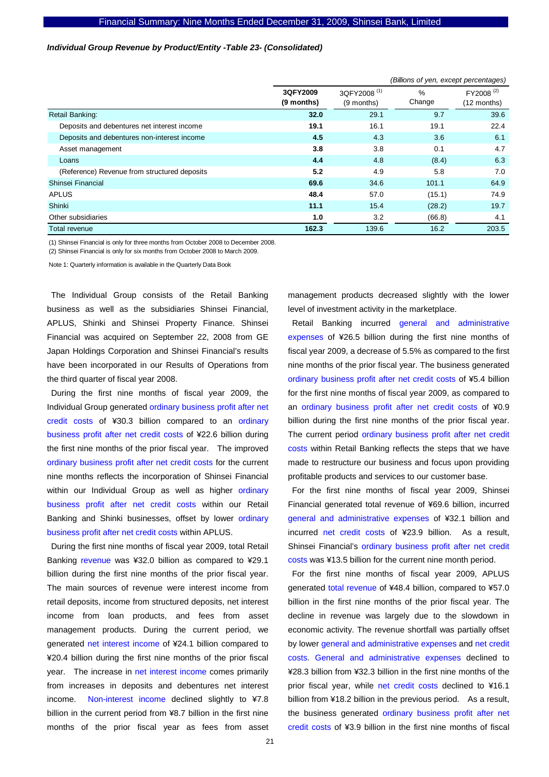### *Individual Group Revenue by Product/Entity -Table 23- (Consolidated)*

|                                              |                        | (Billions of yen, except percentages) |                         |                                      |  |  |  |
|----------------------------------------------|------------------------|---------------------------------------|-------------------------|--------------------------------------|--|--|--|
|                                              | 3QFY2009<br>(9 months) | 3QFY2008 <sup>(1)</sup><br>(9 months) | $\frac{0}{0}$<br>Change | FY2008 <sup>(2)</sup><br>(12 months) |  |  |  |
| Retail Banking:                              | 32.0                   | 29.1                                  | 9.7                     | 39.6                                 |  |  |  |
| Deposits and debentures net interest income  | 19.1                   | 16.1                                  | 19.1                    | 22.4                                 |  |  |  |
| Deposits and debentures non-interest income  | 4.5                    | 4.3                                   | 3.6                     | 6.1                                  |  |  |  |
| Asset management                             | 3.8                    | 3.8                                   | 0.1                     | 4.7                                  |  |  |  |
| Loans                                        | 4.4                    | 4.8                                   | (8.4)                   | 6.3                                  |  |  |  |
| (Reference) Revenue from structured deposits | 5.2                    | 4.9                                   | 5.8                     | 7.0                                  |  |  |  |
| Shinsei Financial                            | 69.6                   | 34.6                                  | 101.1                   | 64.9                                 |  |  |  |
| <b>APLUS</b>                                 | 48.4                   | 57.0                                  | (15.1)                  | 74.9                                 |  |  |  |
| Shinki                                       | 11.1                   | 15.4                                  | (28.2)                  | 19.7                                 |  |  |  |
| Other subsidiaries                           | 1.0                    | 3.2                                   | (66.8)                  | 4.1                                  |  |  |  |
| Total revenue                                | 162.3                  | 139.6                                 | 16.2                    | 203.5                                |  |  |  |

(1) Shinsei Financial is only for three months from October 2008 to December 2008.

(2) Shinsei Financial is only for six months from October 2008 to March 2009.

Note 1: Quarterly information is available in the Quarterly Data Book

The Individual Group consists of the Retail Banking business as well as the subsidiaries Shinsei Financial, APLUS, Shinki and Shinsei Property Finance. Shinsei Financial was acquired on September 22, 2008 from GE Japan Holdings Corporation and Shinsei Financial's results have been incorporated in our Results of Operations from the third quarter of fiscal year 2008.

During the first nine months of fiscal year 2009, the Individual Group generated ordinary business profit after net credit costs of ¥30.3 billion compared to an ordinary business profit after net credit costs of ¥22.6 billion during the first nine months of the prior fiscal year. The improved ordinary business profit after net credit costs for the current nine months reflects the incorporation of Shinsei Financial within our Individual Group as well as higher ordinary business profit after net credit costs within our Retail Banking and Shinki businesses, offset by lower ordinary business profit after net credit costs within APLUS.

During the first nine months of fiscal year 2009, total Retail Banking revenue was ¥32.0 billion as compared to ¥29.1 billion during the first nine months of the prior fiscal year. The main sources of revenue were interest income from retail deposits, income from structured deposits, net interest income from loan products, and fees from asset management products. During the current period, we generated net interest income of ¥24.1 billion compared to ¥20.4 billion during the first nine months of the prior fiscal year. The increase in net interest income comes primarily from increases in deposits and debentures net interest income. Non-interest income declined slightly to ¥7.8 billion in the current period from ¥8.7 billion in the first nine months of the prior fiscal year as fees from asset

management products decreased slightly with the lower level of investment activity in the marketplace.

Retail Banking incurred general and administrative expenses of ¥26.5 billion during the first nine months of fiscal year 2009, a decrease of 5.5% as compared to the first nine months of the prior fiscal year. The business generated ordinary business profit after net credit costs of ¥5.4 billion for the first nine months of fiscal year 2009, as compared to an ordinary business profit after net credit costs of ¥0.9 billion during the first nine months of the prior fiscal year. The current period ordinary business profit after net credit costs within Retail Banking reflects the steps that we have made to restructure our business and focus upon providing profitable products and services to our customer base.

For the first nine months of fiscal year 2009, Shinsei Financial generated total revenue of ¥69.6 billion, incurred general and administrative expenses of ¥32.1 billion and incurred net credit costs of ¥23.9 billion. As a result, Shinsei Financial's ordinary business profit after net credit costs was ¥13.5 billion for the current nine month period.

For the first nine months of fiscal year 2009, APLUS generated total revenue of ¥48.4 billion, compared to ¥57.0 billion in the first nine months of the prior fiscal year. The decline in revenue was largely due to the slowdown in economic activity. The revenue shortfall was partially offset by lower general and administrative expenses and net credit costs. General and administrative expenses declined to ¥28.3 billion from ¥32.3 billion in the first nine months of the prior fiscal year, while net credit costs declined to ¥16.1 billion from ¥18.2 billion in the previous period. As a result, the business generated ordinary business profit after net credit costs of ¥3.9 billion in the first nine months of fiscal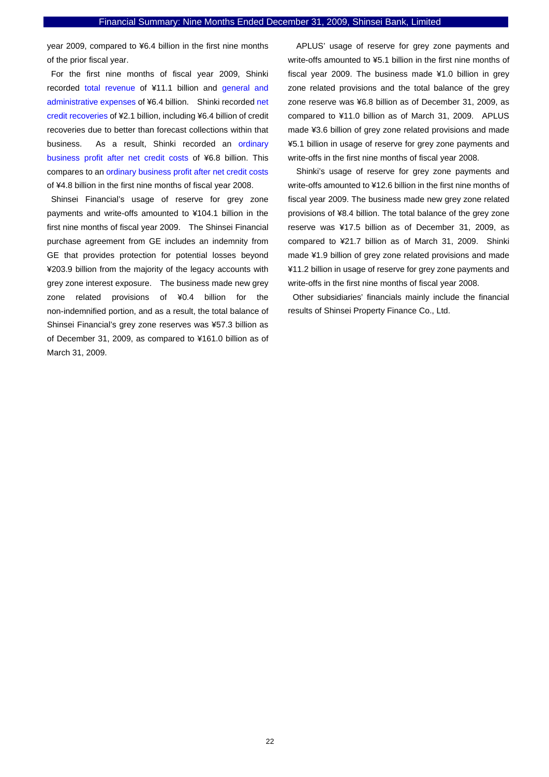year 2009, compared to ¥6.4 billion in the first nine months of the prior fiscal year.

For the first nine months of fiscal year 2009, Shinki recorded total revenue of ¥11.1 billion and general and administrative expenses of ¥6.4 billion. Shinki recorded net credit recoveries of ¥2.1 billion, including ¥6.4 billion of credit recoveries due to better than forecast collections within that business. As a result, Shinki recorded an ordinary business profit after net credit costs of ¥6.8 billion. This compares to an ordinary business profit after net credit costs of ¥4.8 billion in the first nine months of fiscal year 2008.

Shinsei Financial's usage of reserve for grey zone payments and write-offs amounted to ¥104.1 billion in the first nine months of fiscal year 2009. The Shinsei Financial purchase agreement from GE includes an indemnity from GE that provides protection for potential losses beyond ¥203.9 billion from the majority of the legacy accounts with grey zone interest exposure. The business made new grey zone related provisions of ¥0.4 billion for the non-indemnified portion, and as a result, the total balance of Shinsei Financial's grey zone reserves was ¥57.3 billion as of December 31, 2009, as compared to ¥161.0 billion as of March 31, 2009.

APLUS' usage of reserve for grey zone payments and write-offs amounted to ¥5.1 billion in the first nine months of fiscal year 2009. The business made ¥1.0 billion in grey zone related provisions and the total balance of the grey zone reserve was ¥6.8 billion as of December 31, 2009, as compared to ¥11.0 billion as of March 31, 2009. APLUS made ¥3.6 billion of grey zone related provisions and made ¥5.1 billion in usage of reserve for grey zone payments and write-offs in the first nine months of fiscal year 2008.

Shinki's usage of reserve for grey zone payments and write-offs amounted to ¥12.6 billion in the first nine months of fiscal year 2009. The business made new grey zone related provisions of ¥8.4 billion. The total balance of the grey zone reserve was ¥17.5 billion as of December 31, 2009, as compared to ¥21.7 billion as of March 31, 2009. Shinki made ¥1.9 billion of grey zone related provisions and made ¥11.2 billion in usage of reserve for grey zone payments and write-offs in the first nine months of fiscal year 2008.

Other subsidiaries' financials mainly include the financial results of Shinsei Property Finance Co., Ltd.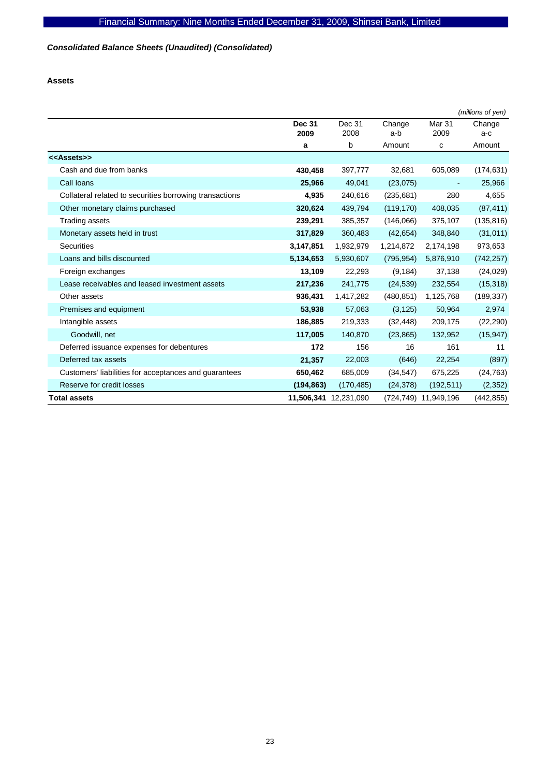# *Consolidated Balance Sheets (Unaudited) (Consolidated)*

### **Assets**

|                                                         |               |            |            |                          | (millions of yen) |
|---------------------------------------------------------|---------------|------------|------------|--------------------------|-------------------|
|                                                         | <b>Dec 31</b> | Dec 31     | Change     | Mar <sub>31</sub>        | Change            |
|                                                         | 2009          | 2008       | a-b        | 2009                     | a-c               |
|                                                         | a             | b          | Amount     | с                        | Amount            |
| < <assets>&gt;</assets>                                 |               |            |            |                          |                   |
| Cash and due from banks                                 | 430,458       | 397,777    | 32,681     | 605,089                  | (174, 631)        |
| Call Ioans                                              | 25,966        | 49,041     | (23,075)   | $\overline{\phantom{a}}$ | 25,966            |
| Collateral related to securities borrowing transactions | 4,935         | 240,616    | (235, 681) | 280                      | 4,655             |
| Other monetary claims purchased                         | 320,624       | 439,794    | (119, 170) | 408,035                  | (87, 411)         |
| <b>Trading assets</b>                                   | 239,291       | 385,357    | (146,066)  | 375,107                  | (135, 816)        |
| Monetary assets held in trust                           | 317,829       | 360,483    | (42, 654)  | 348,840                  | (31, 011)         |
| <b>Securities</b>                                       | 3,147,851     | 1,932,979  | 1,214,872  | 2,174,198                | 973,653           |
| Loans and bills discounted                              | 5,134,653     | 5,930,607  | (795, 954) | 5,876,910                | (742, 257)        |
| Foreign exchanges                                       | 13,109        | 22,293     | (9, 184)   | 37,138                   | (24, 029)         |
| Lease receivables and leased investment assets          | 217,236       | 241,775    | (24, 539)  | 232,554                  | (15, 318)         |
| Other assets                                            | 936,431       | 1,417,282  | (480, 851) | 1,125,768                | (189, 337)        |
| Premises and equipment                                  | 53,938        | 57,063     | (3, 125)   | 50,964                   | 2,974             |
| Intangible assets                                       | 186,885       | 219,333    | (32, 448)  | 209,175                  | (22, 290)         |
| Goodwill, net                                           | 117,005       | 140,870    | (23, 865)  | 132,952                  | (15, 947)         |
| Deferred issuance expenses for debentures               | 172           | 156        | 16         | 161                      | 11                |
| Deferred tax assets                                     | 21,357        | 22,003     | (646)      | 22,254                   | (897)             |
| Customers' liabilities for acceptances and guarantees   | 650,462       | 685,009    | (34, 547)  | 675,225                  | (24, 763)         |
| Reserve for credit losses                               | (194, 863)    | (170, 485) | (24, 378)  | (192, 511)               | (2, 352)          |
| <b>Total assets</b>                                     | 11,506,341    | 12,231,090 | (724,749)  | 11,949,196               | (442, 855)        |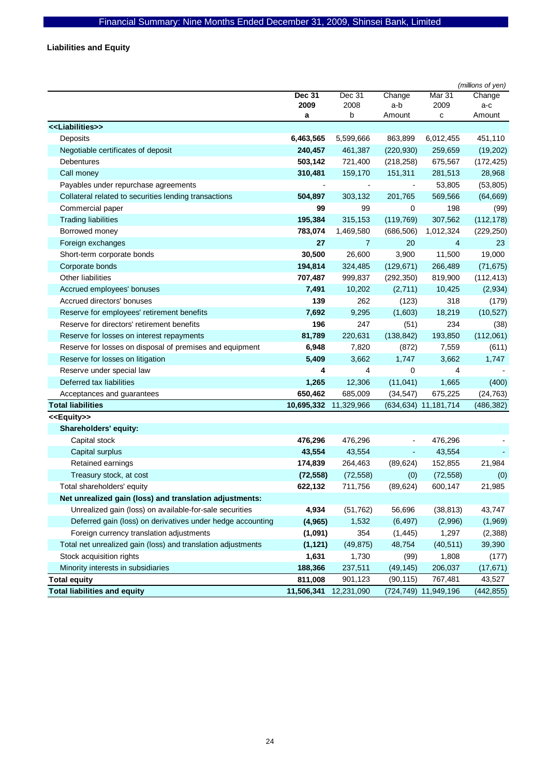**Liabilities and Equity** 

|                                                              |                       |                |                          |                         | (millions of yen) |
|--------------------------------------------------------------|-----------------------|----------------|--------------------------|-------------------------|-------------------|
|                                                              | <b>Dec 31</b><br>2009 | Dec 31<br>2008 | Change<br>a-b            | Mar 31<br>2009          | Change<br>a-c     |
|                                                              | a                     | b              | Amount                   | с                       | Amount            |
| < <liabilities>&gt;</liabilities>                            |                       |                |                          |                         |                   |
| Deposits                                                     | 6,463,565             | 5,599,666      | 863,899                  | 6,012,455               | 451,110           |
| Negotiable certificates of deposit                           | 240,457               | 461,387        | (220, 930)               | 259,659                 | (19,202)          |
| Debentures                                                   | 503,142               | 721,400        | (218, 258)               | 675,567                 | (172, 425)        |
| Call money                                                   | 310,481               | 159,170        | 151,311                  | 281,513                 | 28,968            |
| Payables under repurchase agreements                         |                       |                | $\overline{\phantom{a}}$ | 53,805                  | (53, 805)         |
| Collateral related to securities lending transactions        | 504,897               | 303,132        | 201,765                  | 569,566                 | (64, 669)         |
| Commercial paper                                             | 99                    | 99             | 0                        | 198                     | (99)              |
| <b>Trading liabilities</b>                                   | 195,384               | 315,153        | (119, 769)               | 307,562                 | (112, 178)        |
| Borrowed money                                               | 783,074               | 1,469,580      | (686, 506)               | 1,012,324               | (229, 250)        |
| Foreign exchanges                                            | 27                    | $\overline{7}$ | 20                       | 4                       | 23                |
| Short-term corporate bonds                                   | 30,500                | 26,600         | 3,900                    | 11,500                  | 19,000            |
| Corporate bonds                                              | 194,814               | 324,485        | (129, 671)               | 266,489                 | (71, 675)         |
| Other liabilities                                            | 707,487               | 999,837        | (292, 350)               | 819,900                 | (112, 413)        |
| Accrued employees' bonuses                                   | 7,491                 | 10,202         | (2,711)                  | 10,425                  | (2,934)           |
| Accrued directors' bonuses                                   | 139                   | 262            | (123)                    | 318                     | (179)             |
| Reserve for employees' retirement benefits                   | 7,692                 | 9,295          | (1,603)                  | 18,219                  | (10, 527)         |
| Reserve for directors' retirement benefits                   | 196                   | 247            | (51)                     | 234                     | (38)              |
| Reserve for losses on interest repayments                    | 81,789                | 220,631        | (138, 842)               | 193,850                 | (112,061)         |
| Reserve for losses on disposal of premises and equipment     | 6,948                 | 7,820          | (872)                    | 7,559                   | (611)             |
| Reserve for losses on litigation                             | 5,409                 | 3,662          | 1,747                    | 3,662                   | 1,747             |
| Reserve under special law                                    | 4                     | 4              | 0                        | 4                       |                   |
| Deferred tax liabilities                                     | 1,265                 | 12,306         | (11, 041)                | 1,665                   | (400)             |
| Acceptances and guarantees                                   | 650,462               | 685,009        | (34, 547)                | 675,225                 | (24, 763)         |
| <b>Total liabilities</b>                                     | 10,695,332            | 11,329,966     |                          | (634, 634) 11, 181, 714 | (486, 382)        |
| < <equity>&gt;</equity>                                      |                       |                |                          |                         |                   |
| Shareholders' equity:                                        |                       |                |                          |                         |                   |
| Capital stock                                                | 476,296               | 476,296        | $\overline{\phantom{a}}$ | 476,296                 |                   |
| Capital surplus                                              | 43,554                | 43,554         | $\blacksquare$           | 43,554                  |                   |
| Retained earnings                                            | 174,839               | 264,463        | (89, 624)                | 152,855                 | 21,984            |
| Treasury stock, at cost                                      | (72, 558)             | (72, 558)      | (0)                      | (72, 558)               | (0)               |
| Total shareholders' equity                                   | 622,132               | 711,756        | (89, 624)                | 600,147                 | 21,985            |
| Net unrealized gain (loss) and translation adjustments:      |                       |                |                          |                         |                   |
| Unrealized gain (loss) on available-for-sale securities      | 4,934                 | (51, 762)      | 56,696                   | (38, 813)               | 43,747            |
| Deferred gain (loss) on derivatives under hedge accounting   | (4,965)               | 1,532          | (6, 497)                 | (2,996)                 | (1,969)           |
| Foreign currency translation adjustments                     | (1,091)               | 354            | (1, 445)                 | 1,297                   | (2,388)           |
| Total net unrealized gain (loss) and translation adjustments | (1, 121)              | (49, 875)      | 48,754                   | (40, 511)               | 39,390            |
| Stock acquisition rights                                     | 1,631                 | 1,730          | (99)                     | 1,808                   | (177)             |
| Minority interests in subsidiaries                           | 188,366               | 237,511        | (49, 145)                | 206,037                 | (17, 671)         |
| <b>Total equity</b>                                          | 811,008               | 901,123        | (90, 115)                | 767,481                 | 43,527            |
| <b>Total liabilities and equity</b>                          | 11,506,341            | 12,231,090     |                          | (724,749) 11,949,196    | (442, 855)        |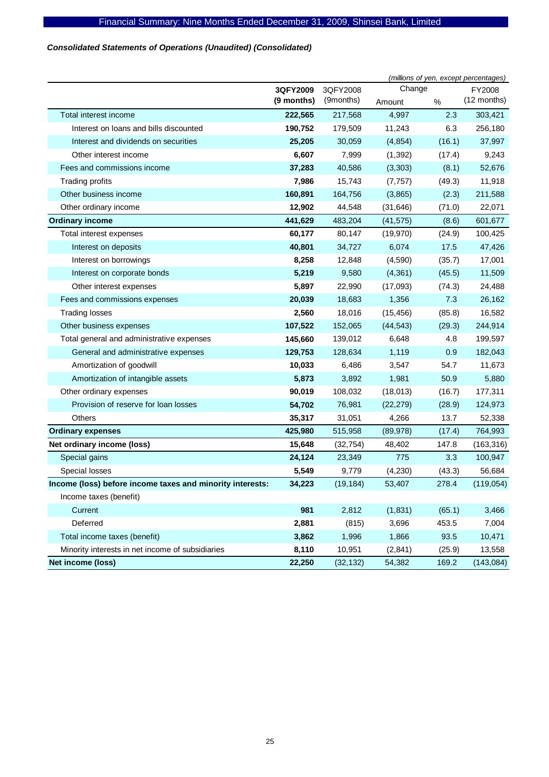# *Consolidated Statements of Operations (Unaudited) (Consolidated)*

|                                                           | (millions of yen, except percentages) |           |           |        |             |  |
|-----------------------------------------------------------|---------------------------------------|-----------|-----------|--------|-------------|--|
|                                                           | 3QFY2009                              | 3QFY2008  |           | Change |             |  |
|                                                           | (9 months)                            | (9months) | Amount    | $\%$   | (12 months) |  |
| Total interest income                                     | 222,565                               | 217,568   | 4,997     | 2.3    | 303,421     |  |
| Interest on loans and bills discounted                    | 190,752                               | 179,509   | 11,243    | 6.3    | 256,180     |  |
| Interest and dividends on securities                      | 25,205                                | 30,059    | (4, 854)  | (16.1) | 37,997      |  |
| Other interest income                                     | 6,607                                 | 7,999     | (1, 392)  | (17.4) | 9,243       |  |
| Fees and commissions income                               | 37,283                                | 40,586    | (3, 303)  | (8.1)  | 52,676      |  |
| <b>Trading profits</b>                                    | 7,986                                 | 15,743    | (7, 757)  | (49.3) | 11,918      |  |
| Other business income                                     | 160,891                               | 164,756   | (3,865)   | (2.3)  | 211,588     |  |
| Other ordinary income                                     | 12,902                                | 44,548    | (31, 646) | (71.0) | 22,071      |  |
| <b>Ordinary income</b>                                    | 441,629                               | 483,204   | (41, 575) | (8.6)  | 601,677     |  |
| Total interest expenses                                   | 60,177                                | 80,147    | (19, 970) | (24.9) | 100,425     |  |
| Interest on deposits                                      | 40,801                                | 34,727    | 6,074     | 17.5   | 47,426      |  |
| Interest on borrowings                                    | 8,258                                 | 12,848    | (4,590)   | (35.7) | 17,001      |  |
| Interest on corporate bonds                               | 5,219                                 | 9,580     | (4, 361)  | (45.5) | 11,509      |  |
| Other interest expenses                                   | 5,897                                 | 22,990    | (17,093)  | (74.3) | 24,488      |  |
| Fees and commissions expenses                             | 20,039                                | 18,683    | 1,356     | 7.3    | 26,162      |  |
| <b>Trading losses</b>                                     | 2,560                                 | 18,016    | (15, 456) | (85.8) | 16,582      |  |
| Other business expenses                                   | 107,522                               | 152,065   | (44, 543) | (29.3) | 244,914     |  |
| Total general and administrative expenses                 | 145,660                               | 139,012   | 6,648     | 4.8    | 199,597     |  |
| General and administrative expenses                       | 129,753                               | 128,634   | 1,119     | 0.9    | 182,043     |  |
| Amortization of goodwill                                  | 10,033                                | 6,486     | 3,547     | 54.7   | 11,673      |  |
| Amortization of intangible assets                         | 5,873                                 | 3,892     | 1,981     | 50.9   | 5,880       |  |
| Other ordinary expenses                                   | 90,019                                | 108,032   | (18, 013) | (16.7) | 177,311     |  |
| Provision of reserve for loan losses                      | 54,702                                | 76,981    | (22, 279) | (28.9) | 124,973     |  |
| Others                                                    | 35,317                                | 31,051    | 4,266     | 13.7   | 52,338      |  |
| <b>Ordinary expenses</b>                                  | 425,980                               | 515,958   | (89, 978) | (17.4) | 764,993     |  |
| Net ordinary income (loss)                                | 15,648                                | (32, 754) | 48,402    | 147.8  | (163, 316)  |  |
| Special gains                                             | 24,124                                | 23,349    | 775       | 3.3    | 100,947     |  |
| Special losses                                            | 5,549                                 | 9,779     | (4,230)   | (43.3) | 56,684      |  |
| Income (loss) before income taxes and minority interests: | 34,223                                | (19, 184) | 53,407    | 278.4  | (119, 054)  |  |
| Income taxes (benefit)                                    |                                       |           |           |        |             |  |
| Current                                                   | 981                                   | 2,812     | (1,831)   | (65.1) | 3,466       |  |
| Deferred                                                  | 2,881                                 | (815)     | 3,696     | 453.5  | 7,004       |  |
| Total income taxes (benefit)                              | 3,862                                 | 1,996     | 1,866     | 93.5   | 10,471      |  |
| Minority interests in net income of subsidiaries          | 8,110                                 | 10,951    | (2,841)   | (25.9) | 13,558      |  |
| Net income (loss)                                         | 22,250                                | (32, 132) | 54,382    | 169.2  | (143, 084)  |  |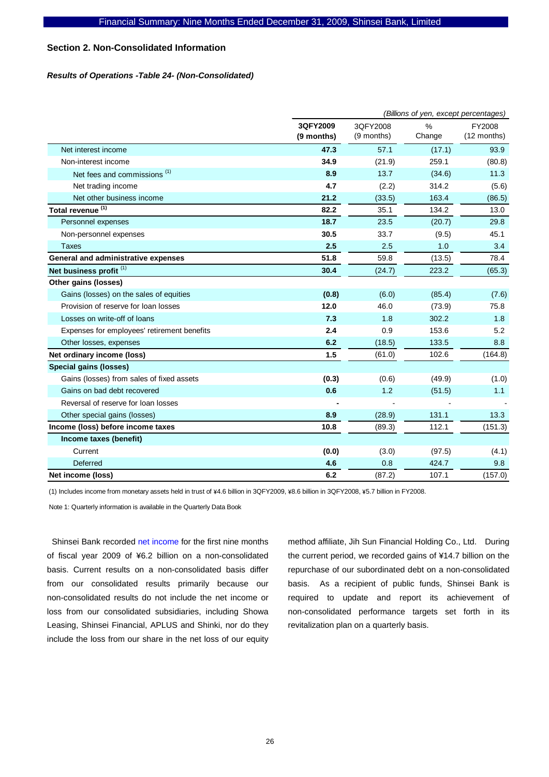### **Section 2. Non-Consolidated Information**

### *Results of Operations -Table 24- (Non-Consolidated)*

|                                             |                        | (Billions of yen, except percentages) |             |                       |  |  |
|---------------------------------------------|------------------------|---------------------------------------|-------------|-----------------------|--|--|
|                                             | 3QFY2009<br>(9 months) | 3QFY2008<br>(9 months)                | %<br>Change | FY2008<br>(12 months) |  |  |
| Net interest income                         | 47.3                   | 57.1                                  | (17.1)      | 93.9                  |  |  |
| Non-interest income                         | 34.9                   | (21.9)                                | 259.1       | (80.8)                |  |  |
| Net fees and commissions <sup>(1)</sup>     | 8.9                    | 13.7                                  | (34.6)      | 11.3                  |  |  |
| Net trading income                          | 4.7                    | (2.2)                                 | 314.2       | (5.6)                 |  |  |
| Net other business income                   | 21.2                   | (33.5)                                | 163.4       | (86.5)                |  |  |
| Total revenue <sup>(1)</sup>                | 82.2                   | 35.1                                  | 134.2       | 13.0                  |  |  |
| Personnel expenses                          | 18.7                   | 23.5                                  | (20.7)      | 29.8                  |  |  |
| Non-personnel expenses                      | 30.5                   | 33.7                                  | (9.5)       | 45.1                  |  |  |
| <b>Taxes</b>                                | 2.5                    | 2.5                                   | 1.0         | 3.4                   |  |  |
| General and administrative expenses         | 51.8                   | 59.8                                  | (13.5)      | 78.4                  |  |  |
| Net business profit <sup>(1)</sup>          | 30.4                   | (24.7)                                | 223.2       | (65.3)                |  |  |
| Other gains (losses)                        |                        |                                       |             |                       |  |  |
| Gains (losses) on the sales of equities     | (0.8)                  | (6.0)                                 | (85.4)      | (7.6)                 |  |  |
| Provision of reserve for loan losses        | 12.0                   | 46.0                                  | (73.9)      | 75.8                  |  |  |
| Losses on write-off of loans                | 7.3                    | 1.8                                   | 302.2       | 1.8                   |  |  |
| Expenses for employees' retirement benefits | 2.4                    | 0.9                                   | 153.6       | 5.2                   |  |  |
| Other losses, expenses                      | 6.2                    | (18.5)                                | 133.5       | 8.8                   |  |  |
| Net ordinary income (loss)                  | 1.5                    | (61.0)                                | 102.6       | (164.8)               |  |  |
| Special gains (losses)                      |                        |                                       |             |                       |  |  |
| Gains (losses) from sales of fixed assets   | (0.3)                  | (0.6)                                 | (49.9)      | (1.0)                 |  |  |
| Gains on bad debt recovered                 | 0.6                    | 1.2                                   | (51.5)      | 1.1                   |  |  |
| Reversal of reserve for loan losses         |                        |                                       |             |                       |  |  |
| Other special gains (losses)                | 8.9                    | (28.9)                                | 131.1       | 13.3                  |  |  |
| Income (loss) before income taxes           | 10.8                   | (89.3)                                | 112.1       | (151.3)               |  |  |
| Income taxes (benefit)                      |                        |                                       |             |                       |  |  |
| Current                                     | (0.0)                  | (3.0)                                 | (97.5)      | (4.1)                 |  |  |
| Deferred                                    | 4.6                    | 0.8                                   | 424.7       | 9.8                   |  |  |
| Net income (loss)                           | 6.2                    | (87.2)                                | 107.1       | (157.0)               |  |  |

(1) Includes income from monetary assets held in trust of \4.6 billion in 3QFY2009, \8.6 billion in 3QFY2008, \5.7 billion in FY2008.

Note 1: Quarterly information is available in the Quarterly Data Book

Shinsei Bank recorded net income for the first nine months of fiscal year 2009 of ¥6.2 billion on a non-consolidated basis. Current results on a non-consolidated basis differ from our consolidated results primarily because our non-consolidated results do not include the net income or loss from our consolidated subsidiaries, including Showa Leasing, Shinsei Financial, APLUS and Shinki, nor do they include the loss from our share in the net loss of our equity

method affiliate, Jih Sun Financial Holding Co., Ltd. During the current period, we recorded gains of ¥14.7 billion on the repurchase of our subordinated debt on a non-consolidated basis. As a recipient of public funds, Shinsei Bank is required to update and report its achievement of non-consolidated performance targets set forth in its revitalization plan on a quarterly basis.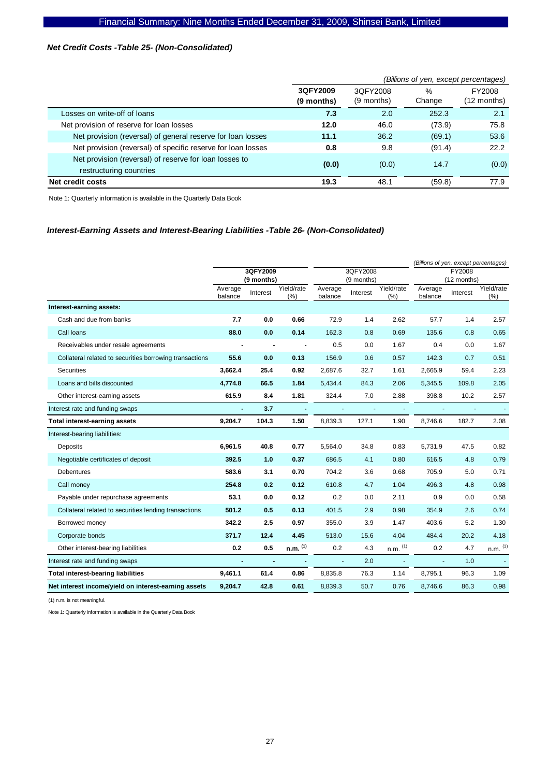### *Net Credit Costs -Table 25- (Non-Consolidated)*

|                                                              |            | (Billions of yen, except percentages) |        |             |  |  |
|--------------------------------------------------------------|------------|---------------------------------------|--------|-------------|--|--|
|                                                              | 3QFY2009   | 3QFY2008                              | $\%$   | FY2008      |  |  |
|                                                              | (9 months) | (9 months)                            | Change | (12 months) |  |  |
| Losses on write-off of loans                                 | 7.3        | 2.0                                   | 252.3  | 2.1         |  |  |
| Net provision of reserve for loan losses                     | 12.0       | 46.0                                  | (73.9) | 75.8        |  |  |
| Net provision (reversal) of general reserve for loan losses  | 11.1       | 36.2                                  | (69.1) | 53.6        |  |  |
| Net provision (reversal) of specific reserve for loan losses | 0.8        | 9.8                                   | (91.4) | 22.2        |  |  |
| Net provision (reversal) of reserve for loan losses to       | (0.0)      | (0.0)                                 | 14.7   | (0.0)       |  |  |
| restructuring countries                                      |            |                                       |        |             |  |  |
| <b>Net credit costs</b>                                      | 19.3       | 48.1                                  | (59.8) | 77.9        |  |  |

Note 1: Quarterly information is available in the Quarterly Data Book

# *Interest-Earning Assets and Interest-Bearing Liabilities -Table 26- (Non-Consolidated)*

|                                                         |                    |                        |                   |                    |                        |                   | (Billions of yen, except percentages) |          |                   |
|---------------------------------------------------------|--------------------|------------------------|-------------------|--------------------|------------------------|-------------------|---------------------------------------|----------|-------------------|
|                                                         |                    | 3QFY2009<br>(9 months) |                   |                    | 3QFY2008<br>(9 months) |                   | FY2008<br>(12 months)                 |          |                   |
|                                                         | Average<br>balance | Interest               | Yield/rate<br>(%) | Average<br>balance | Interest               | Yield/rate<br>(%) | Average<br>balance                    | Interest | Yield/rate<br>(%) |
| Interest-earning assets:                                |                    |                        |                   |                    |                        |                   |                                       |          |                   |
| Cash and due from banks                                 | 7.7                | 0.0                    | 0.66              | 72.9               | 1.4                    | 2.62              | 57.7                                  | 1.4      | 2.57              |
| Call loans                                              | 88.0               | 0.0                    | 0.14              | 162.3              | 0.8                    | 0.69              | 135.6                                 | 0.8      | 0.65              |
| Receivables under resale agreements                     | $\blacksquare$     |                        | $\blacksquare$    | 0.5                | 0.0                    | 1.67              | 0.4                                   | 0.0      | 1.67              |
| Collateral related to securities borrowing transactions | 55.6               | 0.0                    | 0.13              | 156.9              | 0.6                    | 0.57              | 142.3                                 | 0.7      | 0.51              |
| Securities                                              | 3.662.4            | 25.4                   | 0.92              | 2,687.6            | 32.7                   | 1.61              | 2,665.9                               | 59.4     | 2.23              |
| Loans and bills discounted                              | 4,774.8            | 66.5                   | 1.84              | 5,434.4            | 84.3                   | 2.06              | 5,345.5                               | 109.8    | 2.05              |
| Other interest-earning assets                           | 615.9              | 8.4                    | 1.81              | 324.4              | 7.0                    | 2.88              | 398.8                                 | 10.2     | 2.57              |
| Interest rate and funding swaps                         |                    | 3.7                    |                   |                    |                        |                   |                                       |          |                   |
| Total interest-earning assets                           | 9,204.7            | 104.3                  | 1.50              | 8,839.3            | 127.1                  | 1.90              | 8,746.6                               | 182.7    | 2.08              |
| Interest-bearing liabilities:                           |                    |                        |                   |                    |                        |                   |                                       |          |                   |
| <b>Deposits</b>                                         | 6,961.5            | 40.8                   | 0.77              | 5,564.0            | 34.8                   | 0.83              | 5,731.9                               | 47.5     | 0.82              |
| Negotiable certificates of deposit                      | 392.5              | 1.0                    | 0.37              | 686.5              | 4.1                    | 0.80              | 616.5                                 | 4.8      | 0.79              |
| <b>Debentures</b>                                       | 583.6              | 3.1                    | 0.70              | 704.2              | 3.6                    | 0.68              | 705.9                                 | 5.0      | 0.71              |
| Call money                                              | 254.8              | 0.2                    | 0.12              | 610.8              | 4.7                    | 1.04              | 496.3                                 | 4.8      | 0.98              |
| Payable under repurchase agreements                     | 53.1               | 0.0                    | 0.12              | 0.2                | 0.0                    | 2.11              | 0.9                                   | 0.0      | 0.58              |
| Collateral related to securities lending transactions   | 501.2              | 0.5                    | 0.13              | 401.5              | 2.9                    | 0.98              | 354.9                                 | 2.6      | 0.74              |
| Borrowed money                                          | 342.2              | 2.5                    | 0.97              | 355.0              | 3.9                    | 1.47              | 403.6                                 | 5.2      | 1.30              |
| Corporate bonds                                         | 371.7              | 12.4                   | 4.45              | 513.0              | 15.6                   | 4.04              | 484.4                                 | 20.2     | 4.18              |
| Other interest-bearing liabilities                      | 0.2                | 0.5                    | $n.m.$ $(1)$      | 0.2                | 4.3                    | $n.m.$ $(1)$      | 0.2                                   | 4.7      | $n.m.$ $(1)$      |
| Interest rate and funding swaps                         | $\sim$             |                        |                   | ä,                 | 2.0                    |                   | ä,                                    | 1.0      |                   |
| <b>Total interest-bearing liabilities</b>               | 9,461.1            | 61.4                   | 0.86              | 8,835.8            | 76.3                   | 1.14              | 8,795.1                               | 96.3     | 1.09              |
| Net interest income/yield on interest-earning assets    | 9,204.7            | 42.8                   | 0.61              | 8,839.3            | 50.7                   | 0.76              | 8,746.6                               | 86.3     | 0.98              |

(1) n.m. is not meaningful.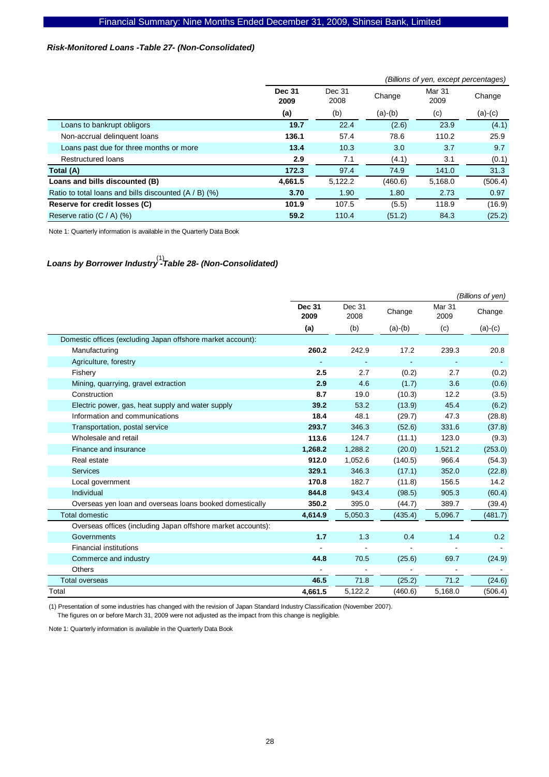# *Risk-Monitored Loans -Table 27- (Non-Consolidated)*

|                                                       |                       | (Billions of yen, except percentages) |           |                |           |  |  |
|-------------------------------------------------------|-----------------------|---------------------------------------|-----------|----------------|-----------|--|--|
|                                                       | <b>Dec 31</b><br>2009 | Dec 31<br>2008                        | Change    | Mar 31<br>2009 | Change    |  |  |
|                                                       | (a)                   | (b)                                   | $(a)-(b)$ | (c)            | $(a)-(c)$ |  |  |
| Loans to bankrupt obligors                            | 19.7                  | 22.4                                  | (2.6)     | 23.9           | (4.1)     |  |  |
| Non-accrual delinquent loans                          | 136.1                 | 57.4                                  | 78.6      | 110.2          | 25.9      |  |  |
| Loans past due for three months or more               | 13.4                  | 10.3                                  | 3.0       | 3.7            | 9.7       |  |  |
| <b>Restructured loans</b>                             | 2.9                   | 7.1                                   | (4.1)     | 3.1            | (0.1)     |  |  |
| Total (A)                                             | 172.3                 | 97.4                                  | 74.9      | 141.0          | 31.3      |  |  |
| Loans and bills discounted (B)                        | 4,661.5               | 5,122.2                               | (460.6)   | 5,168.0        | (506.4)   |  |  |
| Ratio to total loans and bills discounted (A / B) (%) | 3.70                  | 1.90                                  | 1.80      | 2.73           | 0.97      |  |  |
| Reserve for credit losses (C)                         | 101.9                 | 107.5                                 | (5.5)     | 118.9          | (16.9)    |  |  |
| Reserve ratio (C / A) (%)                             | 59.2                  | 110.4                                 | (51.2)    | 84.3           | (25.2)    |  |  |

Note 1: Quarterly information is available in the Quarterly Data Book

# *Loans by Borrower Industry -Table 28- (Non-Consolidated)*  (1)

|                                                              |                       |                |           |                | (Billions of yen) |
|--------------------------------------------------------------|-----------------------|----------------|-----------|----------------|-------------------|
|                                                              | <b>Dec 31</b><br>2009 | Dec 31<br>2008 | Change    | Mar 31<br>2009 | Change            |
|                                                              | (a)                   | (b)            | $(a)-(b)$ | (c)            | $(a)-(c)$         |
| Domestic offices (excluding Japan offshore market account):  |                       |                |           |                |                   |
| Manufacturing                                                | 260.2                 | 242.9          | 17.2      | 239.3          | 20.8              |
| Agriculture, forestry                                        |                       |                |           |                |                   |
| Fishery                                                      | 2.5                   | 2.7            | (0.2)     | 2.7            | (0.2)             |
| Mining, quarrying, gravel extraction                         | 2.9                   | 4.6            | (1.7)     | 3.6            | (0.6)             |
| Construction                                                 | 8.7                   | 19.0           | (10.3)    | 12.2           | (3.5)             |
| Electric power, gas, heat supply and water supply            | 39.2                  | 53.2           | (13.9)    | 45.4           | (6.2)             |
| Information and communications                               | 18.4                  | 48.1           | (29.7)    | 47.3           | (28.8)            |
| Transportation, postal service                               | 293.7                 | 346.3          | (52.6)    | 331.6          | (37.8)            |
| Wholesale and retail                                         | 113.6                 | 124.7          | (11.1)    | 123.0          | (9.3)             |
| Finance and insurance                                        | 1,268.2               | 1,288.2        | (20.0)    | 1,521.2        | (253.0)           |
| Real estate                                                  | 912.0                 | 1,052.6        | (140.5)   | 966.4          | (54.3)            |
| <b>Services</b>                                              | 329.1                 | 346.3          | (17.1)    | 352.0          | (22.8)            |
| Local government                                             | 170.8                 | 182.7          | (11.8)    | 156.5          | 14.2              |
| Individual                                                   | 844.8                 | 943.4          | (98.5)    | 905.3          | (60.4)            |
| Overseas yen loan and overseas loans booked domestically     | 350.2                 | 395.0          | (44.7)    | 389.7          | (39.4)            |
| <b>Total domestic</b>                                        | 4,614.9               | 5,050.3        | (435.4)   | 5,096.7        | (481.7)           |
| Overseas offices (including Japan offshore market accounts): |                       |                |           |                |                   |
| Governments                                                  | 1.7                   | 1.3            | 0.4       | 1.4            | 0.2               |
| <b>Financial institutions</b>                                |                       |                |           |                |                   |
| Commerce and industry                                        | 44.8                  | 70.5           | (25.6)    | 69.7           | (24.9)            |
| Others                                                       |                       |                |           |                |                   |
| <b>Total overseas</b>                                        | 46.5                  | 71.8           | (25.2)    | 71.2           | (24.6)            |
| Total                                                        | 4,661.5               | 5,122.2        | (460.6)   | 5,168.0        | (506.4)           |

(1) Presentation of some industries has changed with the revision of Japan Standard Industry Classification (November 2007). The figures on or before March 31, 2009 were not adjusted as the impact from this change is negligible.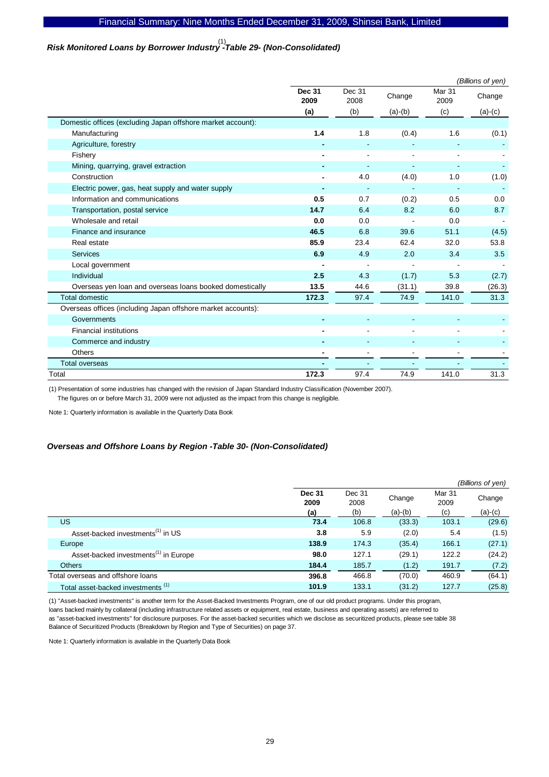# *Risk Monitored Loans by Borrower Industry -Table 29- (Non-Consolidated)*  (1)

|                                                              | (Billions of yen)     |                |                |                           |           |  |  |  |
|--------------------------------------------------------------|-----------------------|----------------|----------------|---------------------------|-----------|--|--|--|
|                                                              | <b>Dec 31</b><br>2009 | Dec 31<br>2008 | Change         | Mar <sub>31</sub><br>2009 | Change    |  |  |  |
|                                                              | (a)                   | (b)            | $(a)-(b)$      | (c)                       | $(a)-(c)$ |  |  |  |
| Domestic offices (excluding Japan offshore market account):  |                       |                |                |                           |           |  |  |  |
| Manufacturing                                                | 1.4                   | 1.8            | (0.4)          | 1.6                       | (0.1)     |  |  |  |
| Agriculture, forestry                                        |                       |                |                |                           |           |  |  |  |
| Fishery                                                      |                       |                | $\blacksquare$ |                           |           |  |  |  |
| Mining, quarrying, gravel extraction                         |                       |                |                |                           |           |  |  |  |
| Construction                                                 |                       | 4.0            | (4.0)          | 1.0                       | (1.0)     |  |  |  |
| Electric power, gas, heat supply and water supply            |                       |                |                |                           |           |  |  |  |
| Information and communications                               | 0.5                   | 0.7            | (0.2)          | 0.5                       | 0.0       |  |  |  |
| Transportation, postal service                               | 14.7                  | 6.4            | 8.2            | 6.0                       | 8.7       |  |  |  |
| Wholesale and retail                                         | 0.0                   | 0.0            |                | 0.0                       |           |  |  |  |
| Finance and insurance                                        | 46.5                  | 6.8            | 39.6           | 51.1                      | (4.5)     |  |  |  |
| Real estate                                                  | 85.9                  | 23.4           | 62.4           | 32.0                      | 53.8      |  |  |  |
| <b>Services</b>                                              | 6.9                   | 4.9            | 2.0            | 3.4                       | 3.5       |  |  |  |
| Local government                                             |                       |                |                |                           |           |  |  |  |
| Individual                                                   | 2.5                   | 4.3            | (1.7)          | 5.3                       | (2.7)     |  |  |  |
| Overseas yen loan and overseas loans booked domestically     | 13.5                  | 44.6           | (31.1)         | 39.8                      | (26.3)    |  |  |  |
| <b>Total domestic</b>                                        | 172.3                 | 97.4           | 74.9           | 141.0                     | 31.3      |  |  |  |
| Overseas offices (including Japan offshore market accounts): |                       |                |                |                           |           |  |  |  |
| Governments                                                  |                       |                |                |                           |           |  |  |  |
| <b>Financial institutions</b>                                |                       |                | $\blacksquare$ |                           |           |  |  |  |
| Commerce and industry                                        |                       |                |                |                           |           |  |  |  |
| <b>Others</b>                                                |                       |                |                |                           |           |  |  |  |
| <b>Total overseas</b>                                        |                       |                |                |                           |           |  |  |  |
| Total                                                        | 172.3                 | 97.4           | 74.9           | 141.0                     | 31.3      |  |  |  |

(1) Presentation of some industries has changed with the revision of Japan Standard Industry Classification (November 2007).

The figures on or before March 31, 2009 were not adjusted as the impact from this change is negligible.

Note 1: Quarterly information is available in the Quarterly Data Book

### *Overseas and Offshore Loans by Region -Table 30- (Non-Consolidated)*

|                                                   |                       |                |           |                | (Billions of yen) |
|---------------------------------------------------|-----------------------|----------------|-----------|----------------|-------------------|
|                                                   | <b>Dec 31</b><br>2009 | Dec 31<br>2008 | Change    | Mar 31<br>2009 | Change            |
|                                                   | (a)                   | (b)            | $(a)-(b)$ | (c)            | $(a)-(c)$         |
| <b>US</b>                                         | 73.4                  | 106.8          | (33.3)    | 103.1          | (29.6)            |
| Asset-backed investments <sup>(1)</sup> in US     | 3.8                   | 5.9            | (2.0)     | 5.4            | (1.5)             |
| Europe                                            | 138.9                 | 174.3          | (35.4)    | 166.1          | (27.1)            |
| Asset-backed investments <sup>(1)</sup> in Europe | 98.0                  | 127.1          | (29.1)    | 122.2          | (24.2)            |
| Others                                            | 184.4                 | 185.7          | (1.2)     | 191.7          | (7.2)             |
| Total overseas and offshore loans                 | 396.8                 | 466.8          | (70.0)    | 460.9          | (64.1)            |
| Total asset-backed investments <sup>(1)</sup>     | 101.9                 | 133.1          | (31.2)    | 127.7          | (25.8)            |

(1) "Asset-backed investments" is another term for the Asset-Backed Investments Program, one of our old product programs. Under this program, loans backed mainly by collateral (including infrastructure related assets or equipment, real estate, business and operating assets) are referred to as "asset-backed investments" for disclosure purposes. For the asset-backed securities which we disclose as securitized products, please see table 38 Balance of Securitized Products (Breakdown by Region and Type of Securities) on page 37.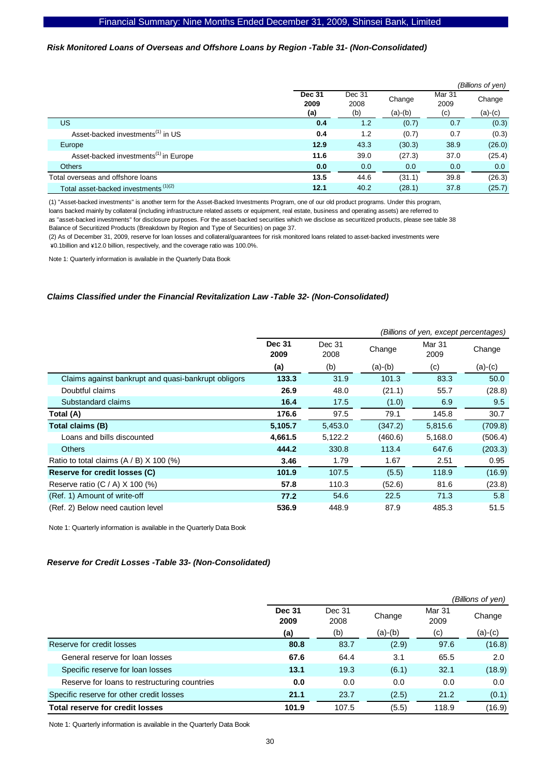### *Risk Monitored Loans of Overseas and Offshore Loans by Region -Table 31- (Non-Consolidated)*

|                                                   |                       |                |           |                | (Billions of yen) |
|---------------------------------------------------|-----------------------|----------------|-----------|----------------|-------------------|
|                                                   | <b>Dec 31</b><br>2009 | Dec 31<br>2008 | Change    | Mar 31<br>2009 | Change            |
|                                                   | (a)                   | (b)            | $(a)-(b)$ | (c)            | $(a)-(c)$         |
| US                                                | 0.4                   | 1.2            | (0.7)     | 0.7            | (0.3)             |
| Asset-backed investments <sup>(1)</sup> in US     | 0.4                   | 1.2            | (0.7)     | 0.7            | (0.3)             |
| Europe                                            | 12.9                  | 43.3           | (30.3)    | 38.9           | (26.0)            |
| Asset-backed investments <sup>(1)</sup> in Europe | 11.6                  | 39.0           | (27.3)    | 37.0           | (25.4)            |
| <b>Others</b>                                     | 0.0                   | 0.0            | 0.0       | 0.0            | 0.0               |
| Total overseas and offshore loans                 | 13.5                  | 44.6           | (31.1)    | 39.8           | (26.3)            |
| Total asset-backed investments <sup>(1)(2)</sup>  | 12.1                  | 40.2           | (28.1)    | 37.8           | (25.7)            |

(1) "Asset-backed investments" is another term for the Asset-Backed Investments Program, one of our old product programs. Under this program,

loans backed mainly by collateral (including infrastructure related assets or equipment, real estate, business and operating assets) are referred to

as "asset-backed investments" for disclosure purposes. For the asset-backed securities which we disclose as securitized products, please see table 38 Balance of Securitized Products (Breakdown by Region and Type of Securities) on page 37.

(2) As of December 31, 2009, reserve for loan losses and collateral/guarantees for risk monitored loans related to asset-backed investments were \0.1billion and \12.0 billion, respectively, and the coverage ratio was 100.0%.

Note 1: Quarterly information is available in the Quarterly Data Book

### *Claims Classified under the Financial Revitalization Law -Table 32- (Non-Consolidated)*

|                                                     |                       |                | (Billions of yen, except percentages) |                |           |  |  |  |
|-----------------------------------------------------|-----------------------|----------------|---------------------------------------|----------------|-----------|--|--|--|
|                                                     | <b>Dec 31</b><br>2009 | Dec 31<br>2008 | Change                                | Mar 31<br>2009 | Change    |  |  |  |
|                                                     | (a)                   | (b)            | $(a)-(b)$                             | (c)            | $(a)-(c)$ |  |  |  |
| Claims against bankrupt and quasi-bankrupt obligors | 133.3                 | 31.9           | 101.3                                 | 83.3           | 50.0      |  |  |  |
| Doubtful claims                                     | 26.9                  | 48.0           | (21.1)                                | 55.7           | (28.8)    |  |  |  |
| Substandard claims                                  | 16.4                  | 17.5           | (1.0)                                 | 6.9            | 9.5       |  |  |  |
| Total (A)                                           | 176.6                 | 97.5           | 79.1                                  | 145.8          | 30.7      |  |  |  |
| Total claims (B)                                    | 5,105.7               | 5,453.0        | (347.2)                               | 5,815.6        | (709.8)   |  |  |  |
| Loans and bills discounted                          | 4,661.5               | 5,122.2        | (460.6)                               | 5,168.0        | (506.4)   |  |  |  |
| <b>Others</b>                                       | 444.2                 | 330.8          | 113.4                                 | 647.6          | (203.3)   |  |  |  |
| Ratio to total claims $(A / B)$ X 100 (%)           | 3.46                  | 1.79           | 1.67                                  | 2.51           | 0.95      |  |  |  |
| Reserve for credit losses (C)                       | 101.9                 | 107.5          | (5.5)                                 | 118.9          | (16.9)    |  |  |  |
| Reserve ratio $(C / A)$ X 100 $(\%)$                | 57.8                  | 110.3          | (52.6)                                | 81.6           | (23.8)    |  |  |  |
| (Ref. 1) Amount of write-off                        | 77.2                  | 54.6           | 22.5                                  | 71.3           | 5.8       |  |  |  |
| (Ref. 2) Below need caution level                   | 536.9                 | 448.9          | 87.9                                  | 485.3          | 51.5      |  |  |  |

Note 1: Quarterly information is available in the Quarterly Data Book

#### *Reserve for Credit Losses -Table 33- (Non-Consolidated)*

|                                              |                       |                |         |                | (Billions of yen) |
|----------------------------------------------|-----------------------|----------------|---------|----------------|-------------------|
|                                              | <b>Dec 31</b><br>2009 | Dec 31<br>2008 | Change  | Mar 31<br>2009 | Change            |
|                                              | (a)                   | (b)            | (a)-(b) | (c)            | $(a)-(c)$         |
| Reserve for credit losses                    | 80.8                  | 83.7           | (2.9)   | 97.6           | (16.8)            |
| General reserve for loan losses              | 67.6                  | 64.4           | 3.1     | 65.5           | 2.0               |
| Specific reserve for loan losses             | 13.1                  | 19.3           | (6.1)   | 32.1           | (18.9)            |
| Reserve for loans to restructuring countries | 0.0                   | 0.0            | 0.0     | 0.0            | 0.0               |
| Specific reserve for other credit losses     | 21.1                  | 23.7           | (2.5)   | 21.2           | (0.1)             |
| <b>Total reserve for credit losses</b>       | 101.9                 | 107.5          | (5.5)   | 118.9          | (16.9)            |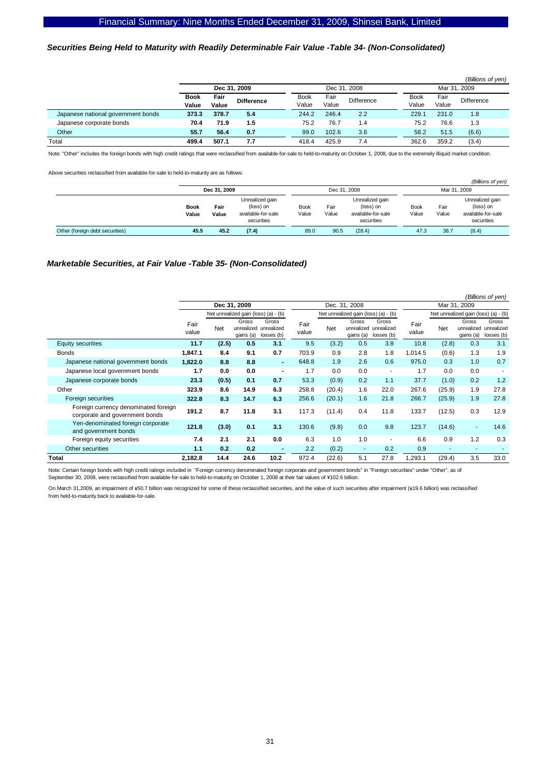### *Securities Being Held to Maturity with Readily Determinable Fair Value -Table 34- (Non-Consolidated)*

|                                    |                      |               |                   |                      |               |                   |                      |               | (Billions of yen) |  |
|------------------------------------|----------------------|---------------|-------------------|----------------------|---------------|-------------------|----------------------|---------------|-------------------|--|
|                                    | Dec 31, 2009         |               |                   | Dec 31, 2008         |               |                   | Mar 31, 2009         |               |                   |  |
|                                    | <b>Book</b><br>Value | Fair<br>Value | <b>Difference</b> | <b>Book</b><br>Value | Fair<br>Value | <b>Difference</b> | <b>Book</b><br>Value | Fair<br>Value | Difference        |  |
| Japanese national government bonds | 373.3                | 378.7         | 5.4               | 244.2                | 246.4         | 2.2               | 229.1                | 231.0         | 1.8               |  |
| Japanese corporate bonds           | 70.4                 | 71.9          | 1.5               | 75.2                 | 76.7          | 1.4               | 75.2                 | 76.6          | 1.3               |  |
| Other                              | 55.7                 | 56.4          | 0.7               | 99.0                 | 102.6         | 3.6               | 58.2                 | 51.5          | (6.6)             |  |
| Total                              | 499.4                | 507.1         | 7.7               | 418.4                | 425.9         | 7.4               | 362.6                | 359.2         | (3.4)             |  |

Note: "Other" includes the foreign bonds with high credit ratings that were reclassified from available-for-sale to held-to-maturity on October 1, 2008, due to the extremely illiquid market condition.

Above securities reclassified from available-for-sale to held-to-maturity are as follows:

|                                 |                      |               |                                                                  |                      |               |                                                                  |                      |               | (Billions of yen)                                                |  |
|---------------------------------|----------------------|---------------|------------------------------------------------------------------|----------------------|---------------|------------------------------------------------------------------|----------------------|---------------|------------------------------------------------------------------|--|
|                                 | Dec 31, 2009         |               |                                                                  |                      | Dec 31, 2008  |                                                                  |                      | Mar 31, 2009  |                                                                  |  |
|                                 | <b>Book</b><br>Value | Fair<br>Value | Unrealized gain<br>(loss) on<br>available-for-sale<br>securities | <b>Book</b><br>Value | Fair<br>Value | Unrealized gain<br>(loss) on<br>available-for-sale<br>securities | <b>Book</b><br>Value | Fair<br>Value | Unrealized gain<br>(loss) on<br>available-for-sale<br>securities |  |
| Other (foreign debt securities) | 45.5                 | 45.2          | (7.4)                                                            | 89.0                 | 90.5          | (28.4)                                                           | 47.3                 | 38.7          | (8.4)                                                            |  |

#### *Marketable Securities, at Fair Value -Table 35- (Non-Consolidated)*

|                                                                        |               |       |                    |                                              |               |               |                    |                                              |               |              |                    | (Billions of yen)                            |  |
|------------------------------------------------------------------------|---------------|-------|--------------------|----------------------------------------------|---------------|---------------|--------------------|----------------------------------------------|---------------|--------------|--------------------|----------------------------------------------|--|
|                                                                        |               |       | Dec 31, 2009       |                                              |               | Dec. 31, 2008 |                    |                                              |               | Mar 31, 2009 |                    |                                              |  |
|                                                                        |               |       |                    | Net unrealized gain (loss) (a) - (b)         |               |               |                    | Net unrealized gain (loss) (a) - (b)         |               |              |                    | Net unrealized gain (loss) (a) - (b)         |  |
|                                                                        | Fair<br>value | Net   | Gross<br>gains (a) | Gross<br>unrealized unrealized<br>losses (b) | Fair<br>value | Net           | Gross<br>gains (a) | Gross<br>unrealized unrealized<br>losses (b) | Fair<br>value | <b>Net</b>   | Gross<br>gains (a) | Gross<br>unrealized unrealized<br>losses (b) |  |
| Equity securities                                                      | 11.7          | (2.5) | 0.5                | 3.1                                          | 9.5           | (3.2)         | 0.5                | 3.8                                          | 10.8          | (2.8)        | 0.3                | 3.1                                          |  |
| <b>Bonds</b>                                                           | 1,847.1       | 8.4   | 9.1                | 0.7                                          | 703.9         | 0.9           | 2.8                | 1.8                                          | 1,014.5       | (0.6)        | 1.3                | 1.9                                          |  |
| Japanese national government bonds                                     | 1,822.0       | 8.8   | 8.8                | $\blacksquare$                               | 648.8         | 1.9           | 2.6                | 0.6                                          | 975.0         | 0.3          | 1.0                | 0.7                                          |  |
| Japanese local government bonds                                        | 1.7           | 0.0   | 0.0                | $\blacksquare$                               | 1.7           | 0.0           | 0.0                | $\blacksquare$                               | 1.7           | 0.0          | 0.0                | $\overline{\phantom{a}}$                     |  |
| Japanese corporate bonds                                               | 23.3          | (0.5) | 0.1                | 0.7                                          | 53.3          | (0.9)         | 0.2                | 1.1                                          | 37.7          | (1.0)        | 0.2                | 1.2                                          |  |
| Other                                                                  | 323.9         | 8.6   | 14.9               | 6.3                                          | 258.8         | (20.4)        | 1.6                | 22.0                                         | 267.6         | (25.9)       | 1.9                | 27.8                                         |  |
| Foreign securities                                                     | 322.8         | 8.3   | 14.7               | 6.3                                          | 256.6         | (20.1)        | 1.6                | 21.8                                         | 266.7         | (25.9)       | 1.9                | 27.8                                         |  |
| Foreign currency denominated foreign<br>corporate and government bonds | 191.2         | 8.7   | 11.8               | 3.1                                          | 117.3         | (11.4)        | 0.4                | 11.8                                         | 133.7         | (12.5)       | 0.3                | 12.9                                         |  |
| Yen-denominated foreign corporate<br>and government bonds              | 121.8         | (3.0) | 0.1                | 3.1                                          | 130.6         | (9.8)         | 0.0                | 9.8                                          | 123.7         | (14.6)       | ٠                  | 14.6                                         |  |
| Foreign equity securities                                              | 7.4           | 2.1   | 2.1                | 0.0                                          | 6.3           | 1.0           | 1.0                |                                              | 6.6           | 0.9          | 1.2                | 0.3                                          |  |
| Other securities                                                       | 1.1           | 0.2   | 0.2                |                                              | 2.2           | (0.2)         | ٠                  | 0.2                                          | 0.9           | ٠            | ٠                  |                                              |  |
| Total                                                                  | 2,182.8       | 14.4  | 24.6               | 10.2                                         | 972.4         | (22.6)        | 5.1                | 27.8                                         | ,293.1        | (29.4)       | 3.5                | 33.0                                         |  |

Note: Certain foreign bonds with high credit ratings included in "Foreign currency denominated foreign corporate and government bonds" in "Foreign securities" under "Other", as of September 30, 2008, were reclassified from available-for-sale to held-to-maturity on October 1, 2008 at their fair values of \102.6 billion.

On March 31,2009, an impairment of ¥50.7 billion was recognized for some of these reclassified securities, and the value of such securities after impairment (¥19.6 billion) was reclassified from held-to-maturity back to available-for-sale.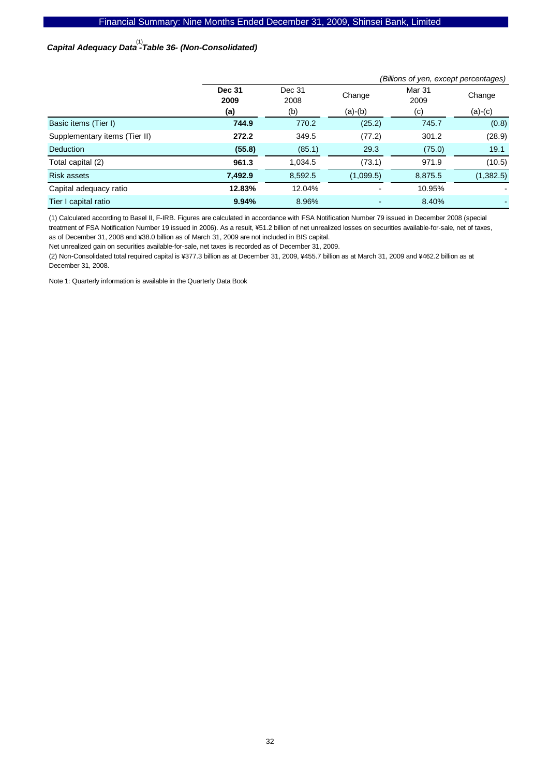# *Capital Adequacy Data -Table 36- (Non-Consolidated)*  (1)

|                               | (Billions of yen, except percentages) |                |           |                |           |  |  |  |  |  |
|-------------------------------|---------------------------------------|----------------|-----------|----------------|-----------|--|--|--|--|--|
|                               | <b>Dec 31</b><br>2009                 | Dec 31<br>2008 | Change    | Mar 31<br>2009 | Change    |  |  |  |  |  |
|                               | (a)                                   | (b)            | $(a)-(b)$ | (c)            | $(a)-(c)$ |  |  |  |  |  |
| Basic items (Tier I)          | 744.9                                 | 770.2          | (25.2)    | 745.7          | (0.8)     |  |  |  |  |  |
| Supplementary items (Tier II) | 272.2                                 | 349.5          | (77.2)    | 301.2          | (28.9)    |  |  |  |  |  |
| Deduction                     | (55.8)                                | (85.1)         | 29.3      | (75.0)         | 19.1      |  |  |  |  |  |
| Total capital (2)             | 961.3                                 | 1,034.5        | (73.1)    | 971.9          | (10.5)    |  |  |  |  |  |
| <b>Risk assets</b>            | 7,492.9                               | 8,592.5        | (1,099.5) | 8,875.5        | (1,382.5) |  |  |  |  |  |
| Capital adequacy ratio        | 12.83%                                | 12.04%         |           | 10.95%         |           |  |  |  |  |  |
| Tier I capital ratio          | 9.94%                                 | 8.96%          |           | 8.40%          |           |  |  |  |  |  |

(1) Calculated according to Basel II, F-IRB. Figures are calculated in accordance with FSA Notification Number 79 issued in December 2008 (special treatment of FSA Notification Number 19 issued in 2006). As a result, ¥51.2 billion of net unrealized losses on securities available-for-sale, net of taxes, as of December 31, 2008 and ¥38.0 billion as of March 31, 2009 are not included in BIS capital.

Net unrealized gain on securities available-for-sale, net taxes is recorded as of December 31, 2009.

(2) Non-Consolidated total required capital is ¥377.3 billion as at December 31, 2009, ¥455.7 billion as at March 31, 2009 and ¥462.2 billion as at December 31, 2008.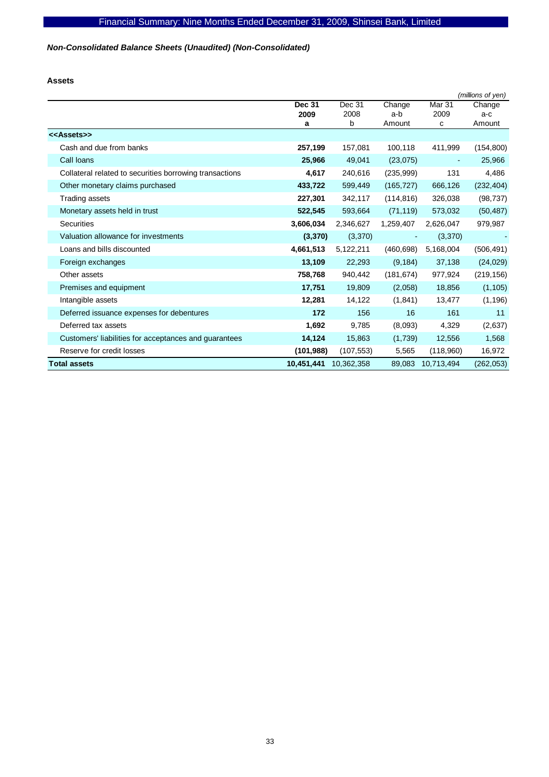*Non-Consolidated Balance Sheets (Unaudited) (Non-Consolidated)* 

**Assets** 

|                                                         |            |            |            |                   | (millions of yen) |
|---------------------------------------------------------|------------|------------|------------|-------------------|-------------------|
|                                                         | Dec 31     | Dec 31     | Change     | Mar <sub>31</sub> | Change            |
|                                                         | 2009       | 2008       | a-b        | 2009              | a-c               |
|                                                         | а          | b          | Amount     | c                 | Amount            |
| < <assets>&gt;</assets>                                 |            |            |            |                   |                   |
| Cash and due from banks                                 | 257,199    | 157,081    | 100,118    | 411,999           | (154, 800)        |
| Call Ioans                                              | 25,966     | 49,041     | (23, 075)  | $\overline{a}$    | 25,966            |
| Collateral related to securities borrowing transactions | 4,617      | 240,616    | (235, 999) | 131               | 4,486             |
| Other monetary claims purchased                         | 433,722    | 599,449    | (165, 727) | 666,126           | (232, 404)        |
| Trading assets                                          | 227,301    | 342,117    | (114, 816) | 326,038           | (98, 737)         |
| Monetary assets held in trust                           | 522,545    | 593,664    | (71, 119)  | 573,032           | (50, 487)         |
| <b>Securities</b>                                       | 3,606,034  | 2,346,627  | 1,259,407  | 2,626,047         | 979,987           |
| Valuation allowance for investments                     | (3, 370)   | (3,370)    |            | (3,370)           |                   |
| Loans and bills discounted                              | 4,661,513  | 5,122,211  | (460, 698) | 5,168,004         | (506, 491)        |
| Foreign exchanges                                       | 13,109     | 22,293     | (9, 184)   | 37,138            | (24, 029)         |
| Other assets                                            | 758,768    | 940,442    | (181, 674) | 977,924           | (219, 156)        |
| Premises and equipment                                  | 17,751     | 19,809     | (2,058)    | 18,856            | (1, 105)          |
| Intangible assets                                       | 12,281     | 14,122     | (1,841)    | 13,477            | (1, 196)          |
| Deferred issuance expenses for debentures               | 172        | 156        | 16         | 161               | 11                |
| Deferred tax assets                                     | 1,692      | 9,785      | (8,093)    | 4,329             | (2,637)           |
| Customers' liabilities for acceptances and guarantees   | 14,124     | 15,863     | (1,739)    | 12,556            | 1,568             |
| Reserve for credit losses                               | (101, 988) | (107, 553) | 5,565      | (118,960)         | 16,972            |
| <b>Total assets</b>                                     | 10,451,441 | 10,362,358 | 89,083     | 10,713,494        | (262, 053)        |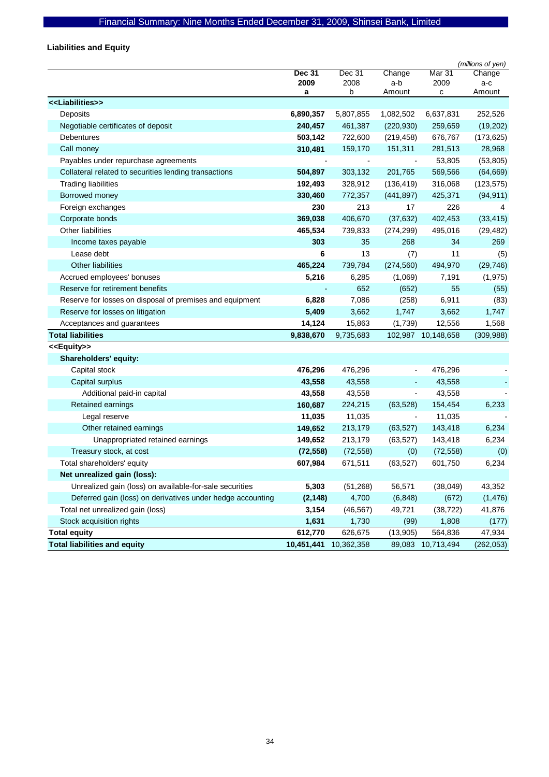# Financial Summary: Nine Months Ended December 31, 2009, Shinsei Bank, Limited

**Liabilities and Equity** 

|                                                            |               |            |                          |                   | (millions of yen) |
|------------------------------------------------------------|---------------|------------|--------------------------|-------------------|-------------------|
|                                                            | <b>Dec 31</b> | Dec 31     | Change                   | Mar 31            | Change            |
|                                                            | 2009          | 2008<br>b  | a-b                      | 2009              | a-c               |
| < <liabilities>&gt;</liabilities>                          | a             |            | Amount                   | с                 | Amount            |
| Deposits                                                   | 6,890,357     | 5,807,855  | 1,082,502                | 6,637,831         | 252,526           |
| Negotiable certificates of deposit                         | 240,457       | 461,387    | (220, 930)               | 259,659           | (19, 202)         |
| Debentures                                                 | 503,142       | 722,600    | (219, 458)               | 676,767           | (173, 625)        |
| Call money                                                 | 310,481       | 159,170    | 151,311                  | 281,513           | 28,968            |
| Payables under repurchase agreements                       |               |            |                          | 53,805            | (53, 805)         |
| Collateral related to securities lending transactions      | 504,897       | 303,132    | 201,765                  | 569,566           | (64, 669)         |
| <b>Trading liabilities</b>                                 | 192,493       | 328,912    | (136, 419)               | 316,068           | (123, 575)        |
| Borrowed money                                             | 330,460       | 772,357    | (441, 897)               | 425,371           | (94, 911)         |
| Foreign exchanges                                          | 230           | 213        | 17                       | 226               | 4                 |
| Corporate bonds                                            | 369,038       | 406,670    | (37, 632)                | 402,453           | (33, 415)         |
| Other liabilities                                          | 465,534       | 739,833    | (274, 299)               | 495,016           | (29, 482)         |
| Income taxes payable                                       | 303           | 35         | 268                      | 34                | 269               |
| Lease debt                                                 | 6             | 13         | (7)                      | 11                | (5)               |
| <b>Other liabilities</b>                                   | 465,224       | 739,784    | (274, 560)               | 494,970           | (29, 746)         |
| Accrued employees' bonuses                                 | 5,216         | 6,285      | (1,069)                  | 7,191             | (1, 975)          |
| Reserve for retirement benefits                            |               | 652        | (652)                    | 55                | (55)              |
| Reserve for losses on disposal of premises and equipment   | 6,828         | 7,086      | (258)                    | 6,911             | (83)              |
| Reserve for losses on litigation                           | 5,409         | 3,662      | 1,747                    | 3,662             | 1,747             |
| Acceptances and guarantees                                 | 14,124        | 15,863     | (1,739)                  | 12,556            | 1,568             |
| <b>Total liabilities</b>                                   | 9,838,670     | 9,735,683  | 102,987                  | 10,148,658        | (309, 988)        |
| < <equity>&gt;</equity>                                    |               |            |                          |                   |                   |
| Shareholders' equity:                                      |               |            |                          |                   |                   |
| Capital stock                                              | 476,296       | 476,296    |                          | 476,296           |                   |
| Capital surplus                                            | 43,558        | 43,558     |                          | 43,558            |                   |
| Additional paid-in capital                                 | 43,558        | 43,558     | $\blacksquare$           | 43,558            |                   |
| Retained earnings                                          | 160,687       | 224,215    | (63, 528)                | 154,454           | 6,233             |
| Legal reserve                                              | 11,035        | 11,035     | $\overline{\phantom{a}}$ | 11,035            |                   |
| Other retained earnings                                    | 149,652       | 213,179    | (63, 527)                | 143,418           | 6,234             |
| Unappropriated retained earnings                           | 149,652       | 213,179    | (63, 527)                | 143,418           | 6,234             |
| Treasury stock, at cost                                    | (72, 558)     | (72, 558)  | (0)                      | (72, 558)         | (0)               |
| Total shareholders' equity                                 | 607,984       | 671,511    | (63, 527)                | 601,750           | 6,234             |
| Net unrealized gain (loss):                                |               |            |                          |                   |                   |
| Unrealized gain (loss) on available-for-sale securities    | 5,303         | (51, 268)  | 56,571                   | (38,049)          | 43,352            |
| Deferred gain (loss) on derivatives under hedge accounting | (2, 148)      | 4,700      | (6, 848)                 | (672)             | (1, 476)          |
| Total net unrealized gain (loss)                           | 3,154         | (46, 567)  | 49,721                   | (38, 722)         | 41,876            |
| Stock acquisition rights                                   | 1,631         | 1,730      | (99)                     | 1,808             | (177)             |
| <b>Total equity</b>                                        | 612,770       | 626,675    | (13,905)                 | 564,836           | 47,934            |
| <b>Total liabilities and equity</b>                        | 10,451,441    | 10,362,358 |                          | 89,083 10,713,494 | (262, 053)        |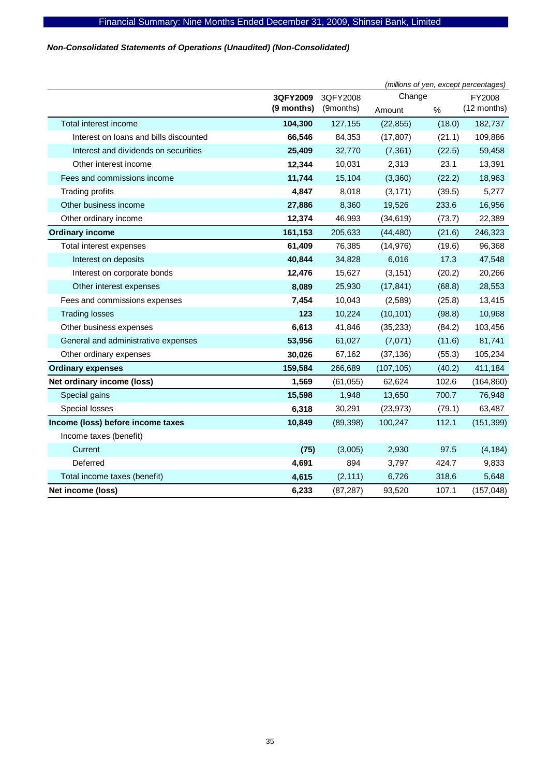# *Non-Consolidated Statements of Operations (Unaudited) (Non-Consolidated)*

|                                        |            |           | (millions of yen, except percentages) |        |             |  |
|----------------------------------------|------------|-----------|---------------------------------------|--------|-------------|--|
|                                        | 3QFY2009   | 3QFY2008  | Change<br>FY2008                      |        |             |  |
|                                        | (9 months) | (9months) | Amount                                | %      | (12 months) |  |
| Total interest income                  | 104,300    | 127,155   | (22, 855)                             | (18.0) | 182,737     |  |
| Interest on loans and bills discounted | 66,546     | 84,353    | (17, 807)                             | (21.1) | 109,886     |  |
| Interest and dividends on securities   | 25,409     | 32,770    | (7, 361)                              | (22.5) | 59,458      |  |
| Other interest income                  | 12,344     | 10,031    | 2,313                                 | 23.1   | 13,391      |  |
| Fees and commissions income            | 11,744     | 15,104    | (3,360)                               | (22.2) | 18,963      |  |
| <b>Trading profits</b>                 | 4,847      | 8,018     | (3, 171)                              | (39.5) | 5,277       |  |
| Other business income                  | 27,886     | 8,360     | 19,526                                | 233.6  | 16,956      |  |
| Other ordinary income                  | 12,374     | 46,993    | (34, 619)                             | (73.7) | 22,389      |  |
| <b>Ordinary income</b>                 | 161,153    | 205,633   | (44, 480)                             | (21.6) | 246,323     |  |
| Total interest expenses                | 61,409     | 76,385    | (14, 976)                             | (19.6) | 96,368      |  |
| Interest on deposits                   | 40,844     | 34,828    | 6,016                                 | 17.3   | 47,548      |  |
| Interest on corporate bonds            | 12,476     | 15,627    | (3, 151)                              | (20.2) | 20,266      |  |
| Other interest expenses                | 8,089      | 25,930    | (17, 841)                             | (68.8) | 28,553      |  |
| Fees and commissions expenses          | 7,454      | 10,043    | (2,589)                               | (25.8) | 13,415      |  |
| <b>Trading losses</b>                  | 123        | 10,224    | (10, 101)                             | (98.8) | 10,968      |  |
| Other business expenses                | 6,613      | 41,846    | (35, 233)                             | (84.2) | 103,456     |  |
| General and administrative expenses    | 53,956     | 61,027    | (7,071)                               | (11.6) | 81,741      |  |
| Other ordinary expenses                | 30,026     | 67,162    | (37, 136)                             | (55.3) | 105,234     |  |
| <b>Ordinary expenses</b>               | 159,584    | 266,689   | (107, 105)                            | (40.2) | 411,184     |  |
| Net ordinary income (loss)             | 1,569      | (61, 055) | 62,624                                | 102.6  | (164, 860)  |  |
| Special gains                          | 15,598     | 1,948     | 13,650                                | 700.7  | 76,948      |  |
| Special losses                         | 6,318      | 30,291    | (23, 973)                             | (79.1) | 63,487      |  |
| Income (loss) before income taxes      | 10,849     | (89, 398) | 100,247                               | 112.1  | (151, 399)  |  |
| Income taxes (benefit)                 |            |           |                                       |        |             |  |
| Current                                | (75)       | (3,005)   | 2,930                                 | 97.5   | (4, 184)    |  |
| Deferred                               | 4,691      | 894       | 3,797                                 | 424.7  | 9,833       |  |
| Total income taxes (benefit)           | 4,615      | (2, 111)  | 6,726                                 | 318.6  | 5,648       |  |
| Net income (loss)                      | 6,233      | (87, 287) | 93,520                                | 107.1  | (157, 048)  |  |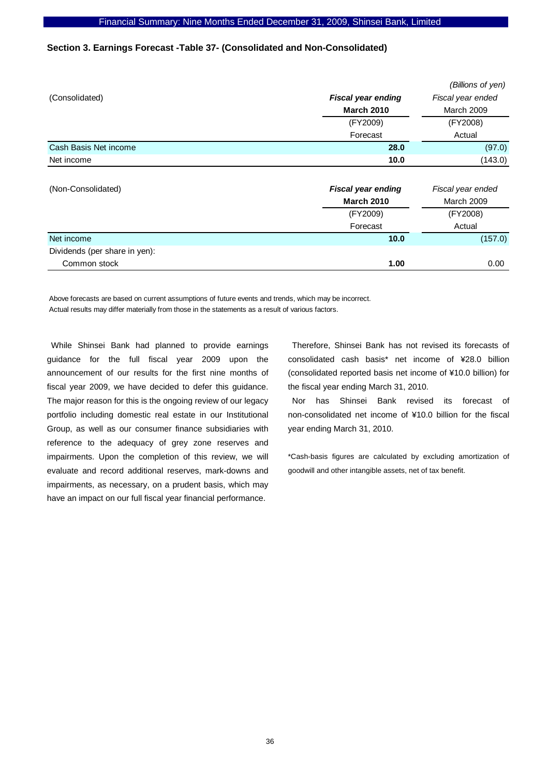### **Section 3. Earnings Forecast -Table 37- (Consolidated and Non-Consolidated)**

|                               |                           | (Billions of yen)                           |  |
|-------------------------------|---------------------------|---------------------------------------------|--|
| (Consolidated)                | <b>Fiscal year ending</b> | Fiscal year ended<br>March 2009<br>(FY2008) |  |
|                               | <b>March 2010</b>         |                                             |  |
|                               | (FY2009)                  |                                             |  |
|                               | Forecast                  | Actual                                      |  |
| Cash Basis Net income         | 28.0                      | (97.0)                                      |  |
| Net income                    | 10.0                      | (143.0)                                     |  |
|                               |                           |                                             |  |
| (Non-Consolidated)            | <b>Fiscal year ending</b> | Fiscal year ended                           |  |
|                               | <b>March 2010</b>         | March 2009                                  |  |
|                               | (FY2009)                  | (FY2008)                                    |  |
|                               | Forecast                  | Actual                                      |  |
| Net income                    | 10.0                      | (157.0)                                     |  |
| Dividends (per share in yen): |                           |                                             |  |

**Common stock 1.00** 0.00

Above forecasts are based on current assumptions of future events and trends, which may be incorrect. Actual results may differ materially from those in the statements as a result of various factors.

While Shinsei Bank had planned to provide earnings guidance for the full fiscal year 2009 upon the announcement of our results for the first nine months of fiscal year 2009, we have decided to defer this guidance. The major reason for this is the ongoing review of our legacy portfolio including domestic real estate in our Institutional Group, as well as our consumer finance subsidiaries with reference to the adequacy of grey zone reserves and impairments. Upon the completion of this review, we will evaluate and record additional reserves, mark-downs and impairments, as necessary, on a prudent basis, which may have an impact on our full fiscal year financial performance.

Therefore, Shinsei Bank has not revised its forecasts of consolidated cash basis\* net income of ¥28.0 billion (consolidated reported basis net income of ¥10.0 billion) for the fiscal year ending March 31, 2010.

Nor has Shinsei Bank revised its forecast of non-consolidated net income of ¥10.0 billion for the fiscal year ending March 31, 2010.

\*Cash-basis figures are calculated by excluding amortization of goodwill and other intangible assets, net of tax benefit.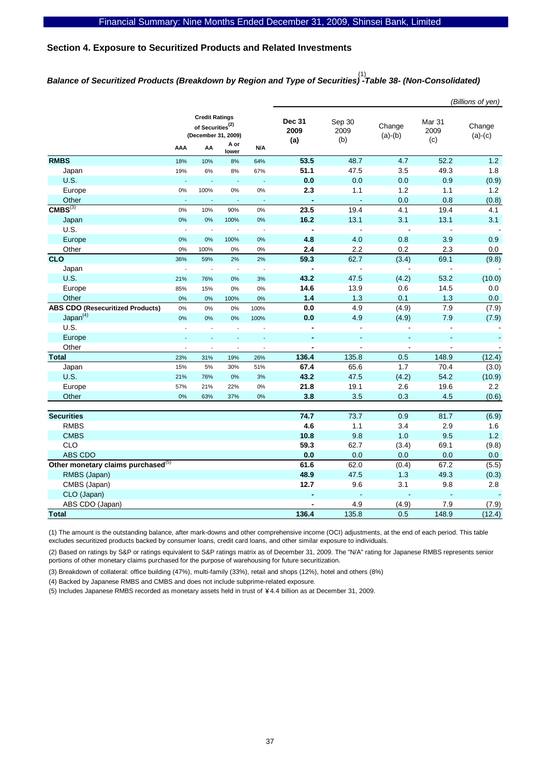# **Section 4. Exposure to Securitized Products and Related Investments**

# *Balance of Securitized Products (Breakdown by Region and Type of Securities) -Table 38- (Non-Consolidated)*  (1)

|                                                |                                                                              |                          |                          |                          |                          |                          |                              |                       | (Billions of yen)        |                       |                     |
|------------------------------------------------|------------------------------------------------------------------------------|--------------------------|--------------------------|--------------------------|--------------------------|--------------------------|------------------------------|-----------------------|--------------------------|-----------------------|---------------------|
|                                                | <b>Credit Ratings</b><br>of Securities <sup>(2)</sup><br>(December 31, 2009) |                          |                          |                          |                          |                          | <b>Dec 31</b><br>2009<br>(a) | Sep 30<br>2009<br>(b) | Change<br>$(a)-(b)$      | Mar 31<br>2009<br>(c) | Change<br>$(a)-(c)$ |
|                                                | AAA                                                                          | AA                       | A or<br>lower            | N/A                      |                          |                          |                              |                       |                          |                       |                     |
| <b>RMBS</b>                                    | 18%                                                                          | 10%                      | 8%                       | 64%                      | 53.5                     | 48.7                     | 4.7                          | 52.2                  | $1.2$                    |                       |                     |
| Japan                                          | 19%                                                                          | 6%                       | 8%                       | 67%                      | 51.1                     | 47.5                     | 3.5                          | 49.3                  | 1.8                      |                       |                     |
| <b>U.S.</b>                                    |                                                                              | L,                       | ä,                       | $\overline{\phantom{a}}$ | 0.0                      | 0.0                      | 0.0                          | 0.9                   | (0.9)                    |                       |                     |
| Europe                                         | 0%                                                                           | 100%                     | 0%                       | 0%                       | 2.3                      | 1.1                      | 1.2                          | 1.1                   | 1.2                      |                       |                     |
| Other                                          | $\blacksquare$                                                               | $\overline{\phantom{a}}$ | $\Box$                   | $\sim$                   | $\blacksquare$           | $\blacksquare$           | 0.0                          | 0.8                   | (0.8)                    |                       |                     |
| $CMBS^{(3)}$                                   | 0%                                                                           | 10%                      | 90%                      | 0%                       | 23.5                     | 19.4                     | 4.1                          | 19.4                  | 4.1                      |                       |                     |
| Japan                                          | 0%                                                                           | 0%                       | 100%                     | 0%                       | 16.2                     | 13.1                     | 3.1                          | 13.1                  | 3.1                      |                       |                     |
| U.S.                                           | $\overline{\phantom{a}}$                                                     | L.                       | $\overline{a}$           | $\sim$                   | $\overline{\phantom{a}}$ | $\overline{a}$           | $\overline{a}$               | ÷,                    |                          |                       |                     |
| Europe                                         | 0%                                                                           | 0%                       | 100%                     | 0%                       | 4.8                      | 4.0                      | 0.8                          | 3.9                   | 0.9                      |                       |                     |
| Other                                          | 0%                                                                           | 100%                     | 0%                       | 0%                       | 2.4                      | 2.2                      | 0.2                          | 2.3                   | $0.0\,$                  |                       |                     |
| <b>CLO</b>                                     | 36%                                                                          | 59%                      | 2%                       | 2%                       | 59.3                     | 62.7                     | (3.4)                        | 69.1                  | (9.8)                    |                       |                     |
| Japan                                          |                                                                              | L.                       | $\overline{\phantom{a}}$ | $\sim$                   | $\overline{\phantom{a}}$ | $\overline{\phantom{a}}$ | $\blacksquare$               | ÷,                    |                          |                       |                     |
| <b>U.S.</b>                                    | 21%                                                                          | 76%                      | 0%                       | 3%                       | 43.2                     | 47.5                     | (4.2)                        | 53.2                  | (10.0)                   |                       |                     |
| Europe                                         | 85%                                                                          | 15%                      | 0%                       | 0%                       | 14.6                     | 13.9                     | 0.6                          | 14.5                  | 0.0                      |                       |                     |
| Other                                          | 0%                                                                           | 0%                       | 100%                     | 0%                       | 1.4                      | 1.3                      | 0.1                          | 1.3                   | 0.0                      |                       |                     |
| <b>ABS CDO (Resecuritized Products)</b>        | $0\%$                                                                        | $0\%$                    | 0%                       | 100%                     | $0.0\,$                  | 4.9                      | (4.9)                        | 7.9                   | (7.9)                    |                       |                     |
| Japan <sup>(4)</sup>                           | 0%                                                                           | 0%                       | 0%                       | 100%                     | 0.0                      | 4.9                      | (4.9)                        | 7.9                   | (7.9)                    |                       |                     |
| U.S.                                           |                                                                              |                          | $\overline{a}$           | $\overline{a}$           | $\overline{a}$           | $\overline{a}$           | L.                           | $\overline{a}$        | $\blacksquare$           |                       |                     |
| Europe                                         |                                                                              |                          |                          | ÷,                       | $\blacksquare$           | Ξ                        | ÷,                           | $\blacksquare$        |                          |                       |                     |
| Other                                          | $\overline{a}$                                                               | $\overline{\phantom{a}}$ | $\overline{\phantom{a}}$ | $\overline{\phantom{a}}$ | $\blacksquare$           | $\blacksquare$           | $\blacksquare$               | $\blacksquare$        | $\overline{\phantom{a}}$ |                       |                     |
| <b>Total</b>                                   | 23%                                                                          | 31%                      | 19%                      | 26%                      | 136.4                    | 135.8                    | 0.5                          | 148.9                 | (12.4)                   |                       |                     |
| Japan                                          | 15%                                                                          | 5%                       | 30%                      | 51%                      | 67.4                     | 65.6                     | 1.7                          | 70.4                  | (3.0)                    |                       |                     |
| <b>U.S.</b>                                    | 21%                                                                          | 76%                      | 0%                       | 3%                       | 43.2                     | 47.5                     | (4.2)                        | 54.2                  | (10.9)                   |                       |                     |
| Europe                                         | 57%                                                                          | 21%                      | 22%                      | $0\%$                    | 21.8                     | 19.1                     | 2.6                          | 19.6                  | 2.2                      |                       |                     |
| Other                                          | 0%                                                                           | 63%                      | 37%                      | 0%                       | 3.8                      | 3.5                      | 0.3                          | 4.5                   | (0.6)                    |                       |                     |
|                                                |                                                                              |                          |                          |                          |                          |                          |                              |                       |                          |                       |                     |
| <b>Securities</b>                              |                                                                              |                          |                          |                          | 74.7                     | 73.7                     | 0.9                          | 81.7                  | (6.9)                    |                       |                     |
| <b>RMBS</b>                                    |                                                                              |                          |                          |                          | 4.6                      | 1.1                      | 3.4                          | 2.9                   | 1.6                      |                       |                     |
| <b>CMBS</b>                                    |                                                                              |                          |                          |                          | 10.8                     | 9.8                      | 1.0                          | 9.5                   | $1.2$                    |                       |                     |
| CLO                                            |                                                                              |                          |                          |                          | 59.3                     | 62.7                     | (3.4)                        | 69.1                  | (9.8)                    |                       |                     |
| ABS CDO                                        |                                                                              |                          |                          |                          | 0.0                      | 0.0                      | 0.0                          | 0.0                   | 0.0                      |                       |                     |
| Other monetary claims purchased <sup>(5)</sup> |                                                                              |                          |                          |                          | 61.6                     | 62.0                     | (0.4)                        | 67.2                  | (5.5)                    |                       |                     |
| RMBS (Japan)                                   |                                                                              |                          |                          |                          | 48.9                     | 47.5                     | 1.3                          | 49.3                  | (0.3)                    |                       |                     |
| CMBS (Japan)                                   |                                                                              |                          |                          |                          | 12.7                     | 9.6                      | 3.1                          | 9.8                   | 2.8                      |                       |                     |
| CLO (Japan)                                    |                                                                              |                          |                          |                          |                          | ä,                       | ä,                           | ÷,                    |                          |                       |                     |
| ABS CDO (Japan)                                |                                                                              |                          |                          |                          |                          | 4.9                      | (4.9)                        | 7.9                   | (7.9)                    |                       |                     |
| <b>Total</b>                                   |                                                                              |                          |                          |                          | 136.4                    | 135.8                    | 0.5                          | 148.9                 | (12.4)                   |                       |                     |

(1) The amount is the outstanding balance, after mark-downs and other comprehensive income (OCI) adjustments, at the end of each period. This table excludes securitized products backed by consumer loans, credit card loans, and other similar exposure to individuals.

(2) Based on ratings by S&P or ratings equivalent to S&P ratings matrix as of December 31, 2009. The "N/A" rating for Japanese RMBS represents senior portions of other monetary claims purchased for the purpose of warehousing for future securitization.

(3) Breakdown of collateral: office building (47%), multi-family (33%), retail and shops (12%), hotel and others (8%)

(4) Backed by Japanese RMBS and CMBS and does not include subprime-related exposure.

(5) Includes Japanese RMBS recorded as monetary assets held in trust of 4.4 billion as at December 31, 2009. \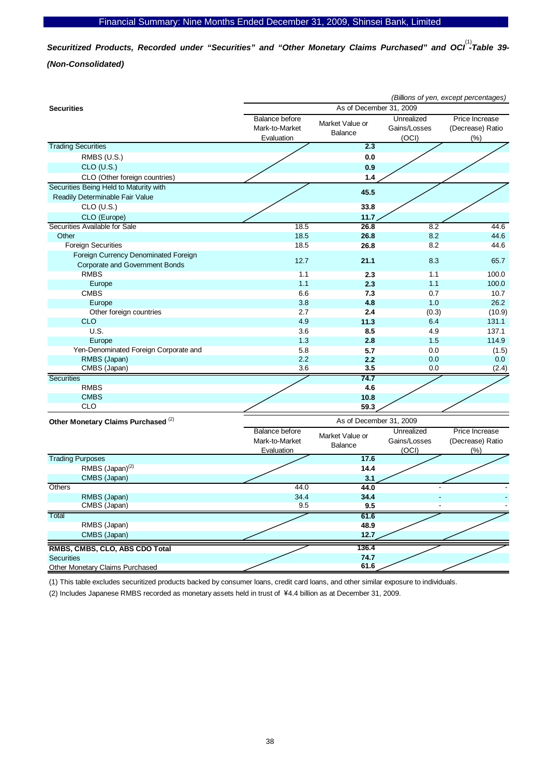Securitized Products, Recorded under "Securities" and "Other Monetary Claims Purchased" and OCI<sup>(1)</sup>-Table 39-*(Non-Consolidated)* 

|                                                                               | (Billions of yen, except percentages)                 |                                   |                                     |                                               |  |  |  |  |
|-------------------------------------------------------------------------------|-------------------------------------------------------|-----------------------------------|-------------------------------------|-----------------------------------------------|--|--|--|--|
| <b>Securities</b>                                                             | As of December 31, 2009                               |                                   |                                     |                                               |  |  |  |  |
|                                                                               | Balance before<br>Mark-to-Market<br>Evaluation        | Market Value or<br><b>Balance</b> |                                     | Price Increase<br>(Decrease) Ratio<br>$(\% )$ |  |  |  |  |
| <b>Trading Securities</b>                                                     |                                                       | 2.3                               |                                     |                                               |  |  |  |  |
| RMBS (U.S.)                                                                   |                                                       | 0.0                               |                                     |                                               |  |  |  |  |
| $CLO$ (U.S.)                                                                  |                                                       | 0.9                               |                                     |                                               |  |  |  |  |
| CLO (Other foreign countries)                                                 |                                                       | 1.4                               |                                     |                                               |  |  |  |  |
| Securities Being Held to Maturity with                                        |                                                       | 45.5                              |                                     |                                               |  |  |  |  |
| Readily Determinable Fair Value                                               |                                                       |                                   |                                     |                                               |  |  |  |  |
| $CLO$ (U.S.)                                                                  |                                                       | 33.8                              |                                     |                                               |  |  |  |  |
| CLO (Europe)                                                                  |                                                       | 11.7                              |                                     |                                               |  |  |  |  |
| Securities Available for Sale                                                 | 18.5                                                  | 26.8                              | 8.2                                 | 44.6                                          |  |  |  |  |
| Other                                                                         | 18.5                                                  | 26.8                              | 8.2                                 | 44.6                                          |  |  |  |  |
| <b>Foreign Securities</b>                                                     | 18.5                                                  | 26.8                              | 8.2                                 | 44.6                                          |  |  |  |  |
| Foreign Currency Denominated Foreign<br><b>Corporate and Government Bonds</b> | 12.7                                                  | 21.1                              | 8.3                                 | 65.7                                          |  |  |  |  |
| <b>RMBS</b>                                                                   | 1.1                                                   | 2.3                               | 1.1                                 | 100.0                                         |  |  |  |  |
| Europe                                                                        | 1.1                                                   | 2.3                               | 1.1                                 | 100.0                                         |  |  |  |  |
| <b>CMBS</b>                                                                   | 6.6                                                   | 7.3                               | 0.7                                 | 10.7                                          |  |  |  |  |
| Europe                                                                        | 3.8                                                   | 4.8                               | 1.0                                 | 26.2                                          |  |  |  |  |
| Other foreign countries                                                       | 2.7                                                   | 2.4                               | (0.3)                               | (10.9)                                        |  |  |  |  |
| <b>CLO</b>                                                                    | 4.9                                                   | 11.3                              | 6.4                                 | 131.1                                         |  |  |  |  |
| U.S.                                                                          | 3.6                                                   | 8.5                               | 4.9                                 | 137.1                                         |  |  |  |  |
| Europe                                                                        | 1.3                                                   | 2.8                               | 1.5                                 | 114.9                                         |  |  |  |  |
| Yen-Denominated Foreign Corporate and                                         | 5.8                                                   | 5.7                               | 0.0                                 | (1.5)                                         |  |  |  |  |
| RMBS (Japan)                                                                  | 2.2                                                   | 2.2                               | 0.0                                 | 0.0                                           |  |  |  |  |
| CMBS (Japan)                                                                  | 3.6                                                   | 3.5                               | 0.0                                 | (2.4)                                         |  |  |  |  |
| <b>Securities</b>                                                             |                                                       | 74.7                              |                                     |                                               |  |  |  |  |
| <b>RMBS</b>                                                                   |                                                       | 4.6                               |                                     |                                               |  |  |  |  |
| <b>CMBS</b>                                                                   |                                                       | 10.8                              |                                     |                                               |  |  |  |  |
| <b>CLO</b>                                                                    |                                                       | 59.3                              |                                     |                                               |  |  |  |  |
| Other Monetary Claims Purchased <sup>(2)</sup>                                |                                                       | As of December 31, 2009           |                                     |                                               |  |  |  |  |
|                                                                               | <b>Balance before</b><br>Mark-to-Market<br>Evaluation | Market Value or<br><b>Balance</b> | Unrealized<br>Gains/Losses<br>(OCI) | Price Increase<br>(Decrease) Ratio<br>(%)     |  |  |  |  |
| <b>Trading Purposes</b>                                                       |                                                       | 17.6                              |                                     |                                               |  |  |  |  |
| RMBS (Japan) <sup>(2)</sup>                                                   |                                                       | 14.4                              |                                     |                                               |  |  |  |  |
| CMBS (Japan)                                                                  |                                                       | 3.1                               |                                     |                                               |  |  |  |  |
| Others                                                                        | 44.0                                                  | 44.0                              |                                     |                                               |  |  |  |  |
| RMBS (Japan)                                                                  | 34.4                                                  | 34.4                              |                                     |                                               |  |  |  |  |
| CMBS (Japan)                                                                  | 9.5                                                   | 9.5                               |                                     |                                               |  |  |  |  |
| Total                                                                         |                                                       | 61.6                              |                                     |                                               |  |  |  |  |
| RMBS (Japan)                                                                  |                                                       | 48.9                              |                                     |                                               |  |  |  |  |
| CMBS (Japan)                                                                  |                                                       | 12.7                              |                                     |                                               |  |  |  |  |
| RMBS, CMBS, CLO, ABS CDO Total                                                |                                                       | 136.4                             |                                     |                                               |  |  |  |  |
| <b>Securities</b>                                                             |                                                       | 74.7                              |                                     |                                               |  |  |  |  |
| Other Monetary Claims Purchased                                               |                                                       | 61.6                              |                                     |                                               |  |  |  |  |

(1) This table excludes securitized products backed by consumer loans, credit card loans, and other similar exposure to individuals.

(2) Includes Japanese RMBS recorded as monetary assets held in trust of 4.4 billion as at December 31, 2009. \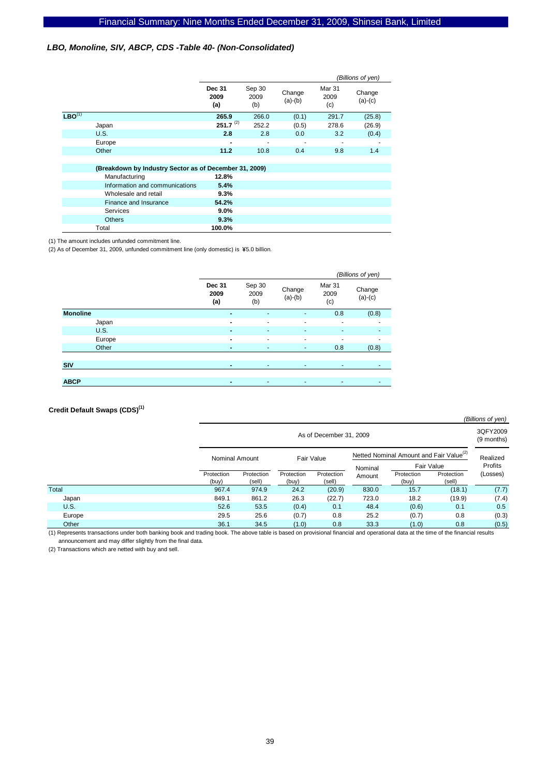### *LBO, Monoline, SIV, ABCP, CDS -Table 40- (Non-Consolidated)*

|             |                                                        |                              |                       |                     |                       | (Billions of yen)   |
|-------------|--------------------------------------------------------|------------------------------|-----------------------|---------------------|-----------------------|---------------------|
|             |                                                        | <b>Dec 31</b><br>2009<br>(a) | Sep 30<br>2009<br>(b) | Change<br>$(a)-(b)$ | Mar 31<br>2009<br>(c) | Change<br>$(a)-(c)$ |
| $LBO^{(1)}$ |                                                        | 265.9                        | 266.0                 | (0.1)               | 291.7                 | (25.8)              |
|             | Japan                                                  | $251.7^{(2)}$                | 252.2                 | (0.5)               | 278.6                 | (26.9)              |
|             | U.S.                                                   | 2.8                          | 2.8                   | 0.0                 | 3.2                   | (0.4)               |
|             | Europe                                                 | ۰                            |                       |                     |                       |                     |
|             | Other                                                  | 11.2                         | 10.8                  | 0.4                 | 9.8                   | 1.4                 |
|             |                                                        |                              |                       |                     |                       |                     |
|             | (Breakdown by Industry Sector as of December 31, 2009) |                              |                       |                     |                       |                     |
|             | Manufacturing                                          | 12.8%                        |                       |                     |                       |                     |
|             | Information and communications                         | 5.4%                         |                       |                     |                       |                     |
|             | Wholesale and retail                                   | 9.3%                         |                       |                     |                       |                     |
|             | Finance and Insurance                                  | 54.2%                        |                       |                     |                       |                     |
|             | Services                                               | 9.0%                         |                       |                     |                       |                     |
|             | <b>Others</b>                                          | 9.3%                         |                       |                     |                       |                     |
|             | Total                                                  | 100.0%                       |                       |                     |                       |                     |

(1) The amount includes unfunded commitment line.

(2) As of December 31, 2009, unfunded commitment line (only domestic) is  $45.0$  billion.

|                 |                              |                          |                     |                       | (Billions of yen)   |
|-----------------|------------------------------|--------------------------|---------------------|-----------------------|---------------------|
|                 | <b>Dec 31</b><br>2009<br>(a) | Sep 30<br>2009<br>(b)    | Change<br>$(a)-(b)$ | Mar 31<br>2009<br>(c) | Change<br>$(a)-(c)$ |
| <b>Monoline</b> | $\blacksquare$               | $\overline{\phantom{a}}$ | ٠                   | 0.8                   | (0.8)               |
| Japan           | $\blacksquare$               | ۰                        | ٠                   | ۰                     | ۰                   |
| <b>U.S.</b>     | $\blacksquare$               | ٠                        | ٠                   | ٠                     |                     |
| Europe          | $\blacksquare$               | ۰                        | ٠                   | -                     |                     |
| Other           | $\blacksquare$               | ٠                        | ٠                   | 0.8                   | (0.8)               |
|                 |                              |                          |                     |                       |                     |
| <b>SIV</b>      | $\blacksquare$               | ٠                        | ٠                   | ٠                     | ٠                   |
|                 |                              |                          |                     |                       |                     |
| <b>ABCP</b>     | $\blacksquare$               | ٠                        | $\sim$              |                       | ٠                   |

### **Credit Default Swaps (CDS)(1)**

|             |                     |                         |                     |                      |                                                     |                       |                      | (Billions of yen)      |  |
|-------------|---------------------|-------------------------|---------------------|----------------------|-----------------------------------------------------|-----------------------|----------------------|------------------------|--|
|             |                     | As of December 31, 2009 |                     |                      |                                                     |                       |                      | 3QFY2009<br>(9 months) |  |
|             |                     | Nominal Amount          |                     | Fair Value           | Netted Nominal Amount and Fair Value <sup>(2)</sup> |                       |                      | Realized               |  |
|             |                     |                         |                     |                      |                                                     | Fair Value<br>Nominal |                      | Profits                |  |
|             | Protection<br>(buy) | Protection<br>(sell)    | Protection<br>(buy) | Protection<br>(sell) | Amount                                              | Protection<br>(buy)   | Protection<br>(sell) | (Losses)               |  |
| Total       | 967.4               | 974.9                   | 24.2                | (20.9)               | 830.0                                               | 15.7                  | (18.1)               | (7.7)                  |  |
| Japan       | 849.1               | 861.2                   | 26.3                | (22.7)               | 723.0                                               | 18.2                  | (19.9)               | (7.4)                  |  |
| <b>U.S.</b> | 52.6                | 53.5                    | (0.4)               | 0.1                  | 48.4                                                | (0.6)                 | 0.1                  | 0.5                    |  |
| Europe      | 29.5                | 25.6                    | (0.7)               | 0.8                  | 25.2                                                | (0.7)                 | 0.8                  | (0.3)                  |  |
| Other       | 36.1                | 34.5                    | (1.0)               | 0.8                  | 33.3                                                | (1.0)                 | 0.8                  | (0.5)                  |  |

(1) Represents transactions under both banking book and trading book. The above table is based on provisional financial and operational data at the time of the financial results announcement and may differ slightly from the final data.

(2) Transactions which are netted with buy and sell.